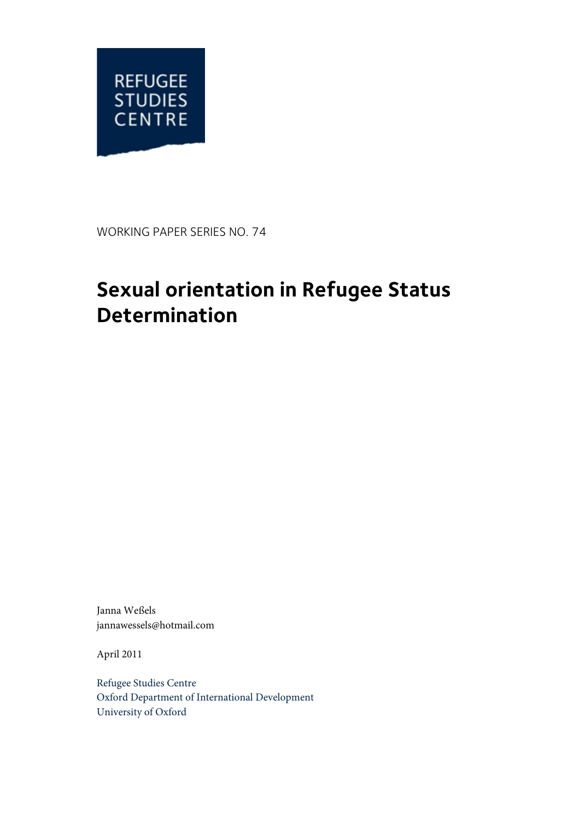

WORKING PAPER SERIES NO. 74

# **Sexual orientation in Refugee Status Determination**

Janna Weßels jannawessels@hotmail.com

April 2011

Refugee Studies Centre Oxford Department of International Development University of Oxford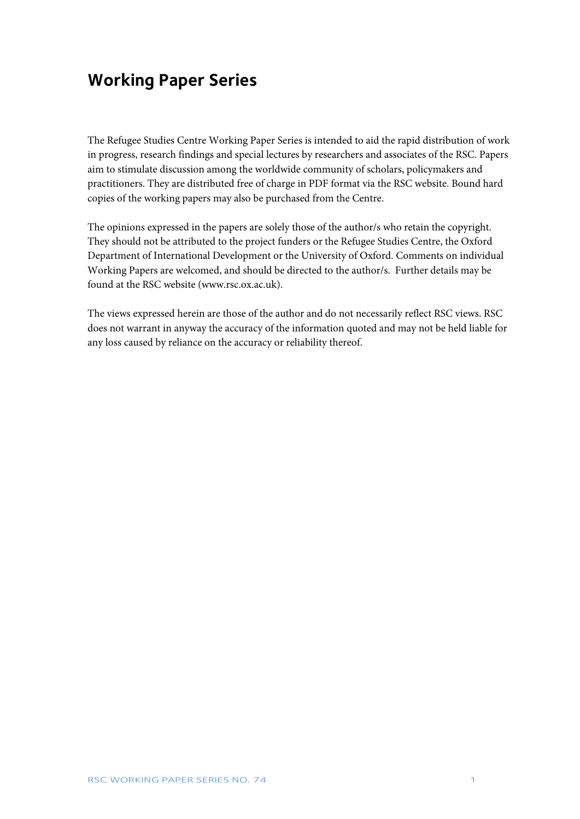# **Working Paper Series**

The Refugee Studies Centre Working Paper Series is intended to aid the rapid distribution of work in progress, research findings and special lectures by researchers and associates of the RSC. Papers aim to stimulate discussion among the worldwide community of scholars, policymakers and practitioners. They are distributed free of charge in PDF format via the RSC website. Bound hard copies of the working papers may also be purchased from the Centre.

The opinions expressed in the papers are solely those of the author/s who retain the copyright. They should not be attributed to the project funders or the Refugee Studies Centre, the Oxford Department of International Development or the University of Oxford. Comments on individual Working Papers are welcomed, and should be directed to the author/s. Further details may be found at the RSC website (www.rsc.ox.ac.uk).

The views expressed herein are those of the author and do not necessarily reflect RSC views. RSC does not warrant in anyway the accuracy of the information quoted and may not be held liable for any loss caused by reliance on the accuracy or reliability thereof.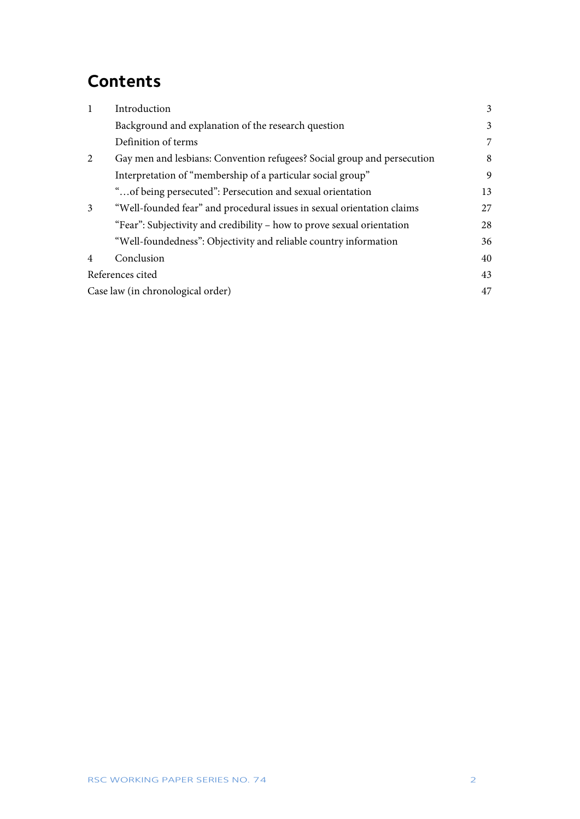# **Contents**

| 1                                 | Introduction                                                            | 3  |
|-----------------------------------|-------------------------------------------------------------------------|----|
|                                   | Background and explanation of the research question                     | 3  |
|                                   | Definition of terms                                                     | 7  |
| 2                                 | Gay men and lesbians: Convention refugees? Social group and persecution | 8  |
|                                   | Interpretation of "membership of a particular social group"             | 9  |
|                                   | "of being persecuted": Persecution and sexual orientation               | 13 |
| 3                                 | "Well-founded fear" and procedural issues in sexual orientation claims  | 27 |
|                                   | "Fear": Subjectivity and credibility – how to prove sexual orientation  | 28 |
|                                   | "Well-foundedness": Objectivity and reliable country information        | 36 |
| $\overline{4}$                    | Conclusion                                                              | 40 |
| References cited                  |                                                                         | 43 |
| Case law (in chronological order) |                                                                         | 47 |
|                                   |                                                                         |    |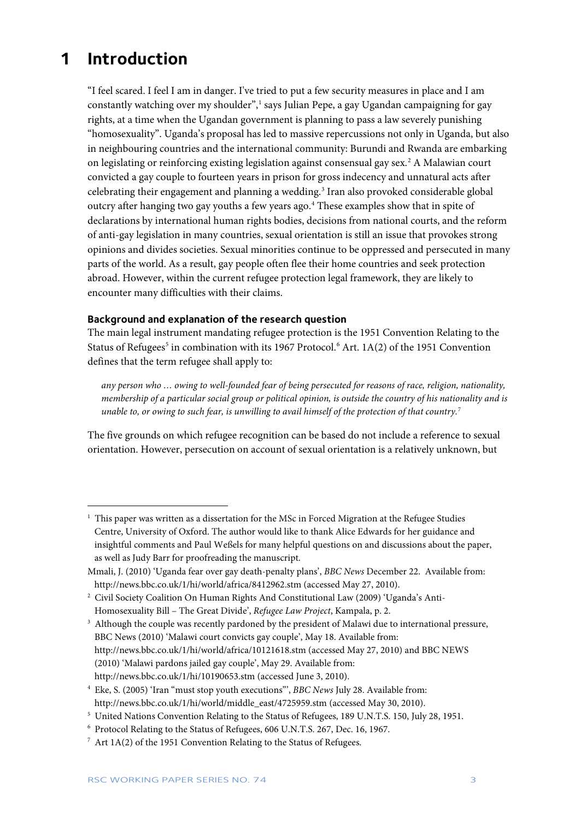### <span id="page-3-0"></span>**1 Introduction**

 $\overline{a}$ 

"I feel scared. I feel I am in danger. I've tried to put a few security measures in place and I am constantly watching over my shoulder", [1](#page-3-2) says Julian Pepe, a gay Ugandan campaigning for gay rights, at a time when the Ugandan government is planning to pass a law severely punishing "homosexuality". Uganda's proposal has led to massive repercussions not only in Uganda, but also in neighbouring countries and the international community: Burundi and Rwanda are embarking on legislating or reinforcing existing legislation against consensual gay sex.[2](#page-3-3) A Malawian court convicted a gay couple to fourteen years in prison for gross indecency and unnatural acts after celebrating their engagement and planning a wedding.<sup>[3](#page-3-4)</sup> Iran also provoked considerable global outcry after hanging two gay youths a few years ago.<sup>[4](#page-3-5)</sup> These examples show that in spite of declarations by international human rights bodies, decisions from national courts, and the reform of anti-gay legislation in many countries, sexual orientation is still an issue that provokes strong opinions and divides societies. Sexual minorities continue to be oppressed and persecuted in many parts of the world. As a result, gay people often flee their home countries and seek protection abroad. However, within the current refugee protection legal framework, they are likely to encounter many difficulties with their claims.

#### <span id="page-3-1"></span>**Background and explanation of the research question**

The main legal instrument mandating refugee protection is the 1951 Convention Relating to the Status of Refugees<sup>[5](#page-3-6)</sup> in combination with its 19[6](#page-3-7)7 Protocol.<sup>6</sup> Art. 1A(2) of the 1951 Convention defines that the term refugee shall apply to:

*any person who … owing to well-founded fear of being persecuted for reasons of race, religion, nationality, membership of a particular social group or political opinion, is outside the country of his nationality and is unable to, or owing to such fear, is unwilling to avail himself of the protection of that country.*[7](#page-3-8)

The five grounds on which refugee recognition can be based do not include a reference to sexual orientation. However, persecution on account of sexual orientation is a relatively unknown, but

<span id="page-3-2"></span><sup>&</sup>lt;sup>1</sup> This paper was written as a dissertation for the MSc in Forced Migration at the Refugee Studies Centre, University of Oxford. The author would like to thank Alice Edwards for her guidance and insightful comments and Paul Weßels for many helpful questions on and discussions about the paper, as well as Judy Barr for proofreading the manuscript.

Mmali, J. (2010) 'Uganda fear over gay death-penalty plans', *BBC News* December 22. Available from: <http://news.bbc.co.uk/1/hi/world/africa/8412962.stm> (accessed May 27, 2010).

<span id="page-3-3"></span><sup>2</sup> Civil Society Coalition On Human Rights And Constitutional Law (2009) 'Uganda's Anti-Homosexuality Bill – The Great Divide', *Refugee Law Project*, Kampala, p. 2.

<span id="page-3-4"></span><sup>&</sup>lt;sup>3</sup> Although the couple was recently pardoned by the president of Malawi due to international pressure, BBC News (2010) 'Malawi court convicts gay couple', May 18. Available from: <http://news.bbc.co.uk/1/hi/world/africa/10121618.stm> (accessed May 27, 2010) and BBC NEWS (2010) 'Malawi pardons jailed gay couple', May 29. Available from: <http://news.bbc.co.uk/1/hi/10190653.stm> (accessed June 3, 2010).

<span id="page-3-5"></span><sup>4</sup> Eke, S. (2005) 'Iran "must stop youth executions"', *BBC News* July 28. Available from: [http://news.bbc.co.uk/1/hi/world/middle\\_east/4725959.stm](http://news.bbc.co.uk/1/hi/world/middle_east/4725959.stm) (accessed May 30, 2010).

<span id="page-3-6"></span><sup>5</sup> United Nations Convention Relating to the Status of Refugees, 189 U.N.T.S. 150, July 28, 1951.

<span id="page-3-7"></span><sup>6</sup> Protocol Relating to the Status of Refugees, 606 U.N.T.S. 267, Dec. 16, 1967.

<span id="page-3-8"></span> $7$  Art 1A(2) of the 1951 Convention Relating to the Status of Refugees.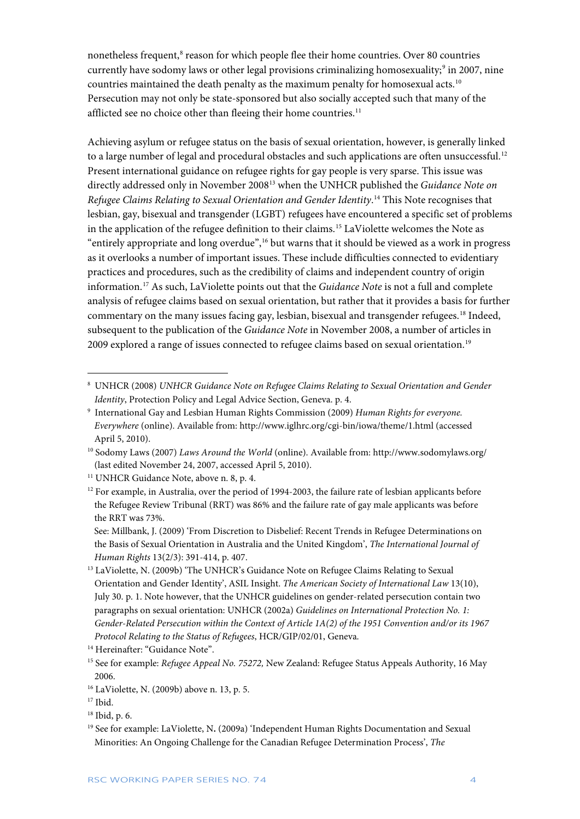nonetheless frequent,<sup>[8](#page-4-0)</sup> reason for which people flee their home countries. Over 80 countries currently have sodomy laws or other legal provisions criminalizing homosexuality;<sup>[9](#page-4-1)</sup> in 2007, nine countries maintained the death penalty as the maximum penalty for homosexual acts.[10](#page-4-2) Persecution may not only be state-sponsored but also socially accepted such that many of the afflicted see no choice other than fleeing their home countries.<sup>[11](#page-4-3)</sup>

Achieving asylum or refugee status on the basis of sexual orientation, however, is generally linked to a large number of legal and procedural obstacles and such applications are often unsuccessful.<sup>[12](#page-4-4)</sup> Present international guidance on refugee rights for gay people is very sparse. This issue was directly addressed only in November 200[813](#page-4-5) when the UNHCR published the *Guidance Note on Refugee Claims Relating to Sexual Orientation and Gender Identity*. [14](#page-4-6) This Note recognises that lesbian, gay, bisexual and transgender (LGBT) refugees have encountered a specific set of problems in the application of the refugee definition to their claims.<sup>[15](#page-4-7)</sup> LaViolette welcomes the Note as "entirely appropriate and long overdue", [16](#page-4-8) but warns that it should be viewed as a work in progress as it overlooks a number of important issues. These include difficulties connected to evidentiary practices and procedures, such as the credibility of claims and independent country of origin information.[17](#page-4-9) As such, LaViolette points out that the *Guidance Note* is not a full and complete analysis of refugee claims based on sexual orientation, but rather that it provides a basis for further commentary on the many issues facing gay, lesbian, bisexual and transgender refugees.<sup>[18](#page-4-10)</sup> Indeed, subsequent to the publication of the *Guidance Note* in November 2008, a number of articles in 2009 explored a range of issues connected to refugee claims based on sexual orientation.[19](#page-4-11)

<span id="page-4-0"></span><sup>8</sup> UNHCR (2008) *UNHCR Guidance Note on Refugee Claims Relating to Sexual Orientation and Gender Identity*, Protection Policy and Legal Advice Section, Geneva. p. 4.

<span id="page-4-1"></span><sup>9</sup> International Gay and Lesbian Human Rights Commission (2009) *Human Rights for everyone. Everywhere* (online). Available from:<http://www.iglhrc.org/cgi-bin/iowa/theme/1.html> (accessed April 5, 2010).

<span id="page-4-2"></span><sup>10</sup> Sodomy Laws (2007) *Laws Around the World* (online). Available from:<http://www.sodomylaws.org/> (last edited November 24, 2007, accessed April 5, 2010).

<span id="page-4-3"></span><sup>&</sup>lt;sup>11</sup> UNHCR Guidance Note, above n. 8, p. 4.

<span id="page-4-4"></span> $12$  For example, in Australia, over the period of 1994-2003, the failure rate of lesbian applicants before the Refugee Review Tribunal (RRT) was 86% and the failure rate of gay male applicants was before the RRT was 73%.

See: Millbank, J. (2009) 'From Discretion to Disbelief: Recent Trends in Refugee Determinations on the Basis of Sexual Orientation in Australia and the United Kingdom', *The International Journal of Human Rights* 13(2/3): 391-414, p. 407.

<span id="page-4-5"></span><sup>&</sup>lt;sup>13</sup> LaViolette, N. (2009b) 'The UNHCR's Guidance Note on Refugee Claims Relating to Sexual Orientation and Gender Identity', ASIL Insight. *The American Society of International Law* 13(10), July 30. p. 1. Note however, that the UNHCR guidelines on gender-related persecution contain two paragraphs on sexual orientation: UNHCR (2002a) *Guidelines on International Protection No. 1: Gender-Related Persecution within the Context of Article 1A(2) of the 1951 Convention and/or its 1967 Protocol Relating to the Status of Refugees*, HCR/GIP/02/01, Geneva.

<span id="page-4-6"></span><sup>&</sup>lt;sup>14</sup> Hereinafter: "Guidance Note".

<span id="page-4-7"></span><sup>15</sup> See for example: *Refugee Appeal No. 75272,* New Zealand: Refugee Status Appeals Authority, 16 May 2006.

<span id="page-4-8"></span><sup>16</sup> LaViolette, N. (2009b) above n. 13, p. 5.

<span id="page-4-9"></span> $17$  Ibid.

<span id="page-4-10"></span><sup>18</sup> Ibid, p. 6.

<span id="page-4-11"></span><sup>19</sup> See for example: LaViolette, N**.** (2009a) 'Independent Human Rights Documentation and Sexual Minorities: An Ongoing Challenge for the Canadian Refugee Determination Process', *The*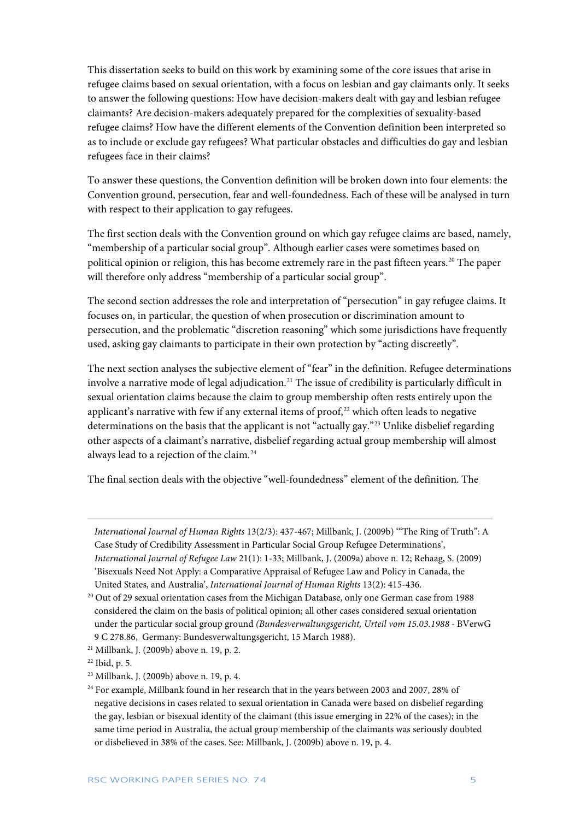This dissertation seeks to build on this work by examining some of the core issues that arise in refugee claims based on sexual orientation, with a focus on lesbian and gay claimants only. It seeks to answer the following questions: How have decision-makers dealt with gay and lesbian refugee claimants? Are decision-makers adequately prepared for the complexities of sexuality-based refugee claims? How have the different elements of the Convention definition been interpreted so as to include or exclude gay refugees? What particular obstacles and difficulties do gay and lesbian refugees face in their claims?

To answer these questions, the Convention definition will be broken down into four elements: the Convention ground, persecution, fear and well-foundedness. Each of these will be analysed in turn with respect to their application to gay refugees.

The first section deals with the Convention ground on which gay refugee claims are based, namely, "membership of a particular social group". Although earlier cases were sometimes based on political opinion or religion, this has become extremely rare in the past fifteen years.<sup>[20](#page-5-0)</sup> The paper will therefore only address "membership of a particular social group".

The second section addresses the role and interpretation of "persecution" in gay refugee claims. It focuses on, in particular, the question of when prosecution or discrimination amount to persecution, and the problematic "discretion reasoning" which some jurisdictions have frequently used, asking gay claimants to participate in their own protection by "acting discreetly".

The next section analyses the subjective element of "fear" in the definition. Refugee determinations involve a narrative mode of legal adjudication.<sup>21</sup> The issue of credibility is particularly difficult in sexual orientation claims because the claim to group membership often rests entirely upon the applicant's narrative with few if any external items of  $proof<sub>1</sub><sup>22</sup>$  $proof<sub>1</sub><sup>22</sup>$  $proof<sub>1</sub><sup>22</sup>$  which often leads to negative determinations on the basis that the applicant is not "actually gay."[23](#page-5-3) Unlike disbelief regarding other aspects of a claimant's narrative, disbelief regarding actual group membership will almost always lead to a rejection of the claim.[24](#page-5-4)

The final section deals with the objective "well-foundedness" element of the definition. The

*International Journal of Human Rights* 13(2/3): 437-467; Millbank, J. (2009b) '"The Ring of Truth": A Case Study of Credibility Assessment in Particular Social Group Refugee Determinations', *International Journal of Refugee Law* 21(1): 1-33; Millbank, J. (2009a) above n. 12; Rehaag, S. (2009) 'Bisexuals Need Not Apply: a Comparative Appraisal of Refugee Law and Policy in Canada, the United States, and Australia', *International Journal of Human Rights* 13(2): 415-436.

<span id="page-5-1"></span><sup>21</sup> Millbank, J. (2009b) above n. 19, p. 2.

<span id="page-5-0"></span><sup>&</sup>lt;sup>20</sup> Out of 29 sexual orientation cases from the Michigan Database, only one German case from 1988 considered the claim on the basis of political opinion; all other cases considered sexual orientation under the particular social group ground *(Bundesverwaltungsgericht, Urteil vom 15.03.1988 -* BVerwG 9 C 278.86, Germany: Bundesverwaltungsgericht, 15 March 1988).

<span id="page-5-2"></span> $22$  Ibid, p. 5.

<span id="page-5-3"></span><sup>23</sup> Millbank, J. (2009b) above n. 19, p. 4.

<span id="page-5-4"></span><sup>&</sup>lt;sup>24</sup> For example, Millbank found in her research that in the years between 2003 and 2007, 28% of negative decisions in cases related to sexual orientation in Canada were based on disbelief regarding the gay, lesbian or bisexual identity of the claimant (this issue emerging in 22% of the cases); in the same time period in Australia, the actual group membership of the claimants was seriously doubted or disbelieved in 38% of the cases. See: Millbank, J. (2009b) above n. 19, p. 4.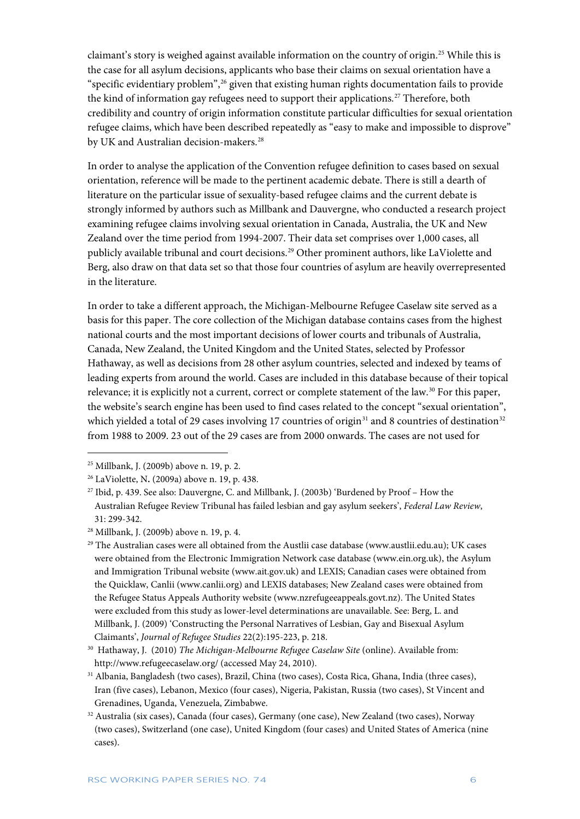claimant's story is weighed against available information on the country of origin.<sup>[25](#page-6-0)</sup> While this is the case for all asylum decisions, applicants who base their claims on sexual orientation have a "specific evidentiary problem", [26](#page-6-1) given that existing human rights documentation fails to provide the kind of information gay refugees need to support their applications.<sup>[27](#page-6-2)</sup> Therefore, both credibility and country of origin information constitute particular difficulties for sexual orientation refugee claims, which have been described repeatedly as "easy to make and impossible to disprove" by UK and Australian decision-makers.<sup>[28](#page-6-3)</sup>

In order to analyse the application of the Convention refugee definition to cases based on sexual orientation, reference will be made to the pertinent academic debate. There is still a dearth of literature on the particular issue of sexuality-based refugee claims and the current debate is strongly informed by authors such as Millbank and Dauvergne, who conducted a research project examining refugee claims involving sexual orientation in Canada, Australia, the UK and New Zealand over the time period from 1994-2007. Their data set comprises over 1,000 cases, all publicly available tribunal and court decisions.<sup>[29](#page-6-4)</sup> Other prominent authors, like LaViolette and Berg, also draw on that data set so that those four countries of asylum are heavily overrepresented in the literature.

In order to take a different approach, the Michigan-Melbourne Refugee Caselaw site served as a basis for this paper. The core collection of the Michigan database contains cases from the highest national courts and the most important decisions of lower courts and tribunals of Australia, Canada, New Zealand, the United Kingdom and the United States, selected by Professor Hathaway, as well as decisions from 28 other asylum countries, selected and indexed by teams of leading experts from around the world. Cases are included in this database because of their topical relevance; it is explicitly not a current, correct or complete statement of the law[.30](#page-6-5) For this paper, the website's search engine has been used to find cases related to the concept "sexual orientation", which yielded a total of 29 cases involving 17 countries of origin<sup>[31](#page-6-6)</sup> and 8 countries of destination<sup>[32](#page-6-7)</sup> from 1988 to 2009. 23 out of the 29 cases are from 2000 onwards. The cases are not used for

 $\ddot{\phantom{a}}$ 

<span id="page-6-0"></span><sup>25</sup> Millbank, J. (2009b) above n. 19, p. 2.

<span id="page-6-1"></span><sup>26</sup> LaViolette, N**.** (2009a) above n. 19, p. 438.

<span id="page-6-2"></span><sup>27</sup> Ibid, p. 439. See also: Dauvergne, C. and Millbank, J. (2003b) 'Burdened by Proof – How the Australian Refugee Review Tribunal has failed lesbian and gay asylum seekers', *Federal Law Review*, 31: 299-342.

<span id="page-6-3"></span><sup>28</sup> Millbank, J. (2009b) above n. 19, p. 4.

<span id="page-6-4"></span><sup>&</sup>lt;sup>29</sup> The Australian cases were all obtained from the Austlii case database [\(www.austlii.edu.au\)](http://www.austlii.edu.au/); UK cases were obtained from the Electronic Immigration Network case database [\(www.ein.org.uk\)](http://www.ein.org.uk/), the Asylum and Immigration Tribunal website [\(www.ait.gov.uk\)](http://www.ait.gov.uk/) and LEXIS; Canadian cases were obtained from the Quicklaw, Canlii [\(www.canlii.org\)](http://www.canlii.org/) and LEXIS databases; New Zealand cases were obtained from the Refugee Status Appeals Authority website [\(www.nzrefugeeappeals.govt.nz\)](http://www.nzrefugeeappeals.govt.nz/). The United States were excluded from this study as lower-level determinations are unavailable. See: Berg, L. and Millbank, J. (2009) 'Constructing the Personal Narratives of Lesbian, Gay and Bisexual Asylum Claimants', *Journal of Refugee Studies* 22(2):195-223, p. 218.

<span id="page-6-5"></span><sup>30</sup> Hathaway, J. (2010) *The Michigan-Melbourne Refugee Caselaw Site* (online). Available from: <http://www.refugeecaselaw.org/> (accessed May 24, 2010).

<span id="page-6-6"></span><sup>31</sup> Albania, Bangladesh (two cases), Brazil, China (two cases), Costa Rica, Ghana, India (three cases), Iran (five cases), Lebanon, Mexico (four cases), Nigeria, Pakistan, Russia (two cases), St Vincent and Grenadines, Uganda, Venezuela, Zimbabwe.

<span id="page-6-7"></span><sup>32</sup> Australia (six cases), Canada (four cases), Germany (one case), New Zealand (two cases), Norway (two cases), Switzerland (one case), United Kingdom (four cases) and United States of America (nine cases).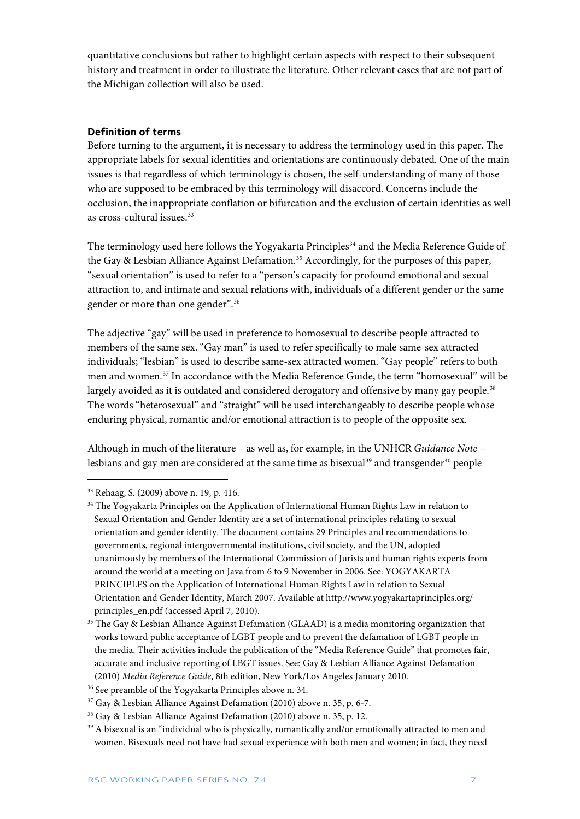quantitative conclusions but rather to highlight certain aspects with respect to their subsequent history and treatment in order to illustrate the literature. Other relevant cases that are not part of the Michigan collection will also be used.

### <span id="page-7-0"></span>**Definition of terms**

Before turning to the argument, it is necessary to address the terminology used in this paper. The appropriate labels for sexual identities and orientations are continuously debated. One of the main issues is that regardless of which terminology is chosen, the self-understanding of many of those who are supposed to be embraced by this terminology will disaccord. Concerns include the occlusion, the inappropriate conflation or bifurcation and the exclusion of certain identities as well as cross-cultural issues.[33](#page-7-1)

The terminology used here follows the Yogyakarta Principles<sup>[34](#page-7-2)</sup> and the Media Reference Guide of the Gay & Lesbian Alliance Against Defamation. [35](#page-7-3) Accordingly, for the purposes of this paper, "sexual orientation" is used to refer to a "person's capacity for profound emotional and sexual attraction to, and intimate and sexual relations with, individuals of a different gender or the same gender or more than one gender". [36](#page-7-4)

The adjective "gay" will be used in preference to homosexual to describe people attracted to members of the same sex. "Gay man" is used to refer specifically to male same-sex attracted individuals; "lesbian" is used to describe same-sex attracted women. "Gay people" refers to both men and women.[37](#page-7-5) In accordance with the Media Reference Guide, the term "homosexual" will be largely avoided as it is outdated and considered derogatory and offensive by many gay people.<sup>[38](#page-7-6)</sup> The words "heterosexual" and "straight" will be used interchangeably to describe people whose enduring physical, romantic and/or emotional attraction is to people of the opposite sex.

Although in much of the literature – as well as, for example, in the UNHCR *Guidance Note –* lesbians and gay men are considered at the same time as bisexual<sup>[39](#page-7-7)</sup> and transgender<sup>[40](#page-7-1)</sup> people

<span id="page-7-1"></span><sup>33</sup> Rehaag, S. (2009) above n. 19, p. 416.

<span id="page-7-2"></span><sup>&</sup>lt;sup>34</sup> The Yogyakarta Principles on the Application of International Human Rights Law in relation to Sexual Orientation and Gender Identity are a set of international principles relating to sexual orientation and gender identity. The document contains 29 Principles and recommendations to governments, regional intergovernmental institutions, civil society, and the UN, adopted unanimously by members of th[e International Commission of Jurists](http://en.wikipedia.org/wiki/International_Commission_of_Jurists) and human rights experts from around the world at a meeting on [Java](http://en.wikipedia.org/wiki/Java_%28island%29) from 6 to 9 November in 2006. See: YOGYAKARTA PRINCIPLES on the Application of International Human Rights Law in relation to Sexual Orientation and Gender Identity, March 2007. Available at http://www.yogyakartaprinciples.org/ principles\_en.pdf (accessed April 7, 2010).

<span id="page-7-3"></span><sup>&</sup>lt;sup>35</sup> The Gay & Lesbian Alliance Against Defamation (GLAAD) is a media monitoring organization that works toward public acceptance of LGBT people and to prevent the defamation o[f LGBT](http://en.wikipedia.org/wiki/LGBT) people in the media. Their activities include the publication of the "Media Reference Guide" that promotes fair, accurate and inclusive reporting of LBGT issues. See: Gay & Lesbian Alliance Against Defamation (2010) *Media Reference Guide*, 8th edition, New York/Los Angeles January 2010.

<span id="page-7-4"></span><sup>36</sup> See preamble of the Yogyakarta Principles above n. 34.

<span id="page-7-5"></span><sup>37</sup> Gay & Lesbian Alliance Against Defamation (2010) above n. 35, p. 6-7.

<span id="page-7-6"></span><sup>38</sup> Gay & Lesbian Alliance Against Defamation (2010) above n. 35, p. 12.

<span id="page-7-7"></span><sup>&</sup>lt;sup>39</sup> A bisexual is an "individual who is physically, romantically and/or emotionally attracted to men and women. Bisexuals need not have had sexual experience with both men and women; in fact, they need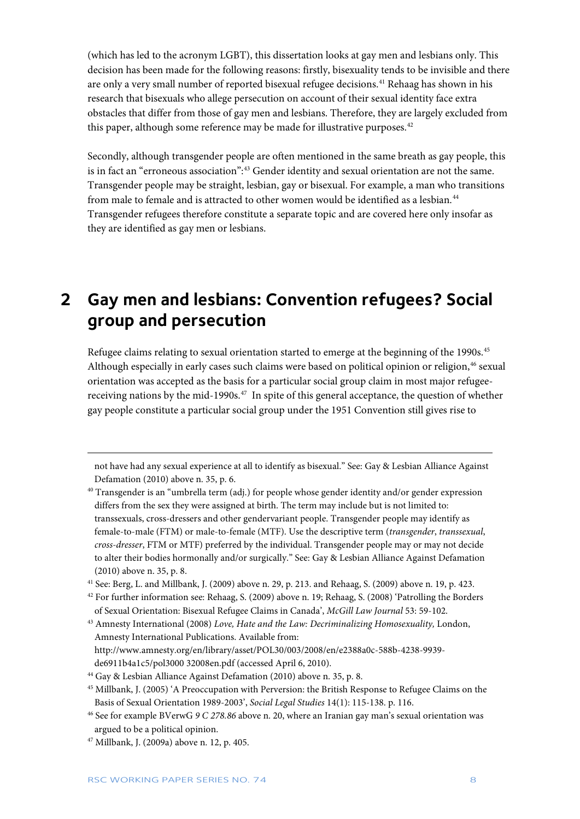(which has led to the acronym LGBT), this dissertation looks at gay men and lesbians only. This decision has been made for the following reasons: firstly, bisexuality tends to be invisible and there are only a very small number of reported bisexual refugee decisions.[41](#page-8-1) Rehaag has shown in his research that bisexuals who allege persecution on account of their sexual identity face extra obstacles that differ from those of gay men and lesbians. Therefore, they are largely excluded from this paper, although some reference may be made for illustrative purposes.<sup>[42](#page-8-2)</sup>

Secondly, although transgender people are often mentioned in the same breath as gay people, this is in fact an "erroneous association": [43](#page-8-3) Gender identity and sexual orientation are not the same. Transgender people may be straight, lesbian, gay or bisexual. For example, a man who transitions from male to female and is attracted to other women would be identified as a lesbian.<sup>[44](#page-8-4)</sup> Transgender refugees therefore constitute a separate topic and are covered here only insofar as they are identified as gay men or lesbians.

# <span id="page-8-0"></span>**2 Gay men and lesbians: Convention refugees? Social group and persecution**

Refugee claims relating to sexual orientation started to emerge at the beginning of the 1990s.<sup>[45](#page-8-5)</sup> Although especially in early cases such claims were based on political opinion or religion,<sup>[46](#page-8-6)</sup> sexual orientation was accepted as the basis for a particular social group claim in most major refugeereceiving nations by the mid-1990s.<sup>47</sup> In spite of this general acceptance, the question of whether gay people constitute a particular social group under the 1951 Convention still gives rise to

not have had any sexual experience at all to identify as bisexual." See: Gay & Lesbian Alliance Against Defamation (2010) above n. 35, p. 6.

<sup>40</sup> Transgender is an "umbrella term (adj.) for people whose gender identity and/or gender expression differs from the sex they were assigned at birth. The term may include but is not limited to: transsexuals, cross-dressers and other gendervariant people. Transgender people may identify as female-to-male (FTM) or male-to-female (MTF). Use the descriptive term (*transgender*, *transsexual*, *cross-dresser*, FTM or MTF) preferred by the individual. Transgender people may or may not decide to alter their bodies hormonally and/or surgically." See: Gay & Lesbian Alliance Against Defamation (2010) above n. 35, p. 8.

<span id="page-8-1"></span><sup>41</sup> See: Berg, L. and Millbank, J. (2009) above n. 29, p. 213. and Rehaag, S. (2009) above n. 19, p. 423.

<span id="page-8-2"></span><sup>42</sup> For further information see: Rehaag, S. (2009) above n. 19; Rehaag, S. (2008) 'Patrolling the Borders of Sexual Orientation: Bisexual Refugee Claims in Canada', *McGill Law Journal* 53: 59-102.

<span id="page-8-3"></span><sup>43</sup> Amnesty International (2008) *Love, Hate and the Law: Decriminalizing Homosexuality,* London, Amnesty International Publications. Available from: [http://www.amnesty.org/en/l](http://www.amnesty.org/en/)ibrary/asset/POL30/003/2008/en/e2388a0c-588b-4238-9939 de6911b4a1c5/pol3000 32008en.pdf (accessed April 6, 2010).

<span id="page-8-7"></span><sup>47</sup> Millbank, J. (2009a) above n. 12, p. 405.

 $\ddot{\phantom{a}}$ 

<span id="page-8-4"></span><sup>44</sup> Gay & Lesbian Alliance Against Defamation (2010) above n. 35, p. 8.

<span id="page-8-5"></span><sup>45</sup> Millbank, J. (2005) 'A Preoccupation with Perversion: the British Response to Refugee Claims on the Basis of Sexual Orientation 1989-2003', *Social Legal Studies* 14(1): 115-138. p. 116.

<span id="page-8-6"></span><sup>46</sup> See for example BVerwG *9 C 278.86* above n. 20, where an Iranian gay man's sexual orientation was argued to be a political opinion.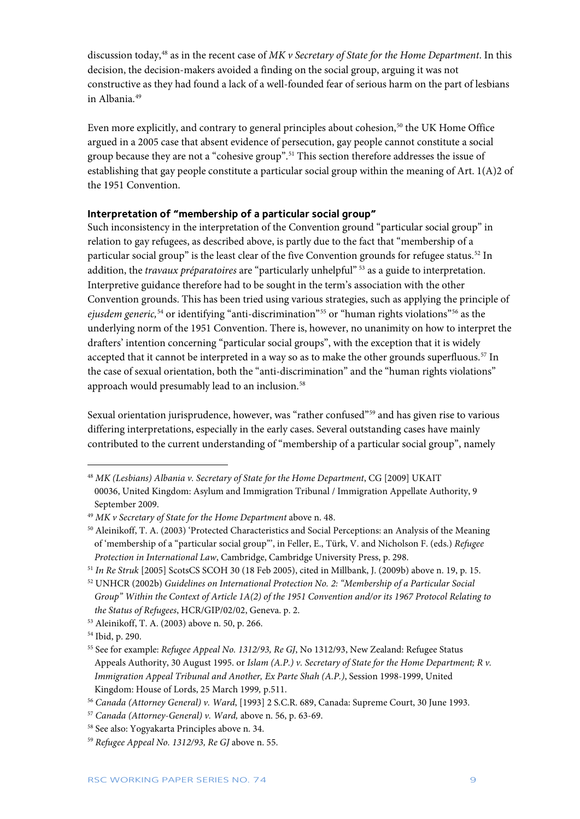discussion today,[48](#page-9-1) as in the recent case of *MK v Secretary of State for the Home Department*. In this decision, the decision-makers avoided a finding on the social group, arguing it was not constructive as they had found a lack of a well-founded fear of serious harm on the part of lesbians in Albania.[49](#page-9-2)

Even more explicitly, and contrary to general principles about cohesion,<sup>[50](#page-9-3)</sup> the UK Home Office argued in a 2005 case that absent evidence of persecution, gay people cannot constitute a social group because they are not a "cohesive group". [51](#page-9-4) This section therefore addresses the issue of establishing that gay people constitute a particular social group within the meaning of Art. 1(A)2 of the 1951 Convention.

### <span id="page-9-0"></span>**Interpretation of "membership of a particular social group"**

Such inconsistency in the interpretation of the Convention ground "particular social group" in relation to gay refugees, as described above, is partly due to the fact that "membership of a particular social group" is the least clear of the five Convention grounds for refugee status.<sup>[52](#page-9-5)</sup> In addition, the *travaux préparatoires* are "particularly unhelpful" [53](#page-9-6) as a guide to interpretation. Interpretive guidance therefore had to be sought in the term's association with the other Convention grounds. This has been tried using various strategies, such as applying the principle of *ejusdem generic,*[54](#page-9-7) or identifying "anti-discrimination"[55](#page-9-8) or "human rights violations"[56](#page-9-9) as the underlying norm of the 1951 Convention. There is, however, no unanimity on how to interpret the drafters' intention concerning "particular social groups", with the exception that it is widely accepted that it cannot be interpreted in a way so as to make the other grounds superfluous.<sup>[57](#page-9-10)</sup> In the case of sexual orientation, both the "anti-discrimination" and the "human rights violations" approach would presumably lead to an inclusion.<sup>[58](#page-9-11)</sup>

Sexual orientation jurisprudence, however, was "rather confused"[59](#page-9-12) and has given rise to various differing interpretations, especially in the early cases. Several outstanding cases have mainly contributed to the current understanding of "membership of a particular social group", namely

<span id="page-9-1"></span><sup>48</sup> *MK (Lesbians) Albania v. Secretary of State for the Home Department*, CG [2009] UKAIT 00036, United Kingdom: Asylum and Immigration Tribunal / Immigration Appellate Authority, 9 September 2009.

<span id="page-9-2"></span><sup>49</sup> *MK v Secretary of State for the Home Department* above n. 48.

<span id="page-9-3"></span><sup>50</sup> Aleinikoff, T. A. (2003) 'Protected Characteristics and Social Perceptions: an Analysis of the Meaning of 'membership of a "particular social group"', in Feller, E., Türk, V. and Nicholson F. (eds.) *Refugee Protection in International Law*, Cambridge, Cambridge University Press, p. 298.

<span id="page-9-4"></span><sup>51</sup> *In Re Struk* [2005] ScotsCS SCOH 30 (18 Feb 2005), cited in Millbank, J. (2009b) above n. 19, p. 15.

<span id="page-9-5"></span><sup>52</sup> UNHCR (2002b) *Guidelines on International Protection No. 2: "Membership of a Particular Social Group" Within the Context of Article 1A(2) of the 1951 Convention and/or its 1967 Protocol Relating to the Status of Refugees*, HCR/GIP/02/02, Geneva. p. 2.

<span id="page-9-6"></span><sup>53</sup> Aleinikoff, T. A. (2003) above n. 50, p. 266.

<span id="page-9-7"></span><sup>54</sup> Ibid, p. 290.

<span id="page-9-8"></span><sup>55</sup> See for example: *Refugee Appeal No. 1312/93, Re GJ*, No 1312/93, New Zealand: Refugee Status Appeals Authority, 30 August 1995. or *Islam (A.P.) v. Secretary of State for the Home Department; R v. Immigration Appeal Tribunal and Another, Ex Parte Shah (A.P.)*, Session 1998-1999, United Kingdom: House of Lords, 25 March 1999*,* p.511.

<span id="page-9-9"></span><sup>56</sup> *Canada (Attorney General) v. Ward*, [1993] 2 S.C.R. 689, Canada: Supreme Court, 30 June 1993.

<span id="page-9-10"></span><sup>57</sup> *Canada (Attorney-General) v. Ward,* above n. 56, p. 63-69.

<span id="page-9-11"></span><sup>58</sup> See also: Yogyakarta Principles above n. 34.

<span id="page-9-12"></span><sup>59</sup> *Refugee Appeal No. 1312/93, Re GJ* above n. 55.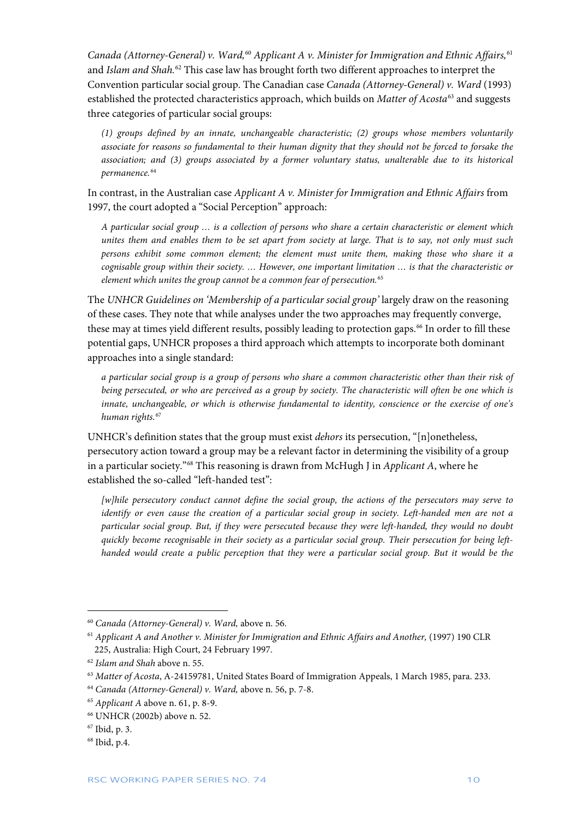*Canada (Attorney-General) v. Ward,*[60](#page-10-0) *Applicant A v. Minister for Immigration and Ethnic Affairs,*[61](#page-10-1) and *Islam and Shah.*[62](#page-10-2) This case law has brought forth two different approaches to interpret the Convention particular social group. The Canadian case *Canada (Attorney-General) v. Ward* (1993) established the protected characteristics approach, which builds on *Matter of Acosta*[63](#page-10-3) and suggests three categories of particular social groups:

*(1) groups defined by an innate, unchangeable characteristic; (2) groups whose members voluntarily associate for reasons so fundamental to their human dignity that they should not be forced to forsake the association; and (3) groups associated by a former voluntary status, unalterable due to its historical permanence.*[64](#page-10-4)

In contrast, in the Australian case *Applicant A v. Minister for Immigration and Ethnic Affairs* from 1997, the court adopted a "Social Perception" approach:

*A particular social group … is a collection of persons who share a certain characteristic or element which unites them and enables them to be set apart from society at large. That is to say, not only must such persons exhibit some common element; the element must unite them, making those who share it a cognisable group within their society. … However, one important limitation … is that the characteristic or element which unites the group cannot be a common fear of persecution.*[65](#page-10-5)

The *UNHCR Guidelines on 'Membership of a particular social group'* largely draw on the reasoning of these cases. They note that while analyses under the two approaches may frequently converge, these may at times yield different results, possibly leading to protection gaps.<sup>[66](#page-10-6)</sup> In order to fill these potential gaps, UNHCR proposes a third approach which attempts to incorporate both dominant approaches into a single standard:

*a particular social group is a group of persons who share a common characteristic other than their risk of being persecuted, or who are perceived as a group by society. The characteristic will often be one which is innate, unchangeable, or which is otherwise fundamental to identity, conscience or the exercise of one's human rights.*[67](#page-10-7)

UNHCR's definition states that the group must exist *dehors* its persecution, "[n]onetheless, persecutory action toward a group may be a relevant factor in determining the visibility of a group in a particular society."[68](#page-10-8) This reasoning is drawn from McHugh J in *Applicant A*, where he established the so-called "left-handed test":

*[w]hile persecutory conduct cannot define the social group, the actions of the persecutors may serve to identify or even cause the creation of a particular social group in society. Left-handed men are not a particular social group. But, if they were persecuted because they were left-handed, they would no doubt quickly become recognisable in their society as a particular social group. Their persecution for being lefthanded would create a public perception that they were a particular social group. But it would be the* 

<span id="page-10-0"></span><sup>60</sup> *Canada (Attorney-General) v. Ward,* above n. 56.

<span id="page-10-1"></span><sup>&</sup>lt;sup>61</sup> Applicant A and Another v. Minister for Immigration and Ethnic Affairs and Another, (1997) 190 CLR 225, Australia: High Court, 24 February 1997.

<span id="page-10-2"></span><sup>62</sup> *Islam and Shah* above n. 55.

<span id="page-10-3"></span><sup>63</sup> *Matter of Acosta*, A-24159781, United States Board of Immigration Appeals, 1 March 1985, para. 233.

<span id="page-10-4"></span><sup>64</sup> *Canada (Attorney-General) v. Ward,* above n. 56, p. 7-8.

<span id="page-10-5"></span><sup>65</sup> *Applicant A* above n. 61, p. 8-9.

<span id="page-10-6"></span><sup>66</sup> UNHCR (2002b) above n. 52.

<span id="page-10-7"></span><sup>67</sup> Ibid, p. 3.

<span id="page-10-8"></span><sup>68</sup> Ibid, p.4.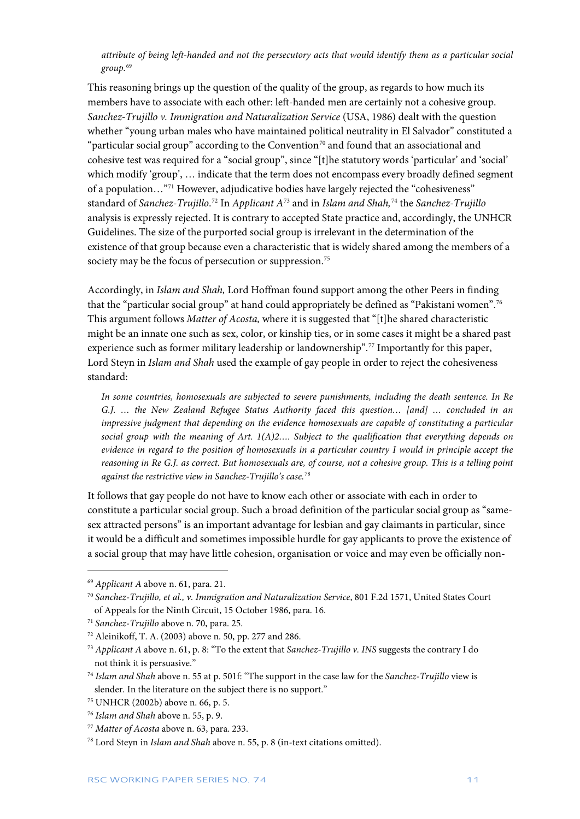*attribute of being left-handed and not the persecutory acts that would identify them as a particular social group.* [69](#page-11-0)

This reasoning brings up the question of the quality of the group, as regards to how much its members have to associate with each other: left-handed men are certainly not a cohesive group. *Sanchez-Trujillo v. Immigration and Naturalization Service* (USA, 1986) dealt with the question whether "young urban males who have maintained political neutrality in El Salvador" constituted a "particular social group" according to the Convention<sup>[70](#page-11-1)</sup> and found that an associational and cohesive test was required for a "social group", since "[t]he statutory words 'particular' and 'social' which modify 'group', … indicate that the term does not encompass every broadly defined segment of a population…"[71](#page-11-2) However, adjudicative bodies have largely rejected the "cohesiveness" standard of *Sanchez-Trujillo*. [72](#page-11-3) In *Applicant A*[73](#page-11-4) and in *Islam and Shah,*[74](#page-11-5) the *Sanchez-Trujillo* analysis is expressly rejected. It is contrary to accepted State practice and, accordingly, the UNHCR Guidelines. The size of the purported social group is irrelevant in the determination of the existence of that group because even a characteristic that is widely shared among the members of a society may be the focus of persecution or suppression.<sup>[75](#page-11-6)</sup>

Accordingly, in *Islam and Shah,* Lord Hoffman found support among the other Peers in finding that the "particular social group" at hand could appropriately be defined as "Pakistani women".<sup>[76](#page-11-7)</sup> This argument follows *Matter of Acosta,* where it is suggested that "[t]he shared characteristic might be an innate one such as sex, color, or kinship ties, or in some cases it might be a shared past experience such as former military leadership or landownership".<sup>[77](#page-11-8)</sup> Importantly for this paper, Lord Steyn in *Islam and Shah* used the example of gay people in order to reject the cohesiveness standard:

*In some countries, homosexuals are subjected to severe punishments, including the death sentence. In Re G.J. … the New Zealand Refugee Status Authority faced this question… [and] … concluded in an impressive judgment that depending on the evidence homosexuals are capable of constituting a particular social group with the meaning of Art. 1(A)2…. Subject to the qualification that everything depends on evidence in regard to the position of homosexuals in a particular country I would in principle accept the reasoning in Re G.J. as correct. But homosexuals are, of course, not a cohesive group. This is a telling point against the restrictive view in Sanchez-Trujillo's case.*[78](#page-11-9)

It follows that gay people do not have to know each other or associate with each in order to constitute a particular social group. Such a broad definition of the particular social group as "samesex attracted persons" is an important advantage for lesbian and gay claimants in particular, since it would be a difficult and sometimes impossible hurdle for gay applicants to prove the existence of a social group that may have little cohesion, organisation or voice and may even be officially non-

 $\ddot{\phantom{a}}$ 

<span id="page-11-0"></span><sup>69</sup> *Applicant A* above n. 61, para. 21.

<span id="page-11-1"></span><sup>70</sup> *Sanchez-Trujillo, et al., v. Immigration and Naturalization Service*, 801 F.2d 1571, United States Court of Appeals for the Ninth Circuit, 15 October 1986, para. 16.

<span id="page-11-2"></span><sup>71</sup> *Sanchez-Trujillo* above n. 70, para. 25.

<span id="page-11-3"></span><sup>72</sup> Aleinikoff, T. A. (2003) above n. 50, pp. 277 and 286.

<span id="page-11-4"></span><sup>73</sup> *Applicant A* above n. 61, p. 8: "To the extent that *Sanchez-Trujillo v. INS* suggests the contrary I do not think it is persuasive."

<span id="page-11-5"></span><sup>74</sup> *Islam and Shah* above n. 55 at p. 501f: "The support in the case law for the *Sanchez-Trujillo* view is slender. In the literature on the subject there is no support."

<span id="page-11-6"></span><sup>75</sup> UNHCR (2002b) above n. 66, p. 5.

<span id="page-11-7"></span><sup>76</sup> *Islam and Shah* above n. 55, p. 9.

<span id="page-11-8"></span><sup>77</sup> *Matter of Acosta* above n. 63, para. 233.

<span id="page-11-9"></span><sup>78</sup> Lord Steyn in *Islam and Shah* above n. 55, p. 8 (in-text citations omitted).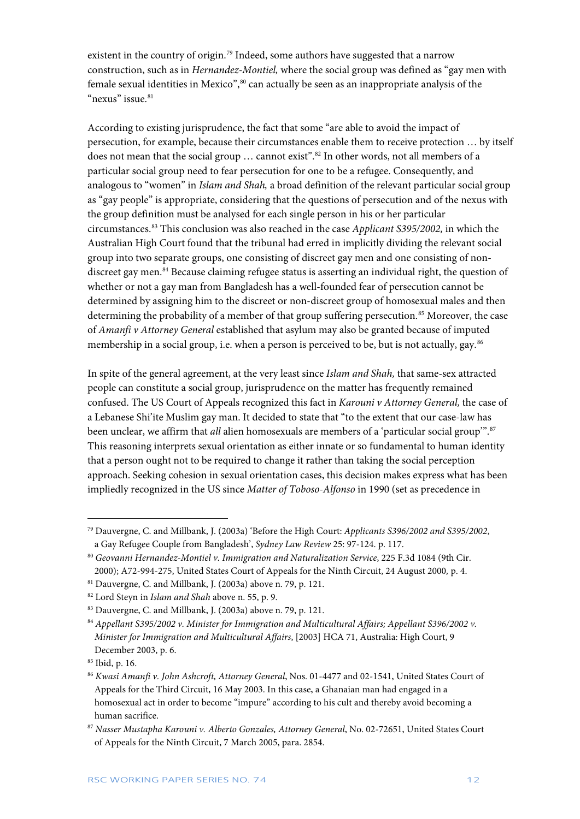existent in the country of origin.<sup>[79](#page-12-0)</sup> Indeed, some authors have suggested that a narrow construction, such as in *Hernandez-Montiel,* where the social group was defined as "gay men with female sexual identities in Mexico",<sup>[80](#page-12-1)</sup> can actually be seen as an inappropriate analysis of the "nexus" issue.<sup>81</sup>

According to existing jurisprudence, the fact that some "are able to avoid the impact of persecution, for example, because their circumstances enable them to receive protection … by itself does not mean that the social group ... cannot exist".<sup>[82](#page-12-3)</sup> In other words, not all members of a particular social group need to fear persecution for one to be a refugee. Consequently, and analogous to "women" in *Islam and Shah,* a broad definition of the relevant particular social group as "gay people" is appropriate, considering that the questions of persecution and of the nexus with the group definition must be analysed for each single person in his or her particular circumstances.[83](#page-12-4) This conclusion was also reached in the case *Applicant S395/2002,* in which the Australian High Court found that the tribunal had erred in implicitly dividing the relevant social group into two separate groups, one consisting of discreet gay men and one consisting of nondiscreet gay men. [84](#page-12-5) Because claiming refugee status is asserting an individual right, the question of whether or not a gay man from Bangladesh has a well-founded fear of persecution cannot be determined by assigning him to the discreet or non-discreet group of homosexual males and then determining the probability of a member of that group suffering persecution.<sup>[85](#page-12-6)</sup> Moreover, the case of *Amanfi v Attorney General* established that asylum may also be granted because of imputed membership in a social group, i.e. when a person is perceived to be, but is not actually, gay.<sup>[86](#page-12-7)</sup>

In spite of the general agreement, at the very least since *Islam and Shah,* that same-sex attracted people can constitute a social group, jurisprudence on the matter has frequently remained confused. The US Court of Appeals recognized this fact in *Karouni v Attorney General,* the case of a Lebanese Shi'ite Muslim gay man. It decided to state that "to the extent that our case-law has been unclear, we affirm that *all* alien homosexuals are members of a 'particular social group'". [87](#page-12-8) This reasoning interprets sexual orientation as either innate or so fundamental to human identity that a person ought not to be required to change it rather than taking the social perception approach. Seeking cohesion in sexual orientation cases, this decision makes express what has been impliedly recognized in the US since *Matter of Toboso-Alfonso* in 1990 (set as precedence in

<span id="page-12-0"></span><sup>79</sup> Dauvergne, C. and Millbank, J. (2003a) 'Before the High Court: *Applicants S396/2002 and S395/2002*, a Gay Refugee Couple from Bangladesh', *Sydney Law Review* 25: 97-124. p. 117.

<span id="page-12-1"></span><sup>80</sup> *Geovanni Hernandez-Montiel v. Immigration and Naturalization Service*, 225 F.3d 1084 (9th Cir. 2000); A72-994-275, United States Court of Appeals for the Ninth Circuit, 24 August 2000*,* p. 4.

<span id="page-12-2"></span> $81$  Dauvergne, C. and Millbank, J. (2003a) above n. 79, p. 121.

<span id="page-12-3"></span><sup>82</sup> Lord Steyn in *Islam and Shah* above n. 55, p. 9.

<span id="page-12-4"></span><sup>83</sup> Dauvergne, C. and Millbank, J. (2003a) above n. 79, p. 121.

<span id="page-12-5"></span><sup>84</sup> *Appellant S395/2002 v. Minister for Immigration and Multicultural Affairs; Appellant S396/2002 v. Minister for Immigration and Multicultural Affairs*, [2003] HCA 71, Australia: High Court, 9 December 2003, p. 6.

<span id="page-12-6"></span><sup>85</sup> Ibid, p. 16.

<span id="page-12-7"></span><sup>86</sup> *Kwasi Amanfi v. John Ashcroft, Attorney General*, Nos. 01-4477 and 02-1541, United States Court of Appeals for the Third Circuit, 16 May 2003. In this case, a Ghanaian man had engaged in a homosexual act in order to become "impure" according to his cult and thereby avoid becoming a human sacrifice.

<span id="page-12-8"></span><sup>87</sup> *Nasser Mustapha Karouni v. Alberto Gonzales, Attorney General*, No. 02-72651, United States Court of Appeals for the Ninth Circuit, 7 March 2005, para. 2854.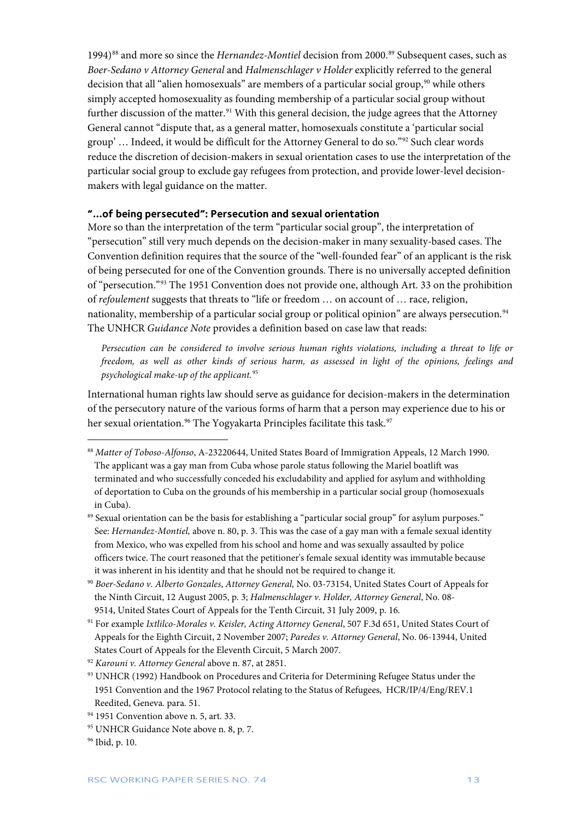1994)<sup>[88](#page-13-1)</sup> and more so since the *Hernandez-Montiel* decision from 2000.<sup>[89](#page-13-2)</sup> Subsequent cases, such as *Boer-Sedano v Attorney General* and *Halmenschlager v Holder* explicitly referred to the general decision that all "alien homosexuals" are members of a particular social group,<sup>[90](#page-13-3)</sup> while others simply accepted homosexuality as founding membership of a particular social group without further discussion of the matter.<sup>[91](#page-13-4)</sup> With this general decision, the judge agrees that the Attorney General cannot "dispute that, as a general matter, homosexuals constitute a 'particular social group' … Indeed, it would be difficult for the Attorney General to do so."[92](#page-13-5) Such clear words reduce the discretion of decision-makers in sexual orientation cases to use the interpretation of the particular social group to exclude gay refugees from protection, and provide lower-level decisionmakers with legal guidance on the matter.

#### <span id="page-13-0"></span>**"…of being persecuted": Persecution and sexual orientation**

More so than the interpretation of the term "particular social group", the interpretation of "persecution" still very much depends on the decision-maker in many sexuality-based cases. The Convention definition requires that the source of the "well-founded fear" of an applicant is the risk of being persecuted for one of the Convention grounds. There is no universally accepted definition of "persecution."[93](#page-13-6) The 1951 Convention does not provide one, although Art. 33 on the prohibition of *refoulement* suggests that threats to "life or freedom … on account of … race, religion, nationality, membership of a particular social group or political opinion" are always persecution.<sup>[94](#page-13-7)</sup> The UNHCR *Guidance Note* provides a definition based on case law that reads:

*Persecution can be considered to involve serious human rights violations, including a threat to life or freedom, as well as other kinds of serious harm, as assessed in light of the opinions, feelings and psychological make-up of the applicant.*[95](#page-13-8)

International human rights law should serve as guidance for decision-makers in the determination of the persecutory nature of the various forms of harm that a person may experience due to his or her sexual orientation.<sup>[96](#page-13-9)</sup> The Yogyakarta Principles facilitate this task.<sup>[97](#page-13-10)</sup>

<span id="page-13-7"></span><sup>94</sup> 1951 Convention above n. 5, art. 33.

<span id="page-13-1"></span><sup>88</sup> *Matter of Toboso-Alfonso*, A-23220644, United States Board of Immigration Appeals, 12 March 1990. The applicant was a gay man from Cuba whose parole status following the Mariel boatlift was terminated and who successfully conceded his excludability and applied for asylum and withholding of deportation to Cuba on the grounds of his membership in a particular social group (homosexuals in Cuba).

<span id="page-13-2"></span><sup>&</sup>lt;sup>89</sup> Sexual orientation can be the basis for establishing a "particular social group" for asylum purposes." See: *Hernandez-Montiel*, above n. 80, p. 3. This was the case of a gay man with a female sexual identity from Mexico, who was expelled from his school and home and was sexually assaulted by police officers twice. The court reasoned that the petitioner's female sexual identity was immutable because it was inherent in his identity and that he should not be required to change it.

<span id="page-13-10"></span><span id="page-13-3"></span><sup>90</sup> *Boer-Sedano v. Alberto Gonzales*, *Attorney General,* No. 03-73154, United States Court of Appeals for the Ninth Circuit, 12 August 2005, p. 3; *Halmenschlager v. Holder, Attorney General*, No. 08- 9514, United States Court of Appeals for the Tenth Circuit, 31 July 2009, p. 16*.*

<span id="page-13-4"></span><sup>91</sup> For example *Ixtlilco-Morales v. Keisler, Acting Attorney General*, 507 F.3d 651, United States Court of Appeals for the Eighth Circuit, 2 November 2007; *Paredes v. Attorney General*, No. 06-13944, United States Court of Appeals for the Eleventh Circuit, 5 March 2007*.* 

<span id="page-13-5"></span><sup>92</sup> *Karouni v. Attorney General* above n. 87, at 2851.

<span id="page-13-6"></span><sup>93</sup> UNHCR (1992) Handbook on Procedures and Criteria for Determining Refugee Status under the 1951 Convention and the 1967 Protocol relating to the Status of Refugees, HCR/IP/4/Eng/REV.1 Reedited, Geneva. para. 51.

<span id="page-13-8"></span><sup>95</sup> UNHCR Guidance Note above n. 8, p. 7.

<span id="page-13-9"></span><sup>96</sup> Ibid, p. 10.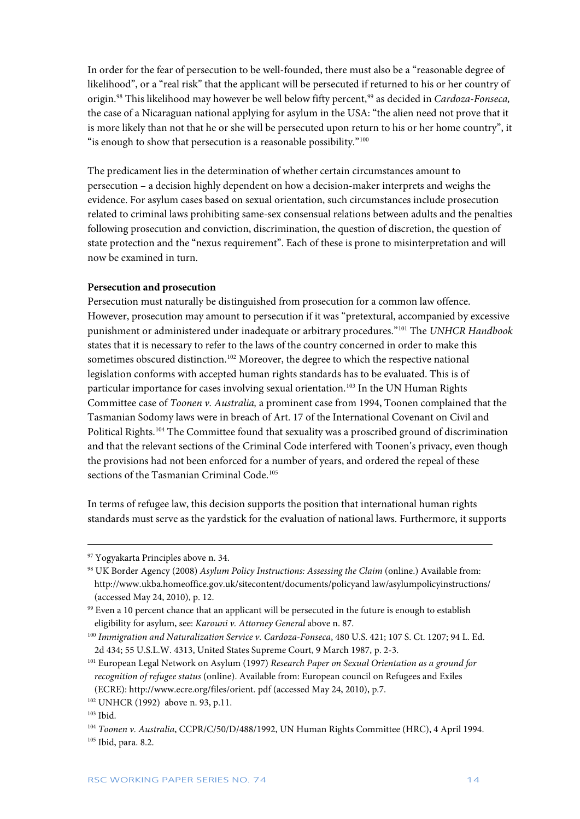In order for the fear of persecution to be well-founded, there must also be a "reasonable degree of likelihood", or a "real risk" that the applicant will be persecuted if returned to his or her country of origin.<sup>[98](#page-14-0)</sup> This likelihood may however be well below fifty percent,<sup>[99](#page-14-1)</sup> as decided in *Cardoza-Fonseca*, the case of a Nicaraguan national applying for asylum in the USA: "the alien need not prove that it is more likely than not that he or she will be persecuted upon return to his or her home country", it "is enough to show that persecution is a reasonable possibility."<sup>[100](#page-14-2)</sup>

The predicament lies in the determination of whether certain circumstances amount to persecution – a decision highly dependent on how a decision-maker interprets and weighs the evidence. For asylum cases based on sexual orientation, such circumstances include prosecution related to criminal laws prohibiting same-sex consensual relations between adults and the penalties following prosecution and conviction, discrimination, the question of discretion, the question of state protection and the "nexus requirement". Each of these is prone to misinterpretation and will now be examined in turn.

#### **Persecution and prosecution**

Persecution must naturally be distinguished from prosecution for a common law offence. However, prosecution may amount to persecution if it was "pretextural, accompanied by excessive punishment or administered under inadequate or arbitrary procedures."[101](#page-14-3) The *UNHCR Handbook*  states that it is necessary to refer to the laws of the country concerned in order to make this sometimes obscured distinction.<sup>[102](#page-14-4)</sup> Moreover, the degree to which the respective national legislation conforms with accepted human rights standards has to be evaluated. This is of particular importance for cases involving sexual orientation.<sup>[103](#page-14-5)</sup> In the UN Human Rights Committee case of *Toonen v. Australia,* a prominent case from 1994, Toonen complained that the Tasmanian Sodomy laws were in breach of Art. 17 of the International Covenant on Civil and Political Rights.[104](#page-14-6) The Committee found that sexuality was a proscribed ground of discrimination and that the relevant sections of the Criminal Code interfered with Toonen's privacy, even though the provisions had not been enforced for a number of years, and ordered the repeal of these sections of the Tasmanian Criminal Code.<sup>[105](#page-14-7)</sup>

In terms of refugee law, this decision supports the position that international human rights standards must serve as the yardstick for the evaluation of national laws. Furthermore, it supports

<sup>97</sup> Yogyakarta Principles above n. 34.

<span id="page-14-0"></span><sup>98</sup> UK Border Agency (2008) *Asylum Policy Instructions: Assessing the Claim* (online.) Available from: [http://www.ukba.homeoffice.gov.uk/sitecontent/documents/policyand law/asylumpolicyinstructions/](http://www.ukba.homeoffice.gov.uk/sitecontent/documents/policyand%20law/asylumpolicyinstructions/) (accessed May 24, 2010), p. 12.

<span id="page-14-1"></span><sup>99</sup> Even a 10 percent chance that an applicant will be persecuted in the future is enough to establish eligibility for asylum, see: *Karouni v. Attorney General* above n. 87.

<span id="page-14-2"></span><sup>100</sup> *Immigration and Naturalization Service v. Cardoza-Fonseca*, 480 U.S. 421; 107 S. Ct. 1207; 94 L. Ed. 2d 434; 55 U.S.L.W. 4313, United States Supreme Court, 9 March 1987, p. 2-3.

<span id="page-14-3"></span><sup>101</sup> European Legal Network on Asylum (1997) *Research Paper on Sexual Orientation as a ground for recognition of refugee status* (online). Available from: European council on Refugees and Exiles (ECRE)[: http://www.ecre.org/files/orient.](http://www.ecre.org/files/orient.%20pdf) pdf (accessed May 24, 2010), p.7.

<span id="page-14-4"></span><sup>102</sup> UNHCR (1992) above n. 93, p.11.

<span id="page-14-5"></span><sup>103</sup> Ibid.

<span id="page-14-7"></span><span id="page-14-6"></span><sup>104</sup> *Toonen v. Australia*, CCPR/C/50/D/488/1992, UN Human Rights Committee (HRC), 4 April 1994. <sup>105</sup> Ibid, para. 8.2.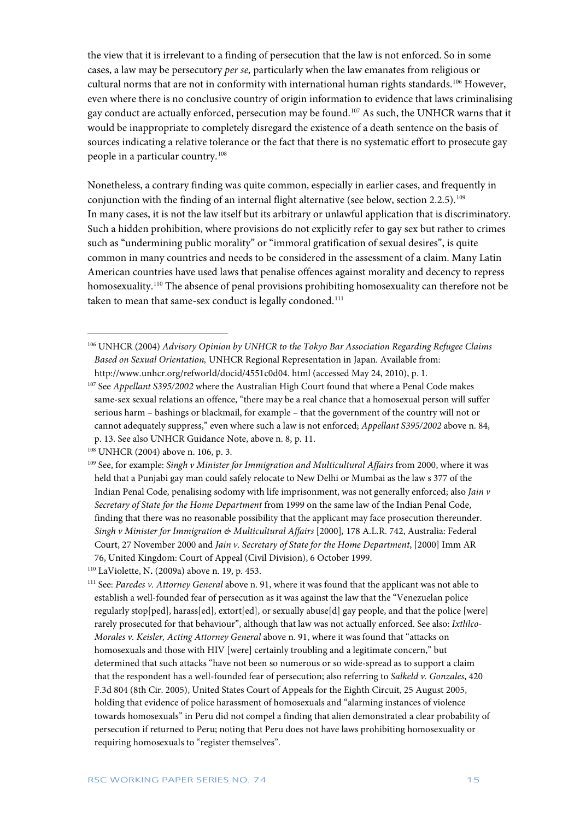the view that it is irrelevant to a finding of persecution that the law is not enforced. So in some cases, a law may be persecutory *per se,* particularly when the law emanates from religious or cultural norms that are not in conformity with international human rights standards.[106](#page-15-0) However, even where there is no conclusive country of origin information to evidence that laws criminalising gay conduct are actually enforced, persecution may be found.[107](#page-15-1) As such, the UNHCR warns that it would be inappropriate to completely disregard the existence of a death sentence on the basis of sources indicating a relative tolerance or the fact that there is no systematic effort to prosecute gay people in a particular country.[108](#page-15-2)

Nonetheless, a contrary finding was quite common, especially in earlier cases, and frequently in conjunction with the finding of an internal flight alternative (see below, section 2.2.5).[109](#page-15-3) In many cases, it is not the law itself but its arbitrary or unlawful application that is discriminatory. Such a hidden prohibition, where provisions do not explicitly refer to gay sex but rather to crimes such as "undermining public morality" or "immoral gratification of sexual desires", is quite common in many countries and needs to be considered in the assessment of a claim. Many Latin American countries have used laws that penalise offences against morality and decency to repress homosexuality.<sup>[110](#page-15-4)</sup> The absence of penal provisions prohibiting homosexuality can therefore not be taken to mean that same-sex conduct is legally condoned.<sup>[111](#page-15-5)</sup>

<span id="page-15-0"></span><sup>106</sup> UNHCR (2004) *Advisory Opinion by UNHCR to the Tokyo Bar Association Regarding Refugee Claims Based on Sexual Orientation,* UNHCR Regional Representation in Japan. Available from: [http://www.unhcr.org/refworld/docid/4551c0d04.](http://www.unhcr.org/refworld/docid/4551c0d04) html (accessed May 24, 2010), p. 1.

<span id="page-15-1"></span><sup>107</sup> See *Appellant S395/2002* where the Australian High Court found that where a Penal Code makes same-sex sexual relations an offence, "there may be a real chance that a homosexual person will suffer serious harm – bashings or blackmail, for example – that the government of the country will not or cannot adequately suppress," even where such a law is not enforced; *Appellant S395/2002* above n. 84, p. 13. See also UNHCR Guidance Note, above n. 8, p. 11.

<span id="page-15-2"></span><sup>108</sup> UNHCR (2004) above n. 106, p. 3.

<span id="page-15-3"></span><sup>109</sup> See, for example: *Singh v Minister for Immigration and Multicultural Affairs* from 2000, where it was held that a Punjabi gay man could safely relocate to New Delhi or Mumbai as the law s 377 of the Indian Penal Code, penalising sodomy with life imprisonment, was not generally enforced; also *Jain v Secretary of State for the Home Department* from 1999 on the same law of the Indian Penal Code, finding that there was no reasonable possibility that the applicant may face prosecution thereunder. *Singh v Minister for Immigration & Multicultural Affairs* [2000]*,* 178 A.L.R. 742, Australia: Federal Court, 27 November 2000 and *Jain v. Secretary of State for the Home Department*, [2000] Imm AR 76, United Kingdom: Court of Appeal (Civil Division), 6 October 1999.

<span id="page-15-4"></span><sup>110</sup> LaViolette, N**.** (2009a) above n. 19, p. 453.

<span id="page-15-5"></span><sup>111</sup> See: *Paredes v. Attorney General* above n. 91, where it was found that the applicant was not able to establish a well-founded fear of persecution as it was against the law that the "Venezuelan police regularly stop[ped], harass[ed], extort[ed], or sexually abuse[d] gay people, and that the police [were] rarely prosecuted for that behaviour", although that law was not actually enforced. See also: *Ixtlilco-Morales v. Keisler, Acting Attorney General* above n. 91, where it was found that "attacks on homosexuals and those with HIV [were] certainly troubling and a legitimate concern," but determined that such attacks "have not been so numerous or so wide-spread as to support a claim that the respondent has a well-founded fear of persecution; also referring to *Salkeld v. Gonzales*, 420 F.3d 804 (8th Cir. 2005), United States Court of Appeals for the Eighth Circuit, 25 August 2005, holding that evidence of police harassment of homosexuals and "alarming instances of violence towards homosexuals" in Peru did not compel a finding that alien demonstrated a clear probability of persecution if returned to Peru; noting that Peru does not have laws prohibiting homosexuality or requiring homosexuals to "register themselves".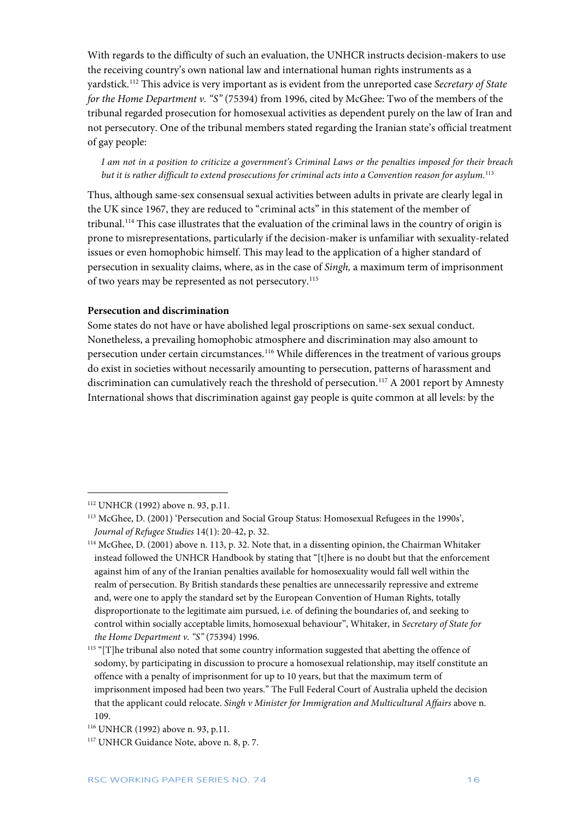With regards to the difficulty of such an evaluation, the UNHCR instructs decision-makers to use the receiving country's own national law and international human rights instruments as a yardstick.[112](#page-16-0) This advice is very important as is evident from the unreported case *Secretary of State for the Home Department v. "S"* (75394) from 1996, cited by McGhee: Two of the members of the tribunal regarded prosecution for homosexual activities as dependent purely on the law of Iran and not persecutory. One of the tribunal members stated regarding the Iranian state's official treatment of gay people:

*I am not in a position to criticize a government's Criminal Laws or the penalties imposed for their breach but it is rather difficult to extend prosecutions for criminal acts into a Convention reason for asylum.*[113](#page-16-1)

Thus, although same-sex consensual sexual activities between adults in private are clearly legal in the UK since 1967, they are reduced to "criminal acts" in this statement of the member of tribunal.[114](#page-16-2) This case illustrates that the evaluation of the criminal laws in the country of origin is prone to misrepresentations, particularly if the decision-maker is unfamiliar with sexuality-related issues or even homophobic himself. This may lead to the application of a higher standard of persecution in sexuality claims, where, as in the case of *Singh,* a maximum term of imprisonment of two years may be represented as not persecutory.<sup>[115](#page-16-3)</sup>

#### **Persecution and discrimination**

Some states do not have or have abolished legal proscriptions on same-sex sexual conduct. Nonetheless, a prevailing homophobic atmosphere and discrimination may also amount to persecution under certain circumstances.[116](#page-16-4) While differences in the treatment of various groups do exist in societies without necessarily amounting to persecution, patterns of harassment and discrimination can cumulatively reach the threshold of persecution.<sup>[117](#page-16-5)</sup> A 2001 report by Amnesty International shows that discrimination against gay people is quite common at all levels: by the

<span id="page-16-0"></span><sup>112</sup> UNHCR (1992) above n. 93, p.11.

<span id="page-16-1"></span><sup>113</sup> McGhee, D. (2001) 'Persecution and Social Group Status: Homosexual Refugees in the 1990s', *Journal of Refugee Studies* 14(1): 20-42, p. 32.

<span id="page-16-2"></span><sup>114</sup> McGhee, D. (2001) above n. 113, p. 32. Note that, in a dissenting opinion, the Chairman Whitaker instead followed the UNHCR Handbook by stating that "[t]here is no doubt but that the enforcement against him of any of the Iranian penalties available for homosexuality would fall well within the realm of persecution. By British standards these penalties are unnecessarily repressive and extreme and, were one to apply the standard set by the European Convention of Human Rights, totally disproportionate to the legitimate aim pursued, i.e. of defining the boundaries of, and seeking to control within socially acceptable limits, homosexual behaviour", Whitaker, in *Secretary of State for the Home Department v. "S"* (75394) 1996.

<span id="page-16-3"></span><sup>&</sup>lt;sup>115</sup> "[T]he tribunal also noted that some country information suggested that abetting the offence of sodomy, by participating in discussion to procure a homosexual relationship, may itself constitute an offence with a penalty of imprisonment for up to 10 years, but that the maximum term of imprisonment imposed had been two years." The Full Federal Court of Australia upheld the decision that the applicant could relocate. *Singh v Minister for Immigration and Multicultural Affairs* above n. 109.

<span id="page-16-4"></span><sup>116</sup> UNHCR (1992) above n. 93, p.11.

<span id="page-16-5"></span><sup>&</sup>lt;sup>117</sup> UNHCR Guidance Note, above n. 8, p. 7.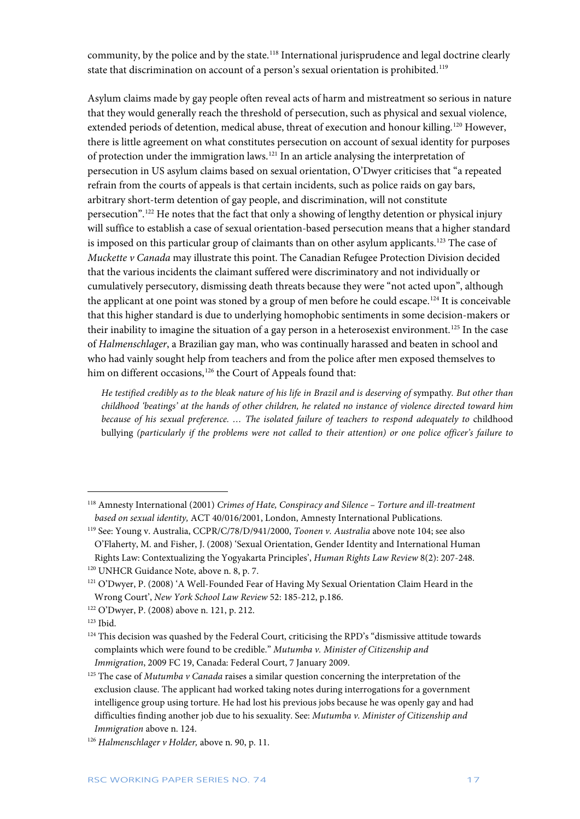community, by the police and by the state.<sup>[118](#page-17-0)</sup> International jurisprudence and legal doctrine clearly state that discrimination on account of a person's sexual orientation is prohibited.<sup>[119](#page-17-1)</sup>

Asylum claims made by gay people often reveal acts of harm and mistreatment so serious in nature that they would generally reach the threshold of persecution, such as physical and sexual violence, extended periods of detention, medical abuse, threat of execution and honour killing.<sup>[120](#page-17-2)</sup> However, there is little agreement on what constitutes persecution on account of sexual identity for purposes of protection under the immigration laws.[121](#page-17-3) In an article analysing the interpretation of persecution in US asylum claims based on sexual orientation, O'Dwyer criticises that "a repeated refrain from the courts of appeals is that certain incidents, such as police raids on gay bars, arbitrary short-term detention of gay people, and discrimination, will not constitute persecution". [122](#page-17-4) He notes that the fact that only a showing of lengthy detention or physical injury will suffice to establish a case of sexual orientation-based persecution means that a higher standard is imposed on this particular group of claimants than on other asylum applicants.<sup>[123](#page-17-5)</sup> The case of *Muckette v Canada* may illustrate this point. The Canadian Refugee Protection Division decided that the various incidents the claimant suffered were discriminatory and not individually or cumulatively persecutory, dismissing death threats because they were "not acted upon", although the applicant at one point was stoned by a group of men before he could escape.<sup>[124](#page-17-6)</sup> It is conceivable that this higher standard is due to underlying homophobic sentiments in some decision-makers or their inability to imagine the situation of a gay person in a heterosexist environment.<sup>[125](#page-17-7)</sup> In the case of *Halmenschlager*, a Brazilian gay man, who was continually harassed and beaten in school and who had vainly sought help from teachers and from the police after men exposed themselves to him on different occasions,<sup>[126](#page-17-8)</sup> the Court of Appeals found that:

*He testified credibly as to the bleak nature of his life in Brazil and is deserving of* sympathy*. But other than childhood 'beatings' at the hands of other children, he related no instance of violence directed toward him because of his sexual preference. … The isolated failure of teachers to respond adequately to* childhood bullying *(particularly if the problems were not called to their attention) or one police officer's failure to* 

 $\ddot{\phantom{a}}$ 

<span id="page-17-0"></span><sup>118</sup> Amnesty International (2001) *Crimes of Hate, Conspiracy and Silence – Torture and ill-treatment based on sexual identity,* ACT 40/016/2001, London, Amnesty International Publications.

<span id="page-17-1"></span><sup>119</sup> See: Young v. Australia, CCPR/C/78/D/941/2000, *Toonen v. Australia* above note 104; see also O'Flaherty, M. and Fisher, J. (2008) 'Sexual Orientation, Gender Identity and International Human Rights Law: Contextualizing the Yogyakarta Principles', *Human Rights Law Review* 8(2): 207-248.

<span id="page-17-2"></span><sup>&</sup>lt;sup>120</sup> UNHCR Guidance Note, above n. 8, p. 7.

<span id="page-17-3"></span><sup>121</sup> O'Dwyer, P. (2008) 'A Well-Founded Fear of Having My Sexual Orientation Claim Heard in the Wrong Court', *New York School Law Review* 52: 185-212, p.186.

<span id="page-17-4"></span><sup>122</sup> O'Dwyer, P. (2008) above n. 121, p. 212.

<span id="page-17-5"></span><sup>123</sup> Ibid.

<span id="page-17-6"></span> $124$  This decision was quashed by the Federal Court, criticising the RPD's "dismissive attitude towards" complaints which were found to be credible." *Mutumba v. Minister of Citizenship and Immigration*, 2009 FC 19, Canada: Federal Court, 7 January 2009.

<span id="page-17-7"></span><sup>125</sup> The case of *Mutumba v Canada* raises a similar question concerning the interpretation of the exclusion clause. The applicant had worked taking notes during interrogations for a government intelligence group using torture. He had lost his previous jobs because he was openly gay and had difficulties finding another job due to his sexuality. See: *Mutumba v. Minister of Citizenship and Immigration* above n. 124.

<span id="page-17-8"></span><sup>126</sup> *Halmenschlager v Holder,* above n. 90, p. 11.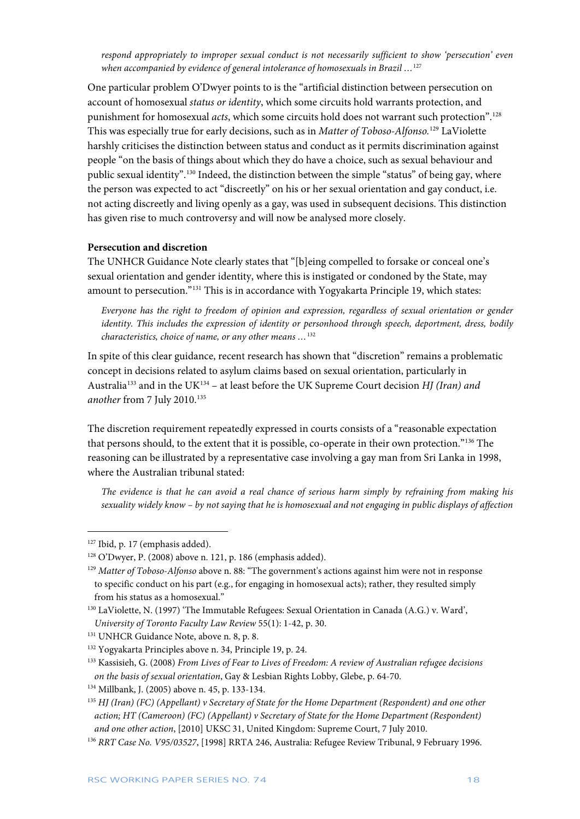*respond appropriately to improper sexual conduct is not necessarily sufficient to show 'persecution' even when accompanied by evidence of general intolerance of homosexuals in Brazil …*[127](#page-18-0)

One particular problem O'Dwyer points to is the "artificial distinction between persecution on account of homosexual *status or identity*, which some circuits hold warrants protection, and punishment for homosexual *acts*, which some circuits hold does not warrant such protection". [128](#page-18-1) This was especially true for early decisions, such as in *Matter of Toboso-Alfonso.*[129](#page-18-2) LaViolette harshly criticises the distinction between status and conduct as it permits discrimination against people "on the basis of things about which they do have a choice, such as sexual behaviour and public sexual identity".<sup>[130](#page-18-3)</sup> Indeed, the distinction between the simple "status" of being gay, where the person was expected to act "discreetly" on his or her sexual orientation and gay conduct, i.e. not acting discreetly and living openly as a gay, was used in subsequent decisions. This distinction has given rise to much controversy and will now be analysed more closely.

#### **Persecution and discretion**

The UNHCR Guidance Note clearly states that "[b]eing compelled to forsake or conceal one's sexual orientation and gender identity, where this is instigated or condoned by the State, may amount to persecution."[131](#page-18-4) This is in accordance with Yogyakarta Principle 19, which states:

*Everyone has the right to freedom of opinion and expression, regardless of sexual orientation or gender identity. This includes the expression of identity or personhood through speech, deportment, dress, bodily characteristics, choice of name, or any other means …*[132](#page-18-5)

In spite of this clear guidance, recent research has shown that "discretion" remains a problematic concept in decisions related to asylum claims based on sexual orientation, particularly in Australia[133](#page-18-6) and in the UK[134](#page-18-7) – at least before the UK Supreme Court decision *HJ (Iran) and another* from 7 July 2010.[135](#page-18-8)

The discretion requirement repeatedly expressed in courts consists of a "reasonable expectation that persons should, to the extent that it is possible, co-operate in their own protection.["136](#page-18-9) The reasoning can be illustrated by a representative case involving a gay man from Sri Lanka in 1998, where the Australian tribunal stated:

*The evidence is that he can avoid a real chance of serious harm simply by refraining from making his sexuality widely know – by not saying that he is homosexual and not engaging in public displays of affection* 

<span id="page-18-0"></span><sup>127</sup> Ibid, p. 17 (emphasis added).

<span id="page-18-1"></span><sup>128</sup> O'Dwyer, P. (2008) above n. 121, p. 186 (emphasis added).

<span id="page-18-2"></span><sup>129</sup> *Matter of Toboso-Alfonso* above n. 88: "The government's actions against him were not in response to specific conduct on his part (e.g., for engaging in homosexual acts); rather, they resulted simply from his status as a homosexual."

<span id="page-18-3"></span><sup>130</sup> LaViolette, N. (1997) 'The Immutable Refugees: Sexual Orientation in Canada (A.G.) v. Ward', *University of Toronto Faculty Law Review* 55(1): 1-42, p. 30.

<span id="page-18-4"></span><sup>&</sup>lt;sup>131</sup> UNHCR Guidance Note, above n. 8, p. 8.

<span id="page-18-5"></span><sup>132</sup> Yogyakarta Principles above n. 34, Principle 19, p. 24.

<span id="page-18-6"></span><sup>133</sup> Kassisieh, G. (2008) *From Lives of Fear to Lives of Freedom: A review of Australian refugee decisions on the basis of sexual orientation*, Gay & Lesbian Rights Lobby, Glebe, p. 64-70.

<span id="page-18-7"></span><sup>134</sup> Millbank, J. (2005) above n. 45, p. 133-134.

<span id="page-18-8"></span><sup>135</sup> *HJ (Iran) (FC) (Appellant) v Secretary of State for the Home Department (Respondent) and one other action; HT (Cameroon) (FC) (Appellant) v Secretary of State for the Home Department (Respondent) and one other action*, [2010] UKSC 31, United Kingdom: Supreme Court, 7 July 2010.

<span id="page-18-9"></span><sup>136</sup> *RRT Case No. V95/03527*, [1998] RRTA 246, Australia: Refugee Review Tribunal, 9 February 1996.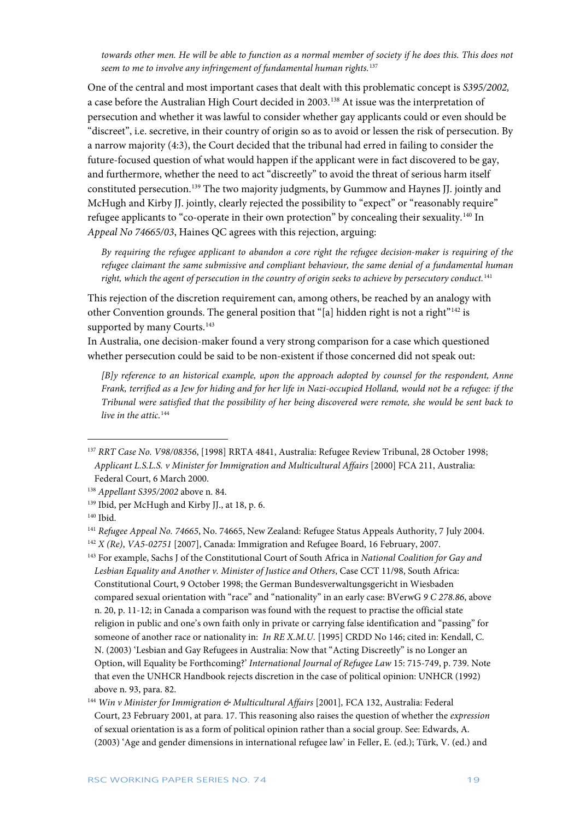*towards other men. He will be able to function as a normal member of society if he does this. This does not seem to me to involve any infringement of fundamental human rights.*[137](#page-19-0)

One of the central and most important cases that dealt with this problematic concept is *S395/2002,*  a case before the Australian High Court decided in 2003.[138](#page-19-1) At issue was the interpretation of persecution and whether it was lawful to consider whether gay applicants could or even should be "discreet", i.e. secretive, in their country of origin so as to avoid or lessen the risk of persecution. By a narrow majority (4:3), the Court decided that the tribunal had erred in failing to consider the future-focused question of what would happen if the applicant were in fact discovered to be gay, and furthermore, whether the need to act "discreetly" to avoid the threat of serious harm itself constituted persecution.[139](#page-19-2) The two majority judgments, by Gummow and Haynes JJ. jointly and McHugh and Kirby JJ. jointly, clearly rejected the possibility to "expect" or "reasonably require" refugee applicants to "co-operate in their own protection" by concealing their sexuality.<sup>[140](#page-19-3)</sup> In *Appeal No 74665/03*, Haines QC agrees with this rejection, arguing:

*By requiring the refugee applicant to abandon a core right the refugee decision-maker is requiring of the refugee claimant the same submissive and compliant behaviour, the same denial of a fundamental human right, which the agent of persecution in the country of origin seeks to achieve by persecutory conduct.*[141](#page-19-4)

This rejection of the discretion requirement can, among others, be reached by an analogy with other Convention grounds. The general position that "[a] hidden right is not a right"[142](#page-19-5) is supported by many Courts.<sup>[143](#page-19-6)</sup>

In Australia, one decision-maker found a very strong comparison for a case which questioned whether persecution could be said to be non-existent if those concerned did not speak out:

*[B]y reference to an historical example, upon the approach adopted by counsel for the respondent, Anne Frank, terrified as a Jew for hiding and for her life in Nazi-occupied Holland, would not be a refugee: if the Tribunal were satisfied that the possibility of her being discovered were remote, she would be sent back to live in the attic.*<sup>[144](#page-19-7)</sup>

 $\overline{a}$ 

<span id="page-19-6"></span><sup>143</sup> For example, Sachs J of the Constitutional Court of South Africa in *National Coalition for Gay and Lesbian Equality and Another v. Minister of Justice and Others*, Case CCT 11/98, South Africa: Constitutional Court, 9 October 1998; the German Bundesverwaltungsgericht in Wiesbaden compared sexual orientation with "race" and "nationality" in an early case: BVerwG *9 C 278.86*, above n. 20, p. 11-12; in Canada a comparison was found with the request to practise the official state religion in public and one's own faith only in private or carrying false identification and "passing" for someone of another race or nationality in: *In RE X.M.U.* [1995] CRDD No 146; cited in: Kendall, C. N. (2003) 'Lesbian and Gay Refugees in Australia: Now that "Acting Discreetly" is no Longer an Option, will Equality be Forthcoming?' *International Journal of Refugee Law* 15: 715-749, p. 739. Note that even the UNHCR Handbook rejects discretion in the case of political opinion: UNHCR (1992) above n. 93, para. 82.

<span id="page-19-0"></span><sup>137</sup> *RRT Case No. V98/08356*, [1998] RRTA 4841, Australia: Refugee Review Tribunal, 28 October 1998; *Applicant L.S.L.S. v Minister for Immigration and Multicultural Affairs* [2000] FCA 211, Australia: Federal Court, 6 March 2000.

<span id="page-19-1"></span><sup>138</sup> *Appellant S395/2002* above n. 84.

<span id="page-19-2"></span><sup>139</sup> Ibid, per McHugh and Kirby JJ., at 18, p. 6.

<span id="page-19-3"></span><sup>140</sup> Ibid.

<span id="page-19-4"></span><sup>141</sup> *Refugee Appeal No. 74665*, No. 74665, New Zealand: Refugee Status Appeals Authority, 7 July 2004.

<span id="page-19-5"></span><sup>142</sup> *X (Re)*, *VA5-02751* [2007], Canada: Immigration and Refugee Board, 16 February, 2007.

<span id="page-19-7"></span><sup>144</sup> *Win v Minister for Immigration & Multicultural Affairs* [2001]*,* FCA 132, Australia: Federal Court, 23 February 2001, at para. 17. This reasoning also raises the question of whether the *expression* of sexual orientation is as a form of political opinion rather than a social group. See: Edwards, A. (2003) 'Age and gender dimensions in international refugee law' in Feller, E. (ed.); Türk, V. (ed.) and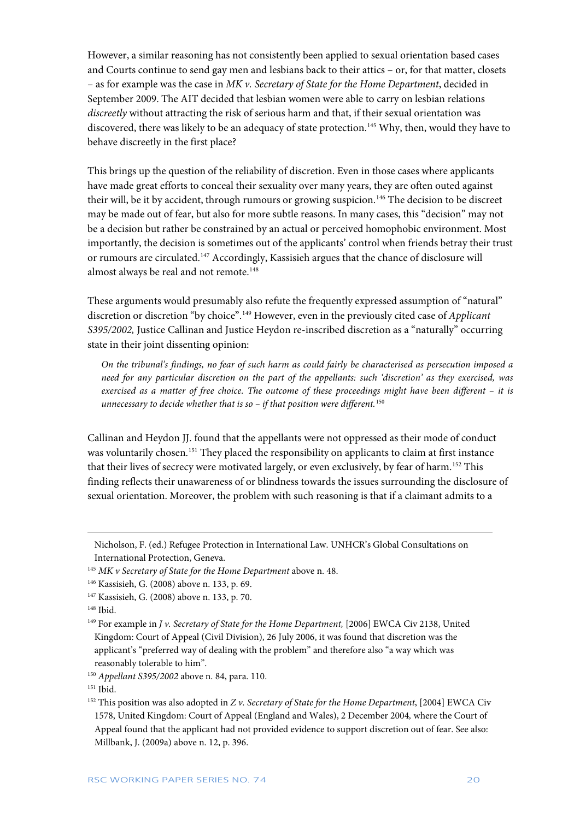However, a similar reasoning has not consistently been applied to sexual orientation based cases and Courts continue to send gay men and lesbians back to their attics – or, for that matter, closets – as for example was the case in *MK v. Secretary of State for the Home Department*, decided in September 2009. The AIT decided that lesbian women were able to carry on lesbian relations *discreetly* without attracting the risk of serious harm and that, if their sexual orientation was discovered, there was likely to be an adequacy of state protection.<sup>[145](#page-20-0)</sup> Why, then, would they have to behave discreetly in the first place?

This brings up the question of the reliability of discretion. Even in those cases where applicants have made great efforts to conceal their sexuality over many years, they are often outed against their will, be it by accident, through rumours or growing suspicion.<sup>[146](#page-20-1)</sup> The decision to be discreet may be made out of fear, but also for more subtle reasons. In many cases, this "decision" may not be a decision but rather be constrained by an actual or perceived homophobic environment. Most importantly, the decision is sometimes out of the applicants' control when friends betray their trust or rumours are circulated.[147](#page-20-2) Accordingly, Kassisieh argues that the chance of disclosure will almost always be real and not remote.<sup>[148](#page-20-3)</sup>

These arguments would presumably also refute the frequently expressed assumption of "natural" discretion or discretion "by choice". [149](#page-20-4) However, even in the previously cited case of *Applicant S395/2002,* Justice Callinan and Justice Heydon re-inscribed discretion as a "naturally" occurring state in their joint dissenting opinion:

*On the tribunal's findings, no fear of such harm as could fairly be characterised as persecution imposed a need for any particular discretion on the part of the appellants: such 'discretion' as they exercised, was exercised as a matter of free choice. The outcome of these proceedings might have been different – it is unnecessary to decide whether that is so – if that position were different.*[150](#page-20-5)

Callinan and Heydon JJ. found that the appellants were not oppressed as their mode of conduct was voluntarily chosen.<sup>[151](#page-20-6)</sup> They placed the responsibility on applicants to claim at first instance that their lives of secrecy were motivated largely, or even exclusively, by fear of harm.[152](#page-20-7) This finding reflects their unawareness of or blindness towards the issues surrounding the disclosure of sexual orientation. Moreover, the problem with such reasoning is that if a claimant admits to a

Nicholson, F. (ed.) Refugee Protection in International Law. UNHCR's Global Consultations on International Protection, Geneva.

<span id="page-20-0"></span><sup>&</sup>lt;sup>145</sup> MK v Secretary of State for the Home Department above n. 48.

<span id="page-20-1"></span><sup>146</sup> Kassisieh, G. (2008) above n. 133, p. 69.

<span id="page-20-2"></span><sup>147</sup> Kassisieh, G. (2008) above n. 133, p. 70.

<span id="page-20-3"></span><sup>148</sup> Ibid.

<span id="page-20-4"></span><sup>&</sup>lt;sup>149</sup> For example in *J v. Secretary of State for the Home Department*, [2006] EWCA Civ 2138, United Kingdom: Court of Appeal (Civil Division), 26 July 2006, it was found that discretion was the applicant's "preferred way of dealing with the problem" and therefore also "a way which was reasonably tolerable to him".

<span id="page-20-5"></span><sup>150</sup> *Appellant S395/2002* above n. 84, para. 110.

<span id="page-20-6"></span><sup>&</sup>lt;sup>151</sup> Ibid.

<span id="page-20-7"></span><sup>152</sup> This position was also adopted in *Z v. Secretary of State for the Home Department*, [2004] EWCA Civ 1578, United Kingdom: Court of Appeal (England and Wales), 2 December 2004*,* where the Court of Appeal found that the applicant had not provided evidence to support discretion out of fear. See also: Millbank, J. (2009a) above n. 12, p. 396.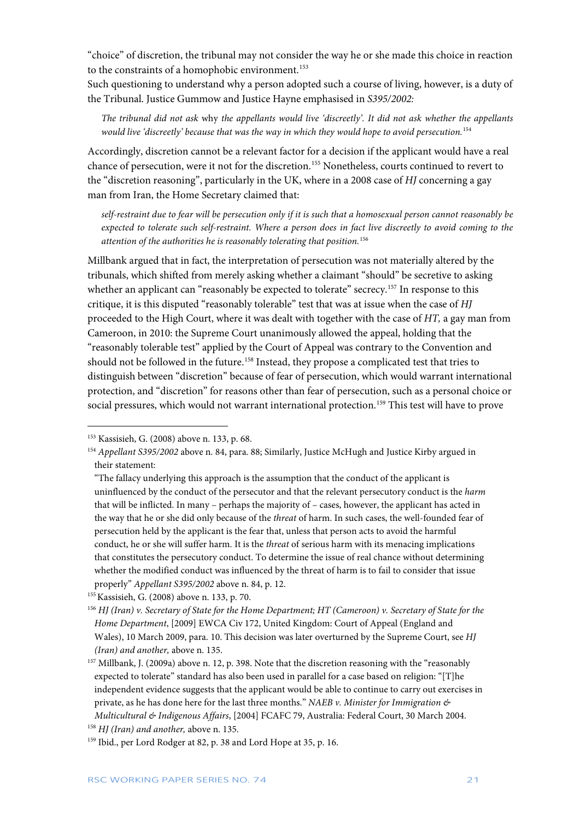"choice" of discretion, the tribunal may not consider the way he or she made this choice in reaction to the constraints of a homophobic environment.<sup>[153](#page-21-0)</sup>

Such questioning to understand why a person adopted such a course of living, however, is a duty of the Tribunal. Justice Gummow and Justice Hayne emphasised in *S395/2002:*

*The tribunal did not ask* why *the appellants would live 'discreetly'. It did not ask whether the appellants would live 'discreetly' because that was the way in which they would hope to avoid persecution.*[154](#page-21-1)

Accordingly, discretion cannot be a relevant factor for a decision if the applicant would have a real chance of persecution, were it not for the discretion.[155](#page-21-2) Nonetheless, courts continued to revert to the "discretion reasoning", particularly in the UK, where in a 2008 case of *HJ* concerning a gay man from Iran, the Home Secretary claimed that:

*self-restraint due to fear will be persecution only if it is such that a homosexual person cannot reasonably be expected to tolerate such self-restraint. Where a person does in fact live discreetly to avoid coming to the attention of the authorities he is reasonably tolerating that position.*[156](#page-21-3)

Millbank argued that in fact, the interpretation of persecution was not materially altered by the tribunals, which shifted from merely asking whether a claimant "should" be secretive to asking whether an applicant can "reasonably be expected to tolerate" secrecy.<sup>[157](#page-21-4)</sup> In response to this critique, it is this disputed "reasonably tolerable" test that was at issue when the case of *HJ*  proceeded to the High Court, where it was dealt with together with the case of *HT,* a gay man from Cameroon, in 2010: the Supreme Court unanimously allowed the appeal, holding that the "reasonably tolerable test" applied by the Court of Appeal was contrary to the Convention and should not be followed in the future.<sup>[158](#page-21-5)</sup> Instead, they propose a complicated test that tries to distinguish between "discretion" because of fear of persecution, which would warrant international protection, and "discretion" for reasons other than fear of persecution, such as a personal choice or social pressures, which would not warrant international protection.<sup>[159](#page-21-6)</sup> This test will have to prove

<span id="page-21-0"></span><sup>153</sup> Kassisieh, G. (2008) above n. 133, p. 68.

<span id="page-21-1"></span><sup>154</sup> *Appellant S395/2002* above n. 84, para. 88; Similarly, Justice McHugh and Justice Kirby argued in their statement:

<sup>&</sup>quot;The fallacy underlying this approach is the assumption that the conduct of the applicant is uninfluenced by the conduct of the persecutor and that the relevant persecutory conduct is the *harm*  that will be inflicted. In many – perhaps the majority of – cases, however, the applicant has acted in the way that he or she did only because of the *threat* of harm. In such cases, the well-founded fear of persecution held by the applicant is the fear that, unless that person acts to avoid the harmful conduct, he or she will suffer harm. It is the *threat* of serious harm with its menacing implications that constitutes the persecutory conduct. To determine the issue of real chance without determining whether the modified conduct was influenced by the threat of harm is to fail to consider that issue properly" *Appellant S395/2002* above n. 84, p. 12.

<span id="page-21-2"></span><sup>155</sup>Kassisieh, G. (2008) above n. 133, p. 70.

<span id="page-21-3"></span><sup>156</sup> *HJ (Iran) v. Secretary of State for the Home Department; HT (Cameroon) v. Secretary of State for the Home Department*, [2009] EWCA Civ 172, United Kingdom: Court of Appeal (England and Wales), 10 March 2009, para. 10. This decision was later overturned by the Supreme Court, see *HJ (Iran) and another,* above n. 135.

<span id="page-21-4"></span><sup>&</sup>lt;sup>157</sup> Millbank, J. (2009a) above n. 12, p. 398. Note that the discretion reasoning with the "reasonably expected to tolerate" standard has also been used in parallel for a case based on religion: "[T]he independent evidence suggests that the applicant would be able to continue to carry out exercises in private, as he has done here for the last three months." *NAEB v. Minister for Immigration & Multicultural & Indigenous Affairs*, [2004] FCAFC 79, Australia: Federal Court, 30 March 2004. <sup>158</sup> *HJ (Iran) and another,* above n. 135.

<span id="page-21-6"></span><span id="page-21-5"></span><sup>159</sup> Ibid., per Lord Rodger at 82, p. 38 and Lord Hope at 35, p. 16.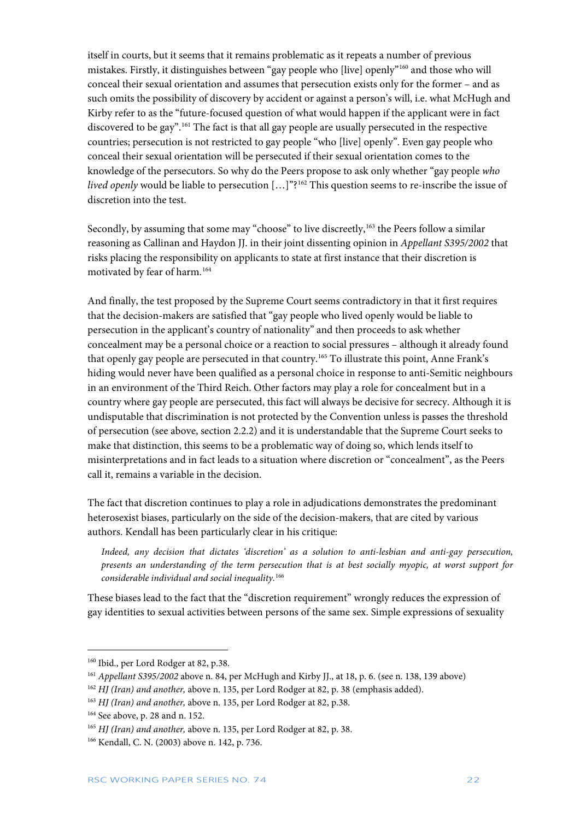itself in courts, but it seems that it remains problematic as it repeats a number of previous mistakes. Firstly, it distinguishes between "gay people who [live] openly"[160](#page-22-0) and those who will conceal their sexual orientation and assumes that persecution exists only for the former – and as such omits the possibility of discovery by accident or against a person's will, i.e. what McHugh and Kirby refer to as the "future-focused question of what would happen if the applicant were in fact discovered to be gay". [161](#page-22-1) The fact is that all gay people are usually persecuted in the respective countries; persecution is not restricted to gay people "who [live] openly". Even gay people who conceal their sexual orientation will be persecuted if their sexual orientation comes to the knowledge of the persecutors. So why do the Peers propose to ask only whether "gay people *who lived openly* would be liable to persecution [...]"?<sup>[162](#page-22-2)</sup> This question seems to re-inscribe the issue of discretion into the test.

Secondly, by assuming that some may "choose" to live discreetly,<sup>[163](#page-22-3)</sup> the Peers follow a similar reasoning as Callinan and Haydon JJ. in their joint dissenting opinion in *Appellant S395/2002* that risks placing the responsibility on applicants to state at first instance that their discretion is motivated by fear of harm.<sup>[164](#page-22-4)</sup>

And finally, the test proposed by the Supreme Court seems contradictory in that it first requires that the decision-makers are satisfied that "gay people who lived openly would be liable to persecution in the applicant's country of nationality" and then proceeds to ask whether concealment may be a personal choice or a reaction to social pressures – although it already found that openly gay people are persecuted in that country.[165](#page-22-5) To illustrate this point, Anne Frank's hiding would never have been qualified as a personal choice in response to anti-Semitic neighbours in an environment of the Third Reich. Other factors may play a role for concealment but in a country where gay people are persecuted, this fact will always be decisive for secrecy. Although it is undisputable that discrimination is not protected by the Convention unless is passes the threshold of persecution (see above, section 2.2.2) and it is understandable that the Supreme Court seeks to make that distinction, this seems to be a problematic way of doing so, which lends itself to misinterpretations and in fact leads to a situation where discretion or "concealment", as the Peers call it, remains a variable in the decision.

The fact that discretion continues to play a role in adjudications demonstrates the predominant heterosexist biases, particularly on the side of the decision-makers, that are cited by various authors. Kendall has been particularly clear in his critique:

*Indeed, any decision that dictates 'discretion' as a solution to anti-lesbian and anti-gay persecution, presents an understanding of the term persecution that is at best socially myopic, at worst support for considerable individual and social inequality.*[166](#page-22-6)

These biases lead to the fact that the "discretion requirement" wrongly reduces the expression of gay identities to sexual activities between persons of the same sex. Simple expressions of sexuality

<span id="page-22-0"></span><sup>160</sup> Ibid., per Lord Rodger at 82, p.38.

<span id="page-22-1"></span><sup>161</sup> *Appellant S395/2002* above n. 84, per McHugh and Kirby JJ., at 18, p. 6. (see n. 138, 139 above)

<span id="page-22-2"></span><sup>&</sup>lt;sup>162</sup> *HJ* (Iran) and another, above n. 135, per Lord Rodger at 82, p. 38 (emphasis added).

<span id="page-22-3"></span><sup>&</sup>lt;sup>163</sup> *HJ* (*Iran*) and another, above n. 135, per Lord Rodger at 82, p.38.

<span id="page-22-4"></span><sup>164</sup> See above, p. 28 and n. 152.

<span id="page-22-5"></span><sup>165</sup> *HJ (Iran) and another,* above n. 135, per Lord Rodger at 82, p. 38.

<span id="page-22-6"></span><sup>166</sup> Kendall, C. N. (2003) above n. 142, p. 736.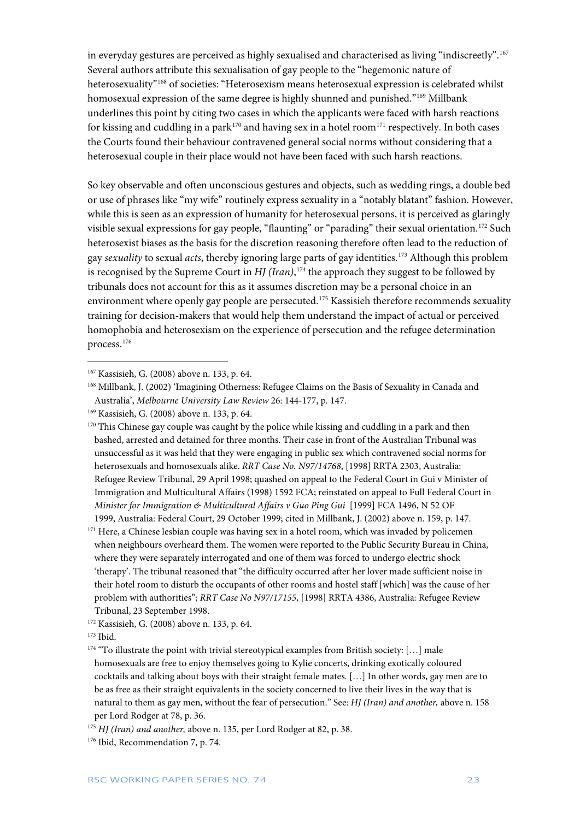in everyday gestures are perceived as highly sexualised and characterised as living "indiscreetly".  $^{167}\,$  $^{167}\,$  $^{167}\,$ Several authors attribute this sexualisation of gay people to the "hegemonic nature of heterosexuality"[168](#page-23-1) of societies: "Heterosexism means heterosexual expression is celebrated whilst homosexual expression of the same degree is highly shunned and punished."[169](#page-23-2) Millbank underlines this point by citing two cases in which the applicants were faced with harsh reactions for kissing and cuddling in a park<sup>[170](#page-23-3)</sup> and having sex in a hotel room<sup>[171](#page-23-4)</sup> respectively. In both cases the Courts found their behaviour contravened general social norms without considering that a heterosexual couple in their place would not have been faced with such harsh reactions.

So key observable and often unconscious gestures and objects, such as wedding rings, a double bed or use of phrases like "my wife" routinely express sexuality in a "notably blatant" fashion. However, while this is seen as an expression of humanity for heterosexual persons, it is perceived as glaringly visible sexual expressions for gay people, "flaunting" or "parading" their sexual orientation.[172](#page-23-5) Such heterosexist biases as the basis for the discretion reasoning therefore often lead to the reduction of gay *sexuality* to sexual *acts*, thereby ignoring large parts of gay identities.[173](#page-23-6) Although this problem is recognised by the Supreme Court in *HJ (Iran)*, [174](#page-23-7) the approach they suggest to be followed by tribunals does not account for this as it assumes discretion may be a personal choice in an environment where openly gay people are persecuted.<sup>175</sup> Kassisieh therefore recommends sexuality training for decision-makers that would help them understand the impact of actual or perceived homophobia and heterosexism on the experience of persecution and the refugee determination process.[176](#page-23-9)

<span id="page-23-3"></span><sup>170</sup> This Chinese gay couple was caught by the police while kissing and cuddling in a park and then bashed, arrested and detained for three months. Their case in front of the Australian Tribunal was unsuccessful as it was held that they were engaging in public sex which contravened social norms for heterosexuals and homosexuals alike. *RRT Case No. N97/14768*, [1998] RRTA 2303, Australia: Refugee Review Tribunal, 29 April 1998; quashed on appeal to the Federal Court in Gui v Minister of Immigration and Multicultural Affairs (1998) 1592 FCA; reinstated on appeal to Full Federal Court in *Minister for Immigration & Multicultural Affairs v Guo Ping Gui* [1999] FCA 1496, N 52 OF 1999, Australia: Federal Court, 29 October 1999; cited in Millbank, J. (2002) above n. 159, p. 147.

<span id="page-23-4"></span><sup>171</sup> Here, a Chinese lesbian couple was having sex in a hotel room, which was invaded by policemen when neighbours overheard them. The women were reported to the Public Security Bureau in China, where they were separately interrogated and one of them was forced to undergo electric shock 'therapy'. The tribunal reasoned that "the difficulty occurred after her lover made sufficient noise in their hotel room to disturb the occupants of other rooms and hostel staff [which] was the cause of her problem with authorities"; *RRT Case No N97/17155*, [1998] RRTA 4386, Australia: Refugee Review Tribunal, 23 September 1998.

<span id="page-23-0"></span><sup>167</sup> Kassisieh, G. (2008) above n. 133, p. 64.

<span id="page-23-1"></span><sup>168</sup> Millbank, J. (2002) 'Imagining Otherness: Refugee Claims on the Basis of Sexuality in Canada and Australia', *Melbourne University Law Review* 26: 144-177, p. 147.

<span id="page-23-2"></span><sup>169</sup> Kassisieh, G. (2008) above n. 133, p. 64.

<span id="page-23-5"></span><sup>172</sup> Kassisieh, G. (2008) above n. 133, p. 64.

<span id="page-23-6"></span> $173$  Ibid.

<span id="page-23-7"></span><sup>&</sup>lt;sup>174</sup> "To illustrate the point with trivial stereotypical examples from British society: [...] male homosexuals are free to enjoy themselves going to Kylie concerts, drinking exotically coloured cocktails and talking about boys with their straight female mates. […] In other words, gay men are to be as free as their straight equivalents in the society concerned to live their lives in the way that is natural to them as gay men, without the fear of persecution." See: *HJ (Iran) and another,* above n. 158 per Lord Rodger at 78, p. 36.

<span id="page-23-8"></span><sup>175</sup> *HJ (Iran) and another,* above n. 135, per Lord Rodger at 82, p. 38.

<span id="page-23-9"></span><sup>176</sup> Ibid, Recommendation 7, p. 74.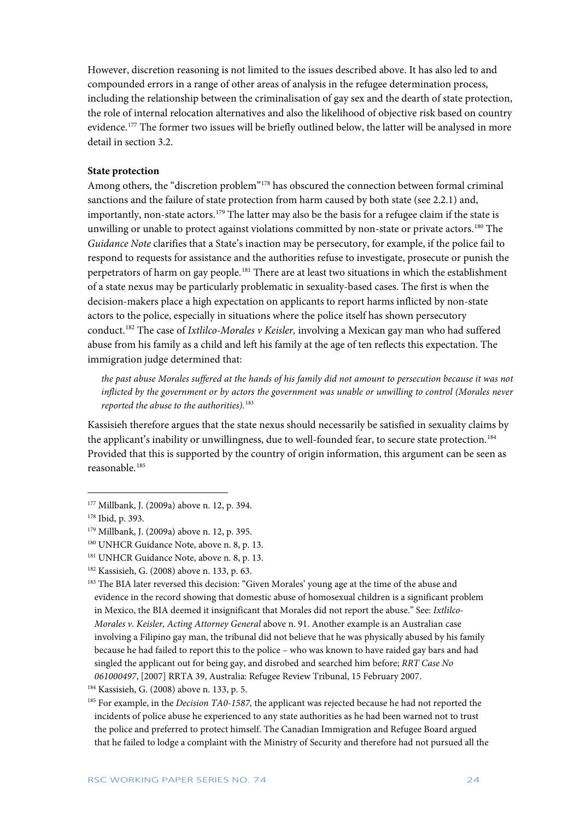However, discretion reasoning is not limited to the issues described above. It has also led to and compounded errors in a range of other areas of analysis in the refugee determination process, including the relationship between the criminalisation of gay sex and the dearth of state protection, the role of internal relocation alternatives and also the likelihood of objective risk based on country evidence.<sup>177</sup> The former two issues will be briefly outlined below, the latter will be analysed in more detail in section 3.2.

#### **State protection**

Among others, the "discretion problem"[178](#page-24-1) has obscured the connection between formal criminal sanctions and the failure of state protection from harm caused by both state (see 2.2.1) and, importantly, non-state actors.<sup>[179](#page-24-2)</sup> The latter may also be the basis for a refugee claim if the state is unwilling or unable to protect against violations committed by non-state or private actors.<sup>[180](#page-24-3)</sup> The *Guidance Note* clarifies that a State's inaction may be persecutory, for example, if the police fail to respond to requests for assistance and the authorities refuse to investigate, prosecute or punish the perpetrators of harm on gay people.[181](#page-24-4) There are at least two situations in which the establishment of a state nexus may be particularly problematic in sexuality-based cases. The first is when the decision-makers place a high expectation on applicants to report harms inflicted by non-state actors to the police, especially in situations where the police itself has shown persecutory conduct.[182](#page-24-5) The case of *Ixtlilco-Morales v Keisler,* involving a Mexican gay man who had suffered abuse from his family as a child and left his family at the age of ten reflects this expectation. The immigration judge determined that:

*the past abuse Morales suffered at the hands of his family did not amount to persecution because it was not inflicted by the government or by actors the government was unable or unwilling to control (Morales never reported the abuse to the authorities).*[183](#page-24-6)

Kassisieh therefore argues that the state nexus should necessarily be satisfied in sexuality claims by the applicant's inability or unwillingness, due to well-founded fear, to secure state protection.[184](#page-24-7) Provided that this is supported by the country of origin information, this argument can be seen as reasonable.[185](#page-24-8)

1

<span id="page-24-6"></span><sup>183</sup> The BIA later reversed this decision: "Given Morales' young age at the time of the abuse and evidence in the record showing that domestic abuse of homosexual children is a significant problem in Mexico, the BIA deemed it insignificant that Morales did not report the abuse." See: *Ixtlilco-Morales v. Keisler, Acting Attorney General* above n. 91. Another example is an Australian case involving a Filipino gay man, the tribunal did not believe that he was physically abused by his family because he had failed to report this to the police – who was known to have raided gay bars and had singled the applicant out for being gay, and disrobed and searched him before; *RRT Case No 061000497*, [2007] RRTA 39, Australia: Refugee Review Tribunal, 15 February 2007.

<span id="page-24-0"></span><sup>177</sup> Millbank, J. (2009a) above n. 12, p. 394.

<span id="page-24-1"></span><sup>178</sup> Ibid, p. 393.

<span id="page-24-2"></span><sup>179</sup> Millbank, J. (2009a) above n. 12, p. 395.

<span id="page-24-3"></span><sup>&</sup>lt;sup>180</sup> UNHCR Guidance Note, above n. 8, p. 13.

<span id="page-24-4"></span><sup>&</sup>lt;sup>181</sup> UNHCR Guidance Note, above n. 8, p. 13.

<span id="page-24-5"></span><sup>182</sup> Kassisieh, G. (2008) above n. 133, p. 63.

<span id="page-24-7"></span><sup>184</sup> Kassisieh, G. (2008) above n. 133, p. 5.

<span id="page-24-8"></span><sup>185</sup> For example, in the *Decision TA0-1587,* the applicant was rejected because he had not reported the incidents of police abuse he experienced to any state authorities as he had been warned not to trust the police and preferred to protect himself. The Canadian Immigration and Refugee Board argued that he failed to lodge a complaint with the Ministry of Security and therefore had not pursued all the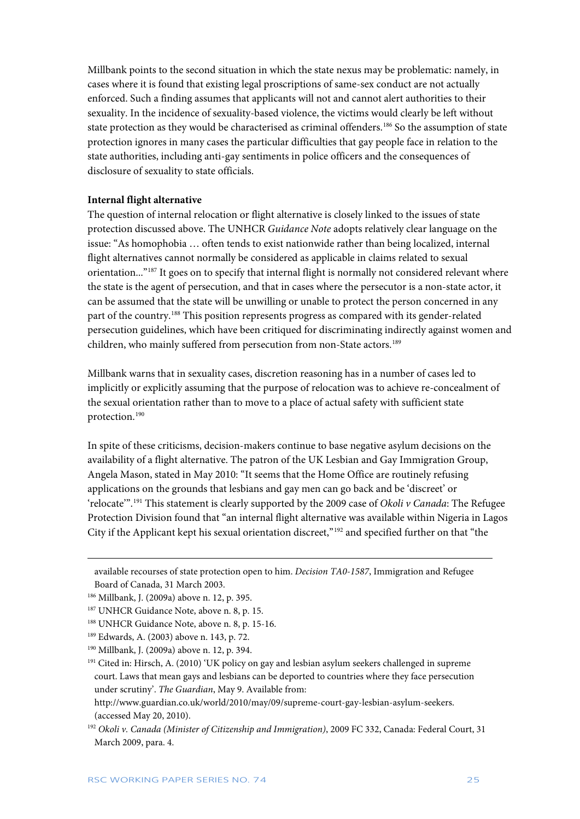Millbank points to the second situation in which the state nexus may be problematic: namely, in cases where it is found that existing legal proscriptions of same-sex conduct are not actually enforced. Such a finding assumes that applicants will not and cannot alert authorities to their sexuality. In the incidence of sexuality-based violence, the victims would clearly be left without state protection as they would be characterised as criminal offenders.<sup>186</sup> So the assumption of state protection ignores in many cases the particular difficulties that gay people face in relation to the state authorities, including anti-gay sentiments in police officers and the consequences of disclosure of sexuality to state officials.

#### **Internal flight alternative**

The question of internal relocation or flight alternative is closely linked to the issues of state protection discussed above. The UNHCR *Guidance Note* adopts relatively clear language on the issue: "As homophobia … often tends to exist nationwide rather than being localized, internal flight alternatives cannot normally be considered as applicable in claims related to sexual orientation..."[187](#page-25-1) It goes on to specify that internal flight is normally not considered relevant where the state is the agent of persecution, and that in cases where the persecutor is a non-state actor, it can be assumed that the state will be unwilling or unable to protect the person concerned in any part of the country.[188](#page-25-2) This position represents progress as compared with its gender-related persecution guidelines, which have been critiqued for discriminating indirectly against women and children, who mainly suffered from persecution from non-State actors.<sup>[189](#page-25-3)</sup>

Millbank warns that in sexuality cases, discretion reasoning has in a number of cases led to implicitly or explicitly assuming that the purpose of relocation was to achieve re-concealment of the sexual orientation rather than to move to a place of actual safety with sufficient state protection.[190](#page-25-4)

In spite of these criticisms, decision-makers continue to base negative asylum decisions on the availability of a flight alternative. The patron of the UK Lesbian and Gay Immigration Group, Angela Mason, stated in May 2010: "It seems that the Home Office are routinely refusing applications on the grounds that lesbians and gay men can go back and be 'discreet' or 'relocate'". [191](#page-25-5) This statement is clearly supported by the 2009 case of *Okoli v Canada*: The Refugee Protection Division found that "an internal flight alternative was available within Nigeria in Lagos City if the Applicant kept his sexual orientation discreet,"[192](#page-25-6) and specified further on that "the

available recourses of state protection open to him. *Decision TA0-1587*, Immigration and Refugee Board of Canada, 31 March 2003.

<span id="page-25-0"></span><sup>186</sup> Millbank, J. (2009a) above n. 12, p. 395.

<span id="page-25-1"></span><sup>&</sup>lt;sup>187</sup> UNHCR Guidance Note, above n. 8, p. 15.

<span id="page-25-2"></span><sup>&</sup>lt;sup>188</sup> UNHCR Guidance Note, above n. 8, p. 15-16.

<span id="page-25-3"></span><sup>189</sup> Edwards, A. (2003) above n. 143, p. 72.

<span id="page-25-4"></span><sup>190</sup> Millbank, J. (2009a) above n. 12, p. 394.

<span id="page-25-5"></span><sup>191</sup> Cited in: Hirsch, A. (2010) 'UK policy on gay and lesbian asylum seekers challenged in supreme court. Laws that mean gays and lesbians can be deported to countries where they face persecution under scrutiny'. *The Guardian*, May 9. Available from:

[http://www.guardian.co.uk/world/2010/may/09/supreme-court-gay-lesbian-asylum-seekers.](http://www.guardian.co.uk/world/2010/may/09/supreme-court-gay-lesbian-asylum-seekers)  (accessed May 20, 2010).

<span id="page-25-6"></span><sup>192</sup> *Okoli v. Canada (Minister of Citizenship and Immigration)*, 2009 FC 332, Canada: Federal Court, 31 March 2009, para. 4.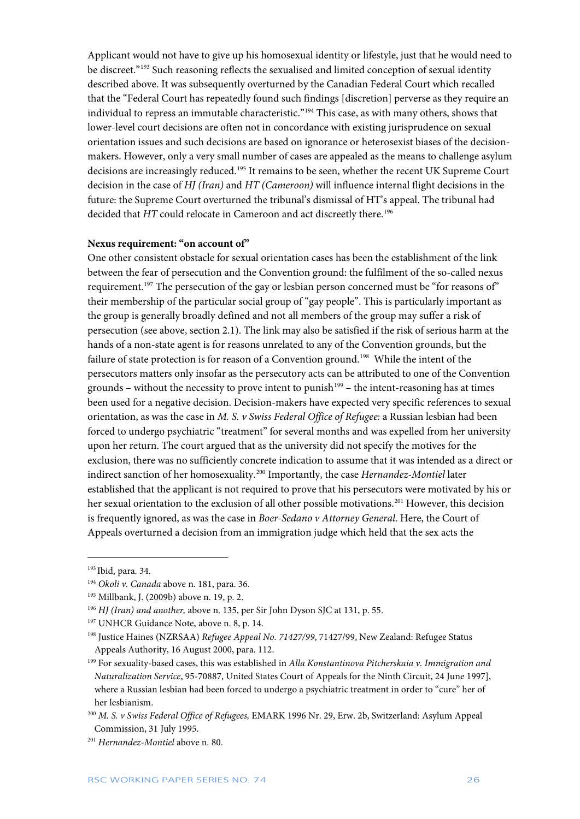Applicant would not have to give up his homosexual identity or lifestyle, just that he would need to be discreet."<sup>[193](#page-26-0)</sup> Such reasoning reflects the sexualised and limited conception of sexual identity described above. It was subsequently overturned by the Canadian Federal Court which recalled that the "Federal Court has repeatedly found such findings [discretion] perverse as they require an individual to repress an immutable characteristic."[194](#page-26-1) This case, as with many others, shows that lower-level court decisions are often not in concordance with existing jurisprudence on sexual orientation issues and such decisions are based on ignorance or heterosexist biases of the decisionmakers. However, only a very small number of cases are appealed as the means to challenge asylum decisions are increasingly reduced.<sup>[195](#page-26-2)</sup> It remains to be seen, whether the recent UK Supreme Court decision in the case of *HJ (Iran)* and *HT (Cameroon)* will influence internal flight decisions in the future: the Supreme Court overturned the tribunal's dismissal of HT's appeal. The tribunal had decided that *HT* could relocate in Cameroon and act discreetly there.<sup>[196](#page-26-3)</sup>

#### **Nexus requirement: "on account of"**

One other consistent obstacle for sexual orientation cases has been the establishment of the link between the fear of persecution and the Convention ground: the fulfilment of the so-called nexus requirement.<sup>[197](#page-26-4)</sup> The persecution of the gay or lesbian person concerned must be "for reasons of" their membership of the particular social group of "gay people". This is particularly important as the group is generally broadly defined and not all members of the group may suffer a risk of persecution (see above, section 2.1). The link may also be satisfied if the risk of serious harm at the hands of a non-state agent is for reasons unrelated to any of the Convention grounds, but the failure of state protection is for reason of a Convention ground.<sup>198</sup> While the intent of the persecutors matters only insofar as the persecutory acts can be attributed to one of the Convention grounds – without the necessity to prove intent to punish $199$  – the intent-reasoning has at times been used for a negative decision. Decision-makers have expected very specific references to sexual orientation, as was the case in *M. S. v Swiss Federal Office of Refugee:* a Russian lesbian had been forced to undergo psychiatric "treatment" for several months and was expelled from her university upon her return. The court argued that as the university did not specify the motives for the exclusion, there was no sufficiently concrete indication to assume that it was intended as a direct or indirect sanction of her homosexuality.[200](#page-26-7) Importantly, the case *Hernandez-Montiel* later established that the applicant is not required to prove that his persecutors were motivated by his or her sexual orientation to the exclusion of all other possible motivations.<sup>[201](#page-26-8)</sup> However, this decision is frequently ignored, as was the case in *Boer-Sedano v Attorney General*. Here, the Court of Appeals overturned a decision from an immigration judge which held that the sex acts the

<span id="page-26-0"></span><sup>193</sup> Ibid, para. 34.

<span id="page-26-1"></span><sup>194</sup> *Okoli v. Canada* above n. 181, para. 36.

<span id="page-26-2"></span><sup>195</sup> Millbank, J. (2009b) above n. 19, p. 2.

<span id="page-26-3"></span><sup>196</sup> *HJ (Iran) and another,* above n. 135, per Sir John Dyson SJC at 131, p. 55.

<span id="page-26-4"></span><sup>&</sup>lt;sup>197</sup> UNHCR Guidance Note, above n. 8, p. 14.

<span id="page-26-5"></span><sup>198</sup> Justice Haines (NZRSAA) *Refugee Appeal No. 71427/99*, 71427/99, New Zealand: Refugee Status Appeals Authority, 16 August 2000, para. 112.

<span id="page-26-6"></span><sup>199</sup> For sexuality-based cases, this was established in *Alla Konstantinova Pitcherskaia v. Immigration and Naturalization Service*, 95-70887, United States Court of Appeals for the Ninth Circuit, 24 June 1997], where a Russian lesbian had been forced to undergo a psychiatric treatment in order to "cure" her of her lesbianism.

<span id="page-26-7"></span><sup>200</sup> *M. S. v Swiss Federal Office of Refugees,* EMARK 1996 Nr. 29, Erw. 2b, Switzerland: Asylum Appeal Commission, 31 July 1995.

<span id="page-26-8"></span><sup>201</sup> *Hernandez-Montiel* above n. 80.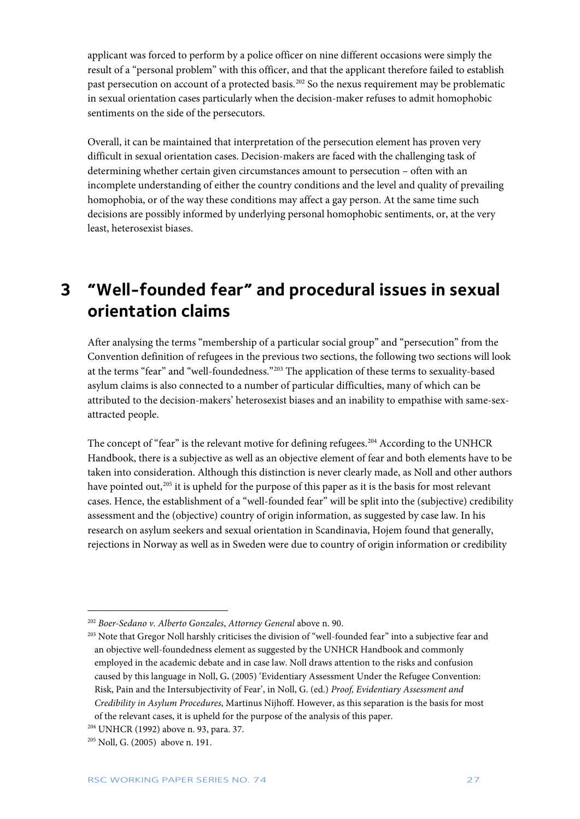applicant was forced to perform by a police officer on nine different occasions were simply the result of a "personal problem" with this officer, and that the applicant therefore failed to establish past persecution on account of a protected basis.[202](#page-27-1) So the nexus requirement may be problematic in sexual orientation cases particularly when the decision-maker refuses to admit homophobic sentiments on the side of the persecutors.

Overall, it can be maintained that interpretation of the persecution element has proven very difficult in sexual orientation cases. Decision-makers are faced with the challenging task of determining whether certain given circumstances amount to persecution – often with an incomplete understanding of either the country conditions and the level and quality of prevailing homophobia, or of the way these conditions may affect a gay person. At the same time such decisions are possibly informed by underlying personal homophobic sentiments, or, at the very least, heterosexist biases.

# <span id="page-27-0"></span>**3 "Well-founded fear" and procedural issues in sexual orientation claims**

After analysing the terms "membership of a particular social group" and "persecution" from the Convention definition of refugees in the previous two sections, the following two sections will look at the terms "fear" and "well-foundedness."[203](#page-27-2) The application of these terms to sexuality-based asylum claims is also connected to a number of particular difficulties, many of which can be attributed to the decision-makers' heterosexist biases and an inability to empathise with same-sexattracted people.

The concept of "fear" is the relevant motive for defining refugees.<sup>[204](#page-27-3)</sup> According to the UNHCR Handbook, there is a subjective as well as an objective element of fear and both elements have to be taken into consideration. Although this distinction is never clearly made, as Noll and other authors have pointed out,<sup>[205](#page-27-4)</sup> it is upheld for the purpose of this paper as it is the basis for most relevant cases. Hence, the establishment of a "well-founded fear" will be split into the (subjective) credibility assessment and the (objective) country of origin information, as suggested by case law. In his research on asylum seekers and sexual orientation in Scandinavia, Hojem found that generally, rejections in Norway as well as in Sweden were due to country of origin information or credibility

<span id="page-27-1"></span><sup>202</sup> *Boer-Sedano v. Alberto Gonzales*, *Attorney General* above n. 90.

<span id="page-27-2"></span><sup>&</sup>lt;sup>203</sup> Note that Gregor Noll harshly criticises the division of "well-founded fear" into a subjective fear and an objective well-foundedness element as suggested by the UNHCR Handbook and commonly employed in the academic debate and in case law. Noll draws attention to the risks and confusion caused by this language in Noll, G**.** (2005) 'Evidentiary Assessment Under the Refugee Convention: Risk, Pain and the Intersubjectivity of Fear', in Noll, G. (ed.) *Proof, Evidentiary Assessment and Credibility in Asylum Procedures*, Martinus Nijhoff. However, as this separation is the basis for most of the relevant cases, it is upheld for the purpose of the analysis of this paper.

<span id="page-27-3"></span><sup>204</sup> UNHCR (1992) above n. 93, para. 37.

<span id="page-27-4"></span><sup>205</sup> Noll, G. (2005) above n. 191.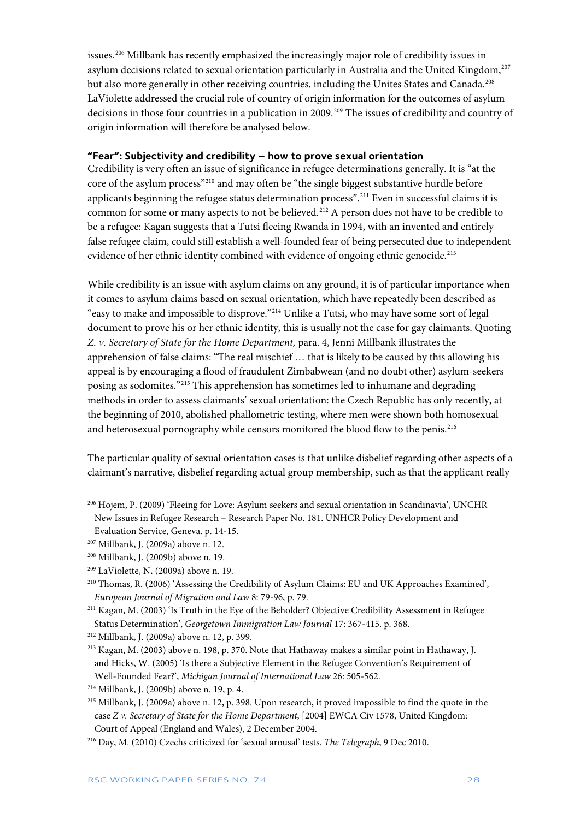issues[.206](#page-28-1) Millbank has recently emphasized the increasingly major role of credibility issues in asylum decisions related to sexual orientation particularly in Australia and the United Kingdom,<sup>[207](#page-28-2)</sup> but also more generally in other receiving countries, including the Unites States and Canada.<sup>[208](#page-28-3)</sup> LaViolette addressed the crucial role of country of origin information for the outcomes of asylum decisions in those four countries in a publication in 2009.<sup>[209](#page-28-4)</sup> The issues of credibility and country of origin information will therefore be analysed below.

#### <span id="page-28-0"></span>**"Fear": Subjectivity and credibility – how to prove sexual orientation**

Credibility is very often an issue of significance in refugee determinations generally. It is "at the core of the asylum process"[210](#page-28-5) and may often be "the single biggest substantive hurdle before applicants beginning the refugee status determination process". [211](#page-28-6) Even in successful claims it is common for some or many aspects to not be believed.<sup>[212](#page-28-7)</sup> A person does not have to be credible to be a refugee: Kagan suggests that a Tutsi fleeing Rwanda in 1994, with an invented and entirely false refugee claim, could still establish a well-founded fear of being persecuted due to independent evidence of her ethnic identity combined with evidence of ongoing ethnic genocide.<sup>[213](#page-28-8)</sup>

While credibility is an issue with asylum claims on any ground, it is of particular importance when it comes to asylum claims based on sexual orientation, which have repeatedly been described as "easy to make and impossible to disprove."[214](#page-28-9) Unlike a Tutsi, who may have some sort of legal document to prove his or her ethnic identity, this is usually not the case for gay claimants. Quoting *Z. v. Secretary of State for the Home Department,* para. 4, Jenni Millbank illustrates the apprehension of false claims: "The real mischief … that is likely to be caused by this allowing his appeal is by encouraging a flood of fraudulent Zimbabwean (and no doubt other) asylum-seekers posing as sodomites."[215](#page-28-10) This apprehension has sometimes led to inhumane and degrading methods in order to assess claimants' sexual orientation: the Czech Republic has only recently, at the beginning of 2010, abolished phallometric testing, where men were shown both homosexual and heterosexual pornography while censors monitored the blood flow to the penis.<sup>[216](#page-28-11)</sup>

The particular quality of sexual orientation cases is that unlike disbelief regarding other aspects of a claimant's narrative, disbelief regarding actual group membership, such as that the applicant really

<span id="page-28-1"></span><sup>206</sup> Hojem, P. (2009) 'Fleeing for Love: Asylum seekers and sexual orientation in Scandinavia', UNCHR New Issues in Refugee Research – Research Paper No. 181. UNHCR Policy Development and Evaluation Service, Geneva. p. 14-15.

<span id="page-28-2"></span><sup>&</sup>lt;sup>207</sup> Millbank, J. (2009a) above n. 12.<br><sup>208</sup> Millbank, J. (2009b) above n. 19.

<span id="page-28-4"></span><span id="page-28-3"></span><sup>209</sup> LaViolette, N**.** (2009a) above n. 19.

<span id="page-28-5"></span><sup>210</sup> Thomas, R. (2006) 'Assessing the Credibility of Asylum Claims: EU and UK Approaches Examined', *European Journal of Migration and Law* 8: 79-96, p. 79.

<span id="page-28-6"></span><sup>211</sup> Kagan, M. (2003) 'Is Truth in the Eye of the Beholder? Objective Credibility Assessment in Refugee Status Determination', *Georgetown Immigration Law Journal* 17: 367-415. p. 368.

<span id="page-28-8"></span><span id="page-28-7"></span><sup>&</sup>lt;sup>212</sup> Millbank, J. (2009a) above n. 12, p. 399.<br><sup>213</sup> Kagan, M. (2003) above n. 198, p. 370. Note that Hathaway makes a similar point in Hathaway, J. and Hicks, W. (2005) 'Is there a Subjective Element in the Refugee Convention's Requirement of Well-Founded Fear?', *Michigan Journal of International Law* 26: 505-562.

<span id="page-28-9"></span><sup>214</sup> Millbank, J. (2009b) above n. 19, p. 4.

<span id="page-28-10"></span><sup>215</sup> Millbank, J. (2009a) above n. 12, p. 398. Upon research, it proved impossible to find the quote in the case *Z v. Secretary of State for the Home Department*, [2004] EWCA Civ 1578, United Kingdom: Court of Appeal (England and Wales), 2 December 2004.

<span id="page-28-11"></span><sup>216</sup> Day, M. (2010) Czechs criticized for 'sexual arousal' tests. *The Telegraph*, 9 Dec 2010.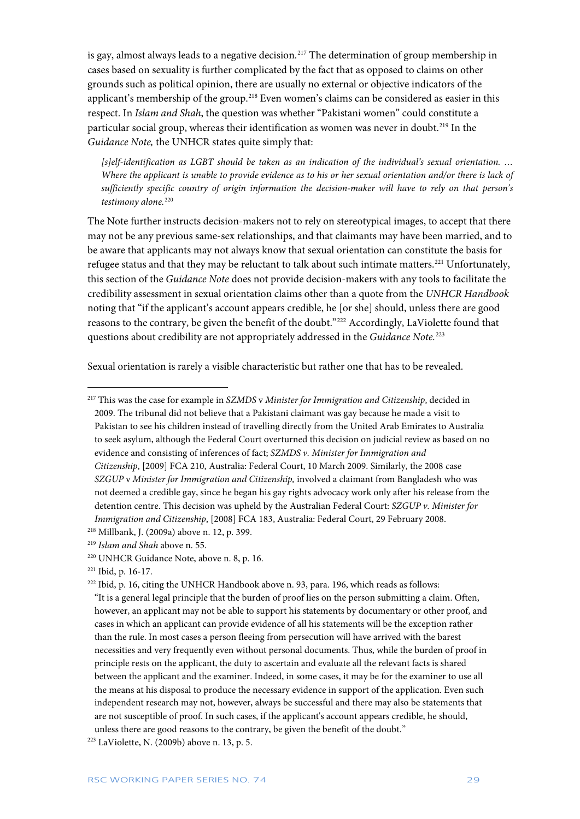is gay, almost always leads to a negative decision.<sup>[217](#page-29-0)</sup> The determination of group membership in cases based on sexuality is further complicated by the fact that as opposed to claims on other grounds such as political opinion, there are usually no external or objective indicators of the applicant's membership of the group.<sup>[218](#page-29-1)</sup> Even women's claims can be considered as easier in this respect. In *Islam and Shah*, the question was whether "Pakistani women" could constitute a particular social group, whereas their identification as women was never in doubt.<sup>[219](#page-29-2)</sup> In the *Guidance Note,* the UNHCR states quite simply that:

*[s]elf-identification as LGBT should be taken as an indication of the individual's sexual orientation. … Where the applicant is unable to provide evidence as to his or her sexual orientation and/or there is lack of sufficiently specific country of origin information the decision-maker will have to rely on that person's*  testimony alone.<sup>[220](#page-29-3)</sup>

The Note further instructs decision-makers not to rely on stereotypical images, to accept that there may not be any previous same-sex relationships, and that claimants may have been married, and to be aware that applicants may not always know that sexual orientation can constitute the basis for refugee status and that they may be reluctant to talk about such intimate matters.<sup>221</sup> Unfortunately, this section of the *Guidance Note* does not provide decision-makers with any tools to facilitate the credibility assessment in sexual orientation claims other than a quote from the *UNHCR Handbook* noting that "if the applicant's account appears credible, he [or she] should, unless there are good reasons to the contrary, be given the benefit of the doubt."[222](#page-29-5) Accordingly, LaViolette found that questions about credibility are not appropriately addressed in the *Guidance Note.*[223](#page-29-6)

Sexual orientation is rarely a visible characteristic but rather one that has to be revealed.

<span id="page-29-0"></span><sup>217</sup> This was the case for example in *SZMDS* v *Minister for Immigration and Citizenship*, decided in 2009. The tribunal did not believe that a Pakistani claimant was gay because he made a visit to Pakistan to see his children instead of travelling directly from the United Arab Emirates to Australia to seek asylum, although the Federal Court overturned this decision on judicial review as based on no evidence and consisting of inferences of fact; *SZMDS v. Minister for Immigration and Citizenship*, [2009] FCA 210, Australia: Federal Court, 10 March 2009. Similarly, the 2008 case *SZGUP* v *Minister for Immigration and Citizenship,* involved a claimant from Bangladesh who was not deemed a credible gay, since he began his gay rights advocacy work only after his release from the detention centre. This decision was upheld by the Australian Federal Court: *SZGUP v. Minister for Immigration and Citizenship*, [2008] FCA 183, Australia: Federal Court, 29 February 2008.

<span id="page-29-1"></span><sup>218</sup> Millbank, J. (2009a) above n. 12, p. 399.

<span id="page-29-2"></span><sup>219</sup> *Islam and Shah* above n. 55.

<span id="page-29-3"></span><sup>220</sup> UNHCR Guidance Note, above n. 8, p. 16.

<span id="page-29-4"></span><sup>221</sup> Ibid, p. 16-17.

<span id="page-29-5"></span><sup>&</sup>lt;sup>222</sup> Ibid, p. 16, citing the UNHCR Handbook above n. 93, para. 196, which reads as follows: "It is a general legal principle that the burden of proof lies on the person submitting a claim. Often, however, an applicant may not be able to support his statements by documentary or other proof, and cases in which an applicant can provide evidence of all his statements will be the exception rather than the rule. In most cases a person fleeing from persecution will have arrived with the barest necessities and very frequently even without personal documents. Thus, while the burden of proof in principle rests on the applicant, the duty to ascertain and evaluate all the relevant facts is shared between the applicant and the examiner. Indeed, in some cases, it may be for the examiner to use all the means at his disposal to produce the necessary evidence in support of the application. Even such independent research may not, however, always be successful and there may also be statements that are not susceptible of proof. In such cases, if the applicant's account appears credible, he should, unless there are good reasons to the contrary, be given the benefit of the doubt."

<span id="page-29-6"></span><sup>223</sup> LaViolette, N. (2009b) above n. 13, p. 5.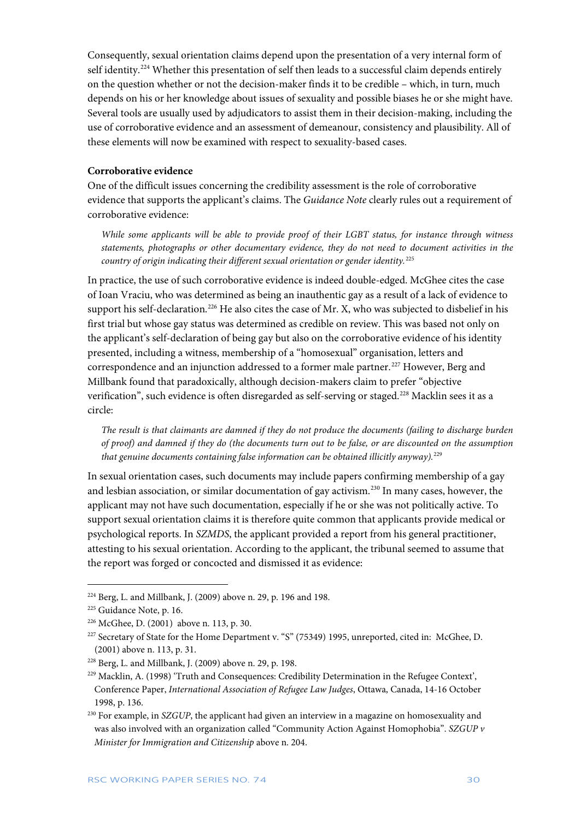Consequently, sexual orientation claims depend upon the presentation of a very internal form of self identity.<sup>[224](#page-30-0)</sup> Whether this presentation of self then leads to a successful claim depends entirely on the question whether or not the decision-maker finds it to be credible – which, in turn, much depends on his or her knowledge about issues of sexuality and possible biases he or she might have. Several tools are usually used by adjudicators to assist them in their decision-making, including the use of corroborative evidence and an assessment of demeanour, consistency and plausibility. All of these elements will now be examined with respect to sexuality-based cases.

#### **Corroborative evidence**

One of the difficult issues concerning the credibility assessment is the role of corroborative evidence that supports the applicant's claims. The *Guidance Note* clearly rules out a requirement of corroborative evidence:

*While some applicants will be able to provide proof of their LGBT status, for instance through witness statements, photographs or other documentary evidence, they do not need to document activities in the country of origin indicating their different sexual orientation or gender identity.*[225](#page-30-1)

In practice, the use of such corroborative evidence is indeed double-edged. McGhee cites the case of Ioan Vraciu, who was determined as being an inauthentic gay as a result of a lack of evidence to support his self-declaration.<sup>[226](#page-30-2)</sup> He also cites the case of Mr. X, who was subjected to disbelief in his first trial but whose gay status was determined as credible on review. This was based not only on the applicant's self-declaration of being gay but also on the corroborative evidence of his identity presented, including a witness, membership of a "homosexual" organisation, letters and correspondence and an injunction addressed to a former male partner.<sup>[227](#page-30-3)</sup> However, Berg and Millbank found that paradoxically, although decision-makers claim to prefer "objective verification", such evidence is often disregarded as self-serving or staged.<sup>[228](#page-30-4)</sup> Macklin sees it as a circle:

*The result is that claimants are damned if they do not produce the documents (failing to discharge burden of proof) and damned if they do (the documents turn out to be false, or are discounted on the assumption that genuine documents containing false information can be obtained illicitly anyway).*[229](#page-30-5)

In sexual orientation cases, such documents may include papers confirming membership of a gay and lesbian association, or similar documentation of gay activism.[230](#page-30-6) In many cases, however, the applicant may not have such documentation, especially if he or she was not politically active. To support sexual orientation claims it is therefore quite common that applicants provide medical or psychological reports. In *SZMDS*, the applicant provided a report from his general practitioner, attesting to his sexual orientation. According to the applicant, the tribunal seemed to assume that the report was forged or concocted and dismissed it as evidence:

<span id="page-30-0"></span> $224$  Berg, L. and Millbank, J. (2009) above n. 29, p. 196 and 198.

<span id="page-30-2"></span><span id="page-30-1"></span><sup>&</sup>lt;sup>225</sup> Guidance Note, p. 16.  $^{226}$  McGhee, D. (2001) above n. 113, p. 30.

<span id="page-30-3"></span><sup>227</sup> Secretary of State for the Home Department v. "S" (75349) 1995, unreported, cited in: McGhee, D. (2001) above n. 113, p. 31.

<span id="page-30-4"></span><sup>228</sup> Berg, L. and Millbank, J. (2009) above n. 29, p. 198.

<span id="page-30-5"></span><sup>229</sup> Macklin, A. (1998) 'Truth and Consequences: Credibility Determination in the Refugee Context', Conference Paper, *International Association of Refugee Law Judges*, Ottawa, Canada, 14-16 October 1998, p. 136.

<span id="page-30-6"></span><sup>230</sup> For example, in *SZGUP*, the applicant had given an interview in a magazine on homosexuality and was also involved with an organization called "Community Action Against Homophobia". *SZGUP v Minister for Immigration and Citizenship* above n. 204.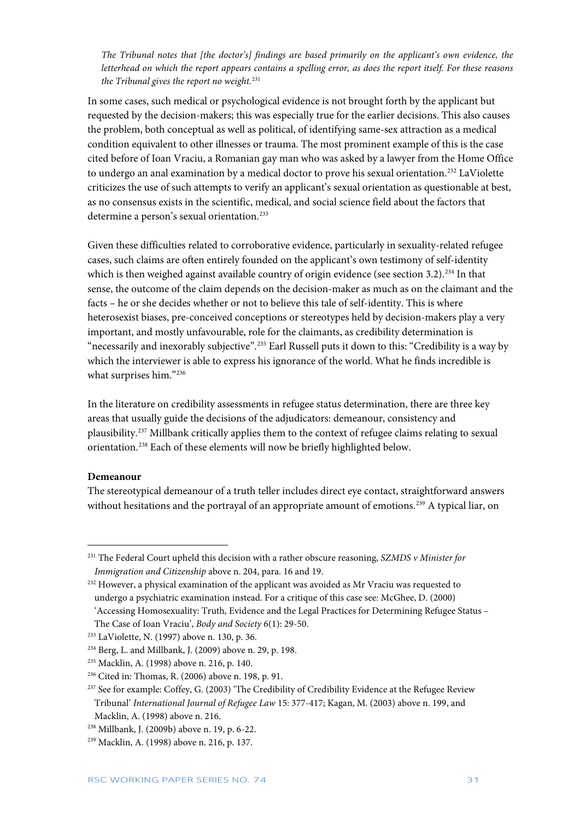*The Tribunal notes that [the doctor's] findings are based primarily on the applicant's own evidence, the letterhead on which the report appears contains a spelling error, as does the report itself. For these reasons the Tribunal gives the report no weight.*[231](#page-31-0)

In some cases, such medical or psychological evidence is not brought forth by the applicant but requested by the decision-makers; this was especially true for the earlier decisions. This also causes the problem, both conceptual as well as political, of identifying same-sex attraction as a medical condition equivalent to other illnesses or trauma. The most prominent example of this is the case cited before of Ioan Vraciu, a Romanian gay man who was asked by a lawyer from the Home Office to undergo an anal examination by a medical doctor to prove his sexual orientation.<sup>[232](#page-31-1)</sup> LaViolette criticizes the use of such attempts to verify an applicant's sexual orientation as questionable at best, as no consensus exists in the scientific, medical, and social science field about the factors that determine a person's sexual orientation.<sup>233</sup>

Given these difficulties related to corroborative evidence, particularly in sexuality-related refugee cases, such claims are often entirely founded on the applicant's own testimony of self-identity which is then weighed against available country of origin evidence (see section 3.2).<sup>[234](#page-31-3)</sup> In that sense, the outcome of the claim depends on the decision-maker as much as on the claimant and the facts – he or she decides whether or not to believe this tale of self-identity. This is where heterosexist biases, pre-conceived conceptions or stereotypes held by decision-makers play a very important, and mostly unfavourable, role for the claimants, as credibility determination is "necessarily and inexorably subjective". [235](#page-31-4) Earl Russell puts it down to this: "Credibility is a way by which the interviewer is able to express his ignorance of the world. What he finds incredible is what surprises him."[236](#page-31-5)

In the literature on credibility assessments in refugee status determination, there are three key areas that usually guide the decisions of the adjudicators: demeanour, consistency and plausibility.[237](#page-31-6) Millbank critically applies them to the context of refugee claims relating to sexual orientation.[238](#page-31-7) Each of these elements will now be briefly highlighted below.

#### **Demeanour**

1

The stereotypical demeanour of a truth teller includes direct eye contact, straightforward answers without hesitations and the portrayal of an appropriate amount of emotions.<sup>[239](#page-31-8)</sup> A typical liar, on

<span id="page-31-0"></span><sup>231</sup> The Federal Court upheld this decision with a rather obscure reasoning, *SZMDS v Minister for Immigration and Citizenship* above n. 204, para. 16 and 19.

<span id="page-31-1"></span><sup>&</sup>lt;sup>232</sup> However, a physical examination of the applicant was avoided as Mr Vraciu was requested to undergo a psychiatric examination instead. For a critique of this case see: McGhee, D. (2000)

<sup>&#</sup>x27;Accessing Homosexuality: Truth, Evidence and the Legal Practices for Determining Refugee Status – The Case of Ioan Vraciu', *Body and Society* 6(1): 29-50.

<span id="page-31-2"></span><sup>233</sup> LaViolette, N. (1997) above n. 130, p. 36.

<span id="page-31-3"></span><sup>234</sup> Berg, L. and Millbank, J. (2009) above n. 29, p. 198.

<span id="page-31-4"></span><sup>235</sup> Macklin, A. (1998) above n. 216, p. 140.

<span id="page-31-5"></span><sup>236</sup> Cited in: Thomas, R. (2006) above n. 198, p. 91.

<span id="page-31-6"></span><sup>&</sup>lt;sup>237</sup> See for example: Coffey, G. (2003) 'The Credibility of Credibility Evidence at the Refugee Review Tribunal' *International Journal of Refugee Law* 15: 377-417; Kagan, M. (2003) above n. 199, and Macklin, A. (1998) above n. 216.

<span id="page-31-7"></span><sup>238</sup> Millbank, J. (2009b) above n. 19, p. 6-22.

<span id="page-31-8"></span><sup>239</sup> Macklin, A. (1998) above n. 216, p. 137.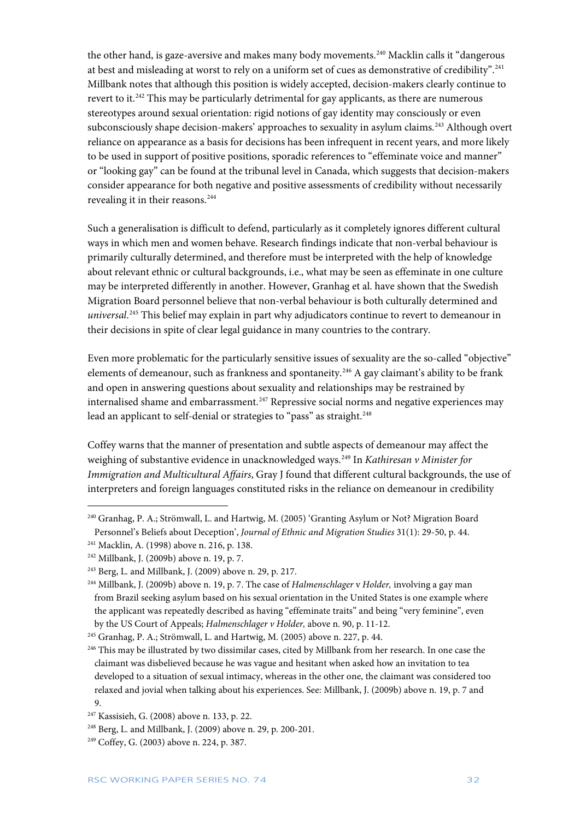the other hand, is gaze-aversive and makes many body movements.<sup>[240](#page-32-0)</sup> Macklin calls it "dangerous at best and misleading at worst to rely on a uniform set of cues as demonstrative of credibility".<sup>[241](#page-32-1)</sup> Millbank notes that although this position is widely accepted, decision-makers clearly continue to revert to it.<sup>[242](#page-32-2)</sup> This may be particularly detrimental for gay applicants, as there are numerous stereotypes around sexual orientation: rigid notions of gay identity may consciously or even subconsciously shape decision-makers' approaches to sexuality in asylum claims.<sup>[243](#page-32-3)</sup> Although overt reliance on appearance as a basis for decisions has been infrequent in recent years, and more likely to be used in support of positive positions, sporadic references to "effeminate voice and manner" or "looking gay" can be found at the tribunal level in Canada, which suggests that decision-makers consider appearance for both negative and positive assessments of credibility without necessarily revealing it in their reasons.<sup>[244](#page-32-4)</sup>

Such a generalisation is difficult to defend, particularly as it completely ignores different cultural ways in which men and women behave. Research findings indicate that non-verbal behaviour is primarily culturally determined, and therefore must be interpreted with the help of knowledge about relevant ethnic or cultural backgrounds, i.e., what may be seen as effeminate in one culture may be interpreted differently in another. However, Granhag et al. have shown that the Swedish Migration Board personnel believe that non-verbal behaviour is both culturally determined and *universal*. [245](#page-32-5) This belief may explain in part why adjudicators continue to revert to demeanour in their decisions in spite of clear legal guidance in many countries to the contrary.

Even more problematic for the particularly sensitive issues of sexuality are the so-called "objective" elements of demeanour, such as frankness and spontaneity.<sup>[246](#page-32-6)</sup> A gay claimant's ability to be frank and open in answering questions about sexuality and relationships may be restrained by internalised shame and embarrassment.<sup>[247](#page-32-7)</sup> Repressive social norms and negative experiences may lead an applicant to self-denial or strategies to "pass" as straight.<sup>[248](#page-32-8)</sup>

Coffey warns that the manner of presentation and subtle aspects of demeanour may affect the weighing of substantive evidence in unacknowledged ways.<sup>[249](#page-32-9)</sup> In *Kathiresan v Minister for Immigration and Multicultural Affairs*, Gray J found that different cultural backgrounds, the use of interpreters and foreign languages constituted risks in the reliance on demeanour in credibility

<span id="page-32-0"></span><sup>&</sup>lt;sup>240</sup> Granhag, P. A.; Strömwall, L. and Hartwig, M. (2005) 'Granting Asylum or Not? Migration Board Personnel's Beliefs about Deception', *Journal of Ethnic and Migration Studies* 31(1): 29-50, p. 44.

<span id="page-32-1"></span><sup>241</sup> Macklin, A. (1998) above n. 216, p. 138.

<span id="page-32-2"></span><sup>242</sup> Millbank, J. (2009b) above n. 19, p. 7.

<span id="page-32-3"></span><sup>243</sup> Berg, L. and Millbank, J. (2009) above n. 29, p. 217.

<span id="page-32-4"></span><sup>244</sup> Millbank, J. (2009b) above n. 19, p. 7. The case of *Halmenschlager* v *Holder,* involving a gay man from Brazil seeking asylum based on his sexual orientation in the United States is one example where the applicant was repeatedly described as having "effeminate traits" and being "very feminine", even by the US Court of Appeals; *Halmenschlager v Holder,* above n. 90, p. 11-12.

<span id="page-32-5"></span><sup>245</sup> Granhag, P. A.; Strömwall, L. and Hartwig, M. (2005) above n. 227, p. 44.

<span id="page-32-6"></span><sup>&</sup>lt;sup>246</sup> This may be illustrated by two dissimilar cases, cited by Millbank from her research. In one case the claimant was disbelieved because he was vague and hesitant when asked how an invitation to tea developed to a situation of sexual intimacy, whereas in the other one, the claimant was considered too relaxed and jovial when talking about his experiences. See: Millbank, J. (2009b) above n. 19, p. 7 and 9.

<span id="page-32-7"></span><sup>247</sup> Kassisieh, G. (2008) above n. 133, p. 22.

<span id="page-32-8"></span><sup>248</sup> Berg, L. and Millbank, J. (2009) above n. 29, p. 200-201.

<span id="page-32-9"></span><sup>249</sup> Coffey, G. (2003) above n. 224, p. 387.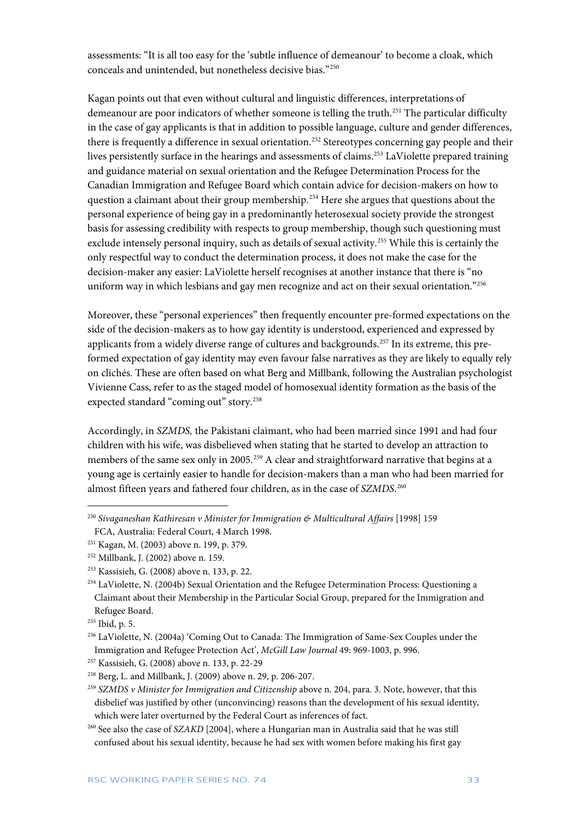assessments: "It is all too easy for the 'subtle influence of demeanour' to become a cloak, which conceals and unintended, but nonetheless decisive bias."[250](#page-33-0)

Kagan points out that even without cultural and linguistic differences, interpretations of demeanour are poor indicators of whether someone is telling the truth.<sup>[251](#page-33-1)</sup> The particular difficulty in the case of gay applicants is that in addition to possible language, culture and gender differences, there is frequently a difference in sexual orientation.<sup>[252](#page-33-2)</sup> Stereotypes concerning gay people and their lives persistently surface in the hearings and assessments of claims.<sup>[253](#page-33-3)</sup> LaViolette prepared training and guidance material on sexual orientation and the Refugee Determination Process for the Canadian Immigration and Refugee Board which contain advice for decision-makers on how to question a claimant about their group membership.[254](#page-33-4) Here she argues that questions about the personal experience of being gay in a predominantly heterosexual society provide the strongest basis for assessing credibility with respects to group membership, though such questioning must exclude intensely personal inquiry, such as details of sexual activity.<sup>[255](#page-33-5)</sup> While this is certainly the only respectful way to conduct the determination process, it does not make the case for the decision-maker any easier: LaViolette herself recognises at another instance that there is "no uniform way in which lesbians and gay men recognize and act on their sexual orientation."<sup>[256](#page-33-6)</sup>

Moreover, these "personal experiences" then frequently encounter pre-formed expectations on the side of the decision-makers as to how gay identity is understood, experienced and expressed by applicants from a widely diverse range of cultures and backgrounds.<sup>[257](#page-33-7)</sup> In its extreme, this preformed expectation of gay identity may even favour false narratives as they are likely to equally rely on clichés. These are often based on what Berg and Millbank, following the Australian psychologist Vivienne Cass, refer to as the staged model of homosexual identity formation as the basis of the expected standard "coming out" story.<sup>[258](#page-33-8)</sup>

Accordingly, in *SZMDS,* the Pakistani claimant, who had been married since 1991 and had four children with his wife, was disbelieved when stating that he started to develop an attraction to members of the same sex only in 2005.<sup>[259](#page-33-9)</sup> A clear and straightforward narrative that begins at a young age is certainly easier to handle for decision-makers than a man who had been married for almost fifteen years and fathered four children, as in the case of *SZMDS*. [260](#page-33-10)

<span id="page-33-0"></span><sup>250</sup> *Sivaganeshan Kathiresan v Minister for Immigration & Multicultural Affairs* [1998] 159

FCA, Australia: Federal Court, 4 March 1998.

<span id="page-33-1"></span><sup>251</sup> Kagan, M. (2003) above n. 199, p. 379.

<span id="page-33-2"></span><sup>252</sup> Millbank, J. (2002) above n. 159.

<span id="page-33-3"></span><sup>253</sup> Kassisieh, G. (2008) above n. 133, p. 22.

<span id="page-33-4"></span><sup>&</sup>lt;sup>254</sup> LaViolette, N. (2004b) Sexual Orientation and the Refugee Determination Process: Questioning a Claimant about their Membership in the Particular Social Group, prepared for the Immigration and Refugee Board.

<span id="page-33-5"></span><sup>255</sup> Ibid, p. 5.

<span id="page-33-6"></span><sup>&</sup>lt;sup>256</sup> LaViolette, N. (2004a) 'Coming Out to Canada: The Immigration of Same-Sex Couples under the Immigration and Refugee Protection Act', *McGill Law Journal* 49: 969-1003, p. 996.

<span id="page-33-7"></span><sup>257</sup> Kassisieh, G. (2008) above n. 133, p. 22-29

<span id="page-33-8"></span><sup>258</sup> Berg, L. and Millbank, J. (2009) above n. 29, p. 206-207.

<span id="page-33-9"></span><sup>259</sup> *SZMDS v Minister for Immigration and Citizenship* above n. 204, para. 3. Note, however, that this disbelief was justified by other (unconvincing) reasons than the development of his sexual identity, which were later overturned by the Federal Court as inferences of fact.

<span id="page-33-10"></span><sup>260</sup> See also the case of *SZAKD* [2004], where a Hungarian man in Australia said that he was still confused about his sexual identity, because he had sex with women before making his first gay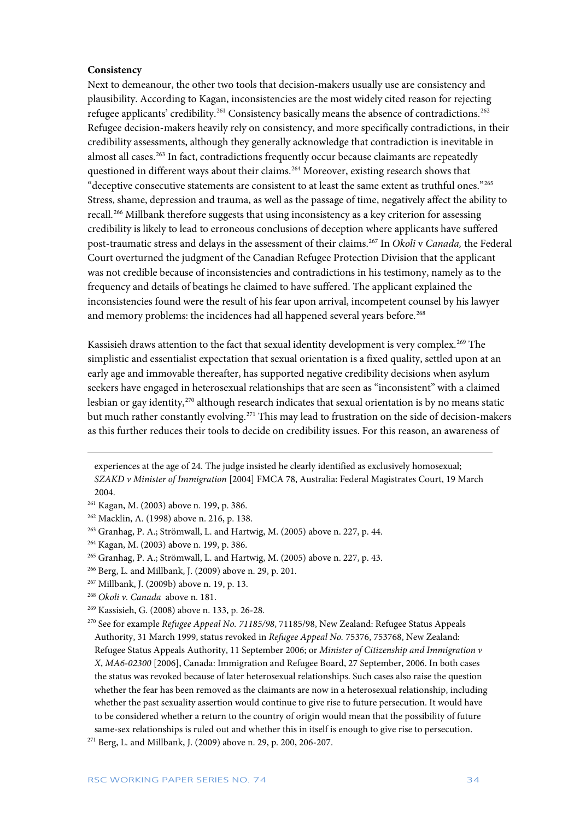#### **Consistency**

Next to demeanour, the other two tools that decision-makers usually use are consistency and plausibility. According to Kagan, inconsistencies are the most widely cited reason for rejecting refugee applicants' credibility.[261](#page-34-0) Consistency basically means the absence of contradictions.[262](#page-34-1) Refugee decision-makers heavily rely on consistency, and more specifically contradictions, in their credibility assessments, although they generally acknowledge that contradiction is inevitable in almost all cases. [263](#page-34-2) In fact, contradictions frequently occur because claimants are repeatedly questioned in different ways about their claims.<sup>[264](#page-34-3)</sup> Moreover, existing research shows that "deceptive consecutive statements are consistent to at least the same extent as truthful ones."[265](#page-34-4) Stress, shame, depression and trauma, as well as the passage of time, negatively affect the ability to recall.<sup>[266](#page-34-5)</sup> Millbank therefore suggests that using inconsistency as a key criterion for assessing credibility is likely to lead to erroneous conclusions of deception where applicants have suffered post-traumatic stress and delays in the assessment of their claims.[267](#page-34-6) In *Okoli* v *Canada,* the Federal Court overturned the judgment of the Canadian Refugee Protection Division that the applicant was not credible because of inconsistencies and contradictions in his testimony, namely as to the frequency and details of beatings he claimed to have suffered. The applicant explained the inconsistencies found were the result of his fear upon arrival, incompetent counsel by his lawyer and memory problems: the incidences had all happened several years before.<sup>[268](#page-34-7)</sup>

Kassisieh draws attention to the fact that sexual identity development is very complex. [269](#page-34-8) The simplistic and essentialist expectation that sexual orientation is a fixed quality, settled upon at an early age and immovable thereafter, has supported negative credibility decisions when asylum seekers have engaged in heterosexual relationships that are seen as "inconsistent" with a claimed lesbian or gay identity,[270](#page-34-9) although research indicates that sexual orientation is by no means static but much rather constantly evolving.<sup>[271](#page-34-10)</sup> This may lead to frustration on the side of decision-makers as this further reduces their tools to decide on credibility issues. For this reason, an awareness of

experiences at the age of 24. The judge insisted he clearly identified as exclusively homosexual; *SZAKD v Minister of Immigration* [2004] FMCA 78, Australia: Federal Magistrates Court, 19 March 2004.

<span id="page-34-0"></span><sup>261</sup> Kagan, M. (2003) above n. 199, p. 386.

<span id="page-34-1"></span><sup>262</sup> Macklin, A. (1998) above n. 216, p. 138.

<span id="page-34-2"></span><sup>263</sup> Granhag, P. A.; Strömwall, L. and Hartwig, M. (2005) above n. 227, p. 44.

<span id="page-34-3"></span><sup>264</sup> Kagan, M. (2003) above n. 199, p. 386.

<span id="page-34-4"></span><sup>265</sup> Granhag, P. A.; Strömwall, L. and Hartwig, M. (2005) above n. 227, p. 43.

<span id="page-34-5"></span><sup>266</sup> Berg, L. and Millbank, J. (2009) above n. 29, p. 201.

<span id="page-34-6"></span><sup>267</sup> Millbank, J. (2009b) above n. 19, p. 13.

<span id="page-34-7"></span><sup>268</sup> *Okoli v. Canada* above n. 181.

<span id="page-34-8"></span><sup>269</sup> Kassisieh, G. (2008) above n. 133, p. 26-28.

<span id="page-34-9"></span><sup>270</sup> See for example *Refugee Appeal No. 71185/98*, 71185/98, New Zealand: Refugee Status Appeals Authority, 31 March 1999, status revoked in *Refugee Appeal No.* 75376, 753768, New Zealand: Refugee Status Appeals Authority, 11 September 2006; or *Minister of Citizenship and Immigration v X*, *MA6-02300* [2006], Canada: Immigration and Refugee Board, 27 September, 2006. In both cases the status was revoked because of later heterosexual relationships. Such cases also raise the question whether the fear has been removed as the claimants are now in a heterosexual relationship, including whether the past sexuality assertion would continue to give rise to future persecution. It would have to be considered whether a return to the country of origin would mean that the possibility of future same-sex relationships is ruled out and whether this in itself is enough to give rise to persecution.

<span id="page-34-10"></span><sup>271</sup> Berg, L. and Millbank, J. (2009) above n. 29, p. 200, 206-207.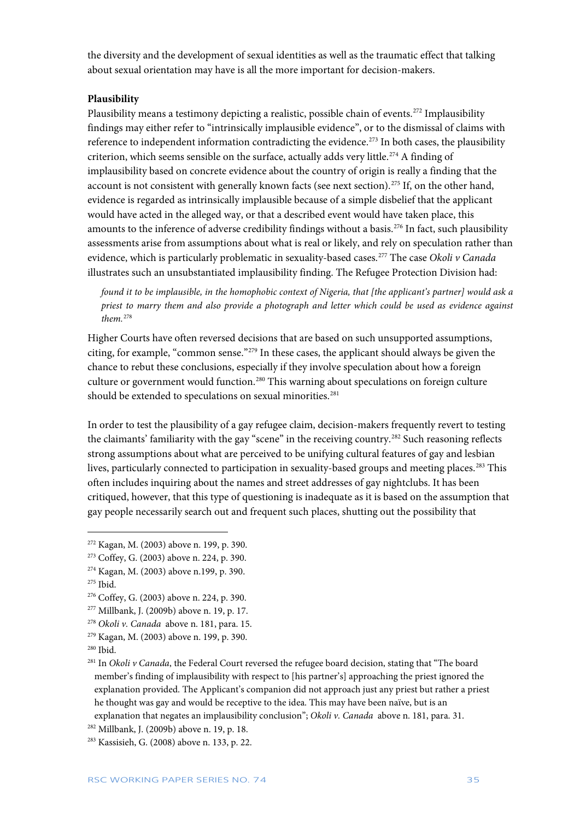the diversity and the development of sexual identities as well as the traumatic effect that talking about sexual orientation may have is all the more important for decision-makers.

#### **Plausibility**

Plausibility means a testimony depicting a realistic, possible chain of events.<sup>[272](#page-35-0)</sup> Implausibility findings may either refer to "intrinsically implausible evidence", or to the dismissal of claims with reference to independent information contradicting the evidence.<sup>[273](#page-35-1)</sup> In both cases, the plausibility criterion, which seems sensible on the surface, actually adds very little.<sup>[274](#page-35-2)</sup> A finding of implausibility based on concrete evidence about the country of origin is really a finding that the account is not consistent with generally known facts (see next section).<sup>[275](#page-35-3)</sup> If, on the other hand, evidence is regarded as intrinsically implausible because of a simple disbelief that the applicant would have acted in the alleged way, or that a described event would have taken place, this amounts to the inference of adverse credibility findings without a basis.<sup>[276](#page-35-4)</sup> In fact, such plausibility assessments arise from assumptions about what is real or likely, and rely on speculation rather than evidence, which is particularly problematic in sexuality-based cases.[277](#page-35-5) The case *Okoli v Canada*  illustrates such an unsubstantiated implausibility finding. The Refugee Protection Division had:

*found it to be implausible, in the homophobic context of Nigeria, that [the applicant's partner] would ask a priest to marry them and also provide a photograph and letter which could be used as evidence against them.*[278](#page-35-6)

Higher Courts have often reversed decisions that are based on such unsupported assumptions, citing, for example, "common sense."[279](#page-35-7) In these cases, the applicant should always be given the chance to rebut these conclusions, especially if they involve speculation about how a foreign culture or government would function.<sup>[280](#page-35-8)</sup> This warning about speculations on foreign culture should be extended to speculations on sexual minorities.<sup>[281](#page-35-9)</sup>

In order to test the plausibility of a gay refugee claim, decision-makers frequently revert to testing the claimants' familiarity with the gay "scene" in the receiving country.<sup>[282](#page-35-10)</sup> Such reasoning reflects strong assumptions about what are perceived to be unifying cultural features of gay and lesbian lives, particularly connected to participation in sexuality-based groups and meeting places.<sup>[283](#page-35-11)</sup> This often includes inquiring about the names and street addresses of gay nightclubs. It has been critiqued, however, that this type of questioning is inadequate as it is based on the assumption that gay people necessarily search out and frequent such places, shutting out the possibility that

<span id="page-35-0"></span><sup>272</sup> Kagan, M. (2003) above n. 199, p. 390.

<span id="page-35-1"></span><sup>273</sup> Coffey, G. (2003) above n. 224, p. 390.

<span id="page-35-2"></span><sup>274</sup> Kagan, M. (2003) above n.199, p. 390.

<span id="page-35-3"></span><sup>275</sup> Ibid.

<span id="page-35-4"></span><sup>276</sup> Coffey, G. (2003) above n. 224, p. 390.

<span id="page-35-5"></span><sup>277</sup> Millbank, J. (2009b) above n. 19, p. 17.

<span id="page-35-6"></span><sup>278</sup> *Okoli v. Canada* above n. 181, para. 15.

<span id="page-35-7"></span><sup>279</sup> Kagan, M. (2003) above n. 199, p. 390.

<span id="page-35-8"></span><sup>280</sup> Ibid.

<span id="page-35-9"></span><sup>&</sup>lt;sup>281</sup> In *Okoli v Canada*, the Federal Court reversed the refugee board decision, stating that "The board member's finding of implausibility with respect to [his partner's] approaching the priest ignored the explanation provided. The Applicant's companion did not approach just any priest but rather a priest he thought was gay and would be receptive to the idea. This may have been naïve, but is an explanation that negates an implausibility conclusion"; *Okoli v. Canada* above n. 181, para. 31.

<span id="page-35-10"></span><sup>282</sup> Millbank, J. (2009b) above n. 19, p. 18.

<span id="page-35-11"></span><sup>283</sup> Kassisieh, G. (2008) above n. 133, p. 22.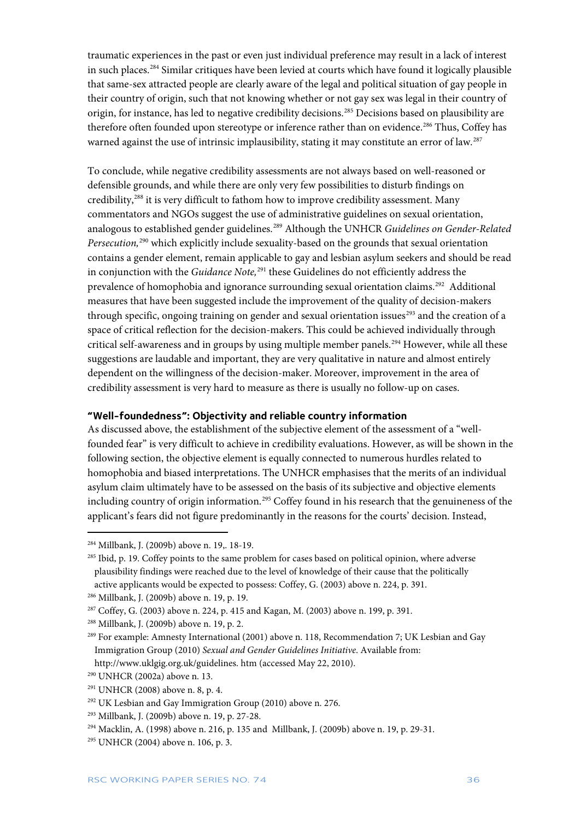traumatic experiences in the past or even just individual preference may result in a lack of interest in such places.[284](#page-36-1) Similar critiques have been levied at courts which have found it logically plausible that same-sex attracted people are clearly aware of the legal and political situation of gay people in their country of origin, such that not knowing whether or not gay sex was legal in their country of origin, for instance, has led to negative credibility decisions[.285](#page-36-2) Decisions based on plausibility are therefore often founded upon stereotype or inference rather than on evidence.<sup>286</sup> Thus, Coffey has warned against the use of intrinsic implausibility, stating it may constitute an error of law.<sup>[287](#page-36-4)</sup>

To conclude, while negative credibility assessments are not always based on well-reasoned or defensible grounds, and while there are only very few possibilities to disturb findings on credibility,[288](#page-36-5) it is very difficult to fathom how to improve credibility assessment. Many commentators and NGOs suggest the use of administrative guidelines on sexual orientation, analogous to established gender guidelines.[289](#page-36-6) Although the UNHCR *Guidelines on Gender-Related Persecution,*[290](#page-36-7) which explicitly include sexuality-based on the grounds that sexual orientation contains a gender element, remain applicable to gay and lesbian asylum seekers and should be read in conjunction with the *Guidance Note,*[291](#page-36-8) these Guidelines do not efficiently address the prevalence of homophobia and ignorance surrounding sexual orientation claims.<sup>[292](#page-36-9)</sup> Additional measures that have been suggested include the improvement of the quality of decision-makers through specific, ongoing training on gender and sexual orientation issues<sup>[293](#page-36-10)</sup> and the creation of a space of critical reflection for the decision-makers. This could be achieved individually through critical self-awareness and in groups by using multiple member panels.<sup>[294](#page-36-11)</sup> However, while all these suggestions are laudable and important, they are very qualitative in nature and almost entirely dependent on the willingness of the decision-maker. Moreover, improvement in the area of credibility assessment is very hard to measure as there is usually no follow-up on cases.

#### <span id="page-36-0"></span>**"Well-foundedness": Objectivity and reliable country information**

As discussed above, the establishment of the subjective element of the assessment of a "wellfounded fear" is very difficult to achieve in credibility evaluations. However, as will be shown in the following section, the objective element is equally connected to numerous hurdles related to homophobia and biased interpretations. The UNHCR emphasises that the merits of an individual asylum claim ultimately have to be assessed on the basis of its subjective and objective elements including country of origin information.<sup>[295](#page-36-12)</sup> Coffey found in his research that the genuineness of the applicant's fears did not figure predominantly in the reasons for the courts' decision. Instead,

<span id="page-36-1"></span><sup>284</sup> Millbank, J. (2009b) above n. 19,. 18-19.

<span id="page-36-2"></span><sup>&</sup>lt;sup>285</sup> Ibid, p. 19. Coffey points to the same problem for cases based on political opinion, where adverse plausibility findings were reached due to the level of knowledge of their cause that the politically active applicants would be expected to possess: Coffey, G. (2003) above n. 224, p. 391.

<span id="page-36-3"></span><sup>286</sup> Millbank, J. (2009b) above n. 19, p. 19.

<span id="page-36-4"></span><sup>287</sup> Coffey, G. (2003) above n. 224, p. 415 and Kagan, M. (2003) above n. 199, p. 391.

<span id="page-36-5"></span><sup>288</sup> Millbank, J. (2009b) above n. 19, p. 2.

<span id="page-36-6"></span><sup>&</sup>lt;sup>289</sup> For example: Amnesty International (2001) above n. 118, Recommendation 7; UK Lesbian and Gay Immigration Group (2010) *Sexual and Gender Guidelines Initiative*. Available from:

[http://www.uklgig.org.uk/guidelines. htm](http://www.uklgig.org.uk/guidelines.%20htm) (accessed May 22, 2010).

<span id="page-36-7"></span><sup>290</sup> UNHCR (2002a) above n. 13.

<span id="page-36-8"></span><sup>291</sup> UNHCR (2008) above n. 8, p. 4.

<span id="page-36-9"></span><sup>292</sup> UK Lesbian and Gay Immigration Group (2010) above n. 276.

<span id="page-36-10"></span><sup>293</sup> Millbank, J. (2009b) above n. 19, p. 27-28.

<span id="page-36-11"></span><sup>294</sup> Macklin, A. (1998) above n. 216, p. 135 and Millbank, J. (2009b) above n. 19, p. 29-31.

<span id="page-36-12"></span><sup>295</sup> UNHCR (2004) above n. 106, p. 3.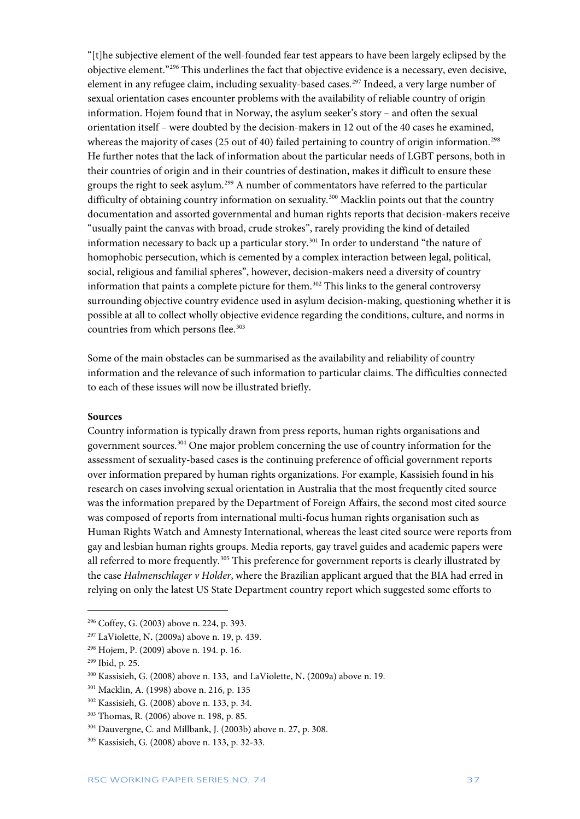"[t]he subjective element of the well-founded fear test appears to have been largely eclipsed by the objective element."[296](#page-37-0) This underlines the fact that objective evidence is a necessary, even decisive, element in any refugee claim, including sexuality-based cases.<sup>[297](#page-37-1)</sup> Indeed, a very large number of sexual orientation cases encounter problems with the availability of reliable country of origin information. Hojem found that in Norway, the asylum seeker's story – and often the sexual orientation itself – were doubted by the decision-makers in 12 out of the 40 cases he examined, whereas the majority of cases (25 out of 40) failed pertaining to country of origin information.<sup>[298](#page-37-2)</sup> He further notes that the lack of information about the particular needs of LGBT persons, both in their countries of origin and in their countries of destination, makes it difficult to ensure these groups the right to seek asylum.<sup>[299](#page-37-3)</sup> A number of commentators have referred to the particular difficulty of obtaining country information on sexuality.<sup>[300](#page-37-4)</sup> Macklin points out that the country documentation and assorted governmental and human rights reports that decision-makers receive "usually paint the canvas with broad, crude strokes", rarely providing the kind of detailed information necessary to back up a particular story.<sup>[301](#page-37-5)</sup> In order to understand "the nature of homophobic persecution, which is cemented by a complex interaction between legal, political, social, religious and familial spheres", however, decision-makers need a diversity of country information that paints a complete picture for them.<sup>[302](#page-37-6)</sup> This links to the general controversy surrounding objective country evidence used in asylum decision-making, questioning whether it is possible at all to collect wholly objective evidence regarding the conditions, culture, and norms in countries from which persons flee.<sup>[303](#page-37-7)</sup>

Some of the main obstacles can be summarised as the availability and reliability of country information and the relevance of such information to particular claims. The difficulties connected to each of these issues will now be illustrated briefly.

#### **Sources**

Country information is typically drawn from press reports, human rights organisations and government sources.[304](#page-37-8) One major problem concerning the use of country information for the assessment of sexuality-based cases is the continuing preference of official government reports over information prepared by human rights organizations. For example, Kassisieh found in his research on cases involving sexual orientation in Australia that the most frequently cited source was the information prepared by the Department of Foreign Affairs, the second most cited source was composed of reports from international multi-focus human rights organisation such as Human Rights Watch and Amnesty International, whereas the least cited source were reports from gay and lesbian human rights groups. Media reports, gay travel guides and academic papers were all referred to more frequently.<sup>[305](#page-37-9)</sup> This preference for government reports is clearly illustrated by the case *Halmenschlager v Holder*, where the Brazilian applicant argued that the BIA had erred in relying on only the latest US State Department country report which suggested some efforts to

<span id="page-37-0"></span><sup>296</sup> Coffey, G. (2003) above n. 224, p. 393.

<span id="page-37-1"></span><sup>297</sup> LaViolette, N**.** (2009a) above n. 19, p. 439.

<span id="page-37-2"></span><sup>298</sup> Hojem, P. (2009) above n. 194. p. 16.

<span id="page-37-3"></span><sup>299</sup> Ibid, p. 25.

<span id="page-37-4"></span><sup>300</sup> Kassisieh, G. (2008) above n. 133, and LaViolette, N**.** (2009a) above n. 19.

<span id="page-37-5"></span><sup>301</sup> Macklin, A. (1998) above n. 216, p. 135

<span id="page-37-6"></span><sup>302</sup> Kassisieh, G. (2008) above n. 133, p. 34.

<span id="page-37-7"></span><sup>303</sup> Thomas, R. (2006) above n. 198, p. 85.

<span id="page-37-8"></span><sup>304</sup> Dauvergne, C. and Millbank, J. (2003b) above n. 27, p. 308.

<span id="page-37-9"></span><sup>305</sup> Kassisieh, G. (2008) above n. 133, p. 32-33.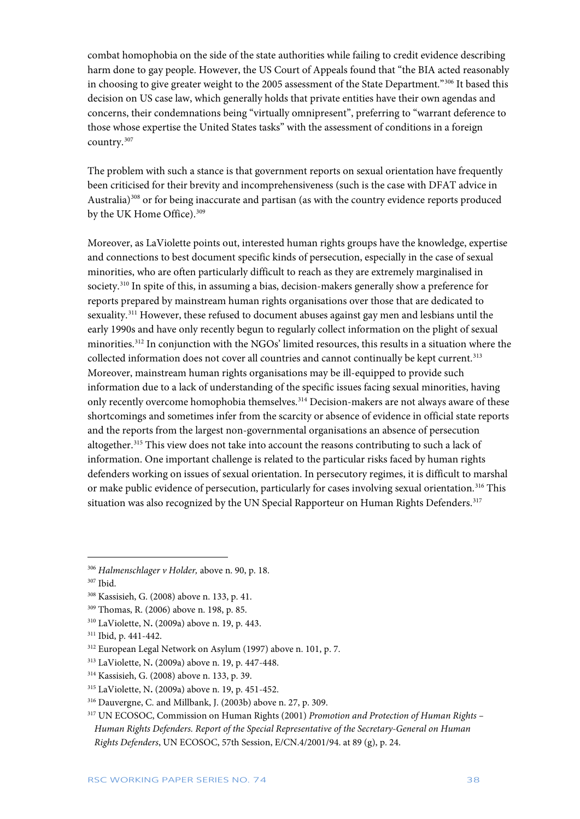combat homophobia on the side of the state authorities while failing to credit evidence describing harm done to gay people. However, the US Court of Appeals found that "the BIA acted reasonably in choosing to give greater weight to the 2005 assessment of the State Department."[306](#page-38-0) It based this decision on US case law, which generally holds that private entities have their own agendas and concerns, their condemnations being "virtually omnipresent", preferring to "warrant deference to those whose expertise the United States tasks" with the assessment of conditions in a foreign country.[307](#page-38-1)

The problem with such a stance is that government reports on sexual orientation have frequently been criticised for their brevity and incomprehensiveness (such is the case with DFAT advice in Australia) $308$  or for being inaccurate and partisan (as with the country evidence reports produced by the UK Home Office).<sup>309</sup>

Moreover, as LaViolette points out, interested human rights groups have the knowledge, expertise and connections to best document specific kinds of persecution, especially in the case of sexual minorities, who are often particularly difficult to reach as they are extremely marginalised in society.[310](#page-38-4) In spite of this, in assuming a bias, decision-makers generally show a preference for reports prepared by mainstream human rights organisations over those that are dedicated to sexuality.<sup>[311](#page-38-5)</sup> However, these refused to document abuses against gay men and lesbians until the early 1990s and have only recently begun to regularly collect information on the plight of sexual minorities[.312](#page-38-6) In conjunction with the NGOs' limited resources, this results in a situation where the collected information does not cover all countries and cannot continually be kept current.<sup>[313](#page-38-7)</sup> Moreover, mainstream human rights organisations may be ill-equipped to provide such information due to a lack of understanding of the specific issues facing sexual minorities, having only recently overcome homophobia themselves.<sup>[314](#page-38-8)</sup> Decision-makers are not always aware of these shortcomings and sometimes infer from the scarcity or absence of evidence in official state reports and the reports from the largest non-governmental organisations an absence of persecution altogether.<sup>[315](#page-38-9)</sup> This view does not take into account the reasons contributing to such a lack of information. One important challenge is related to the particular risks faced by human rights defenders working on issues of sexual orientation. In persecutory regimes, it is difficult to marshal or make public evidence of persecution, particularly for cases involving sexual orientation.[316](#page-38-10) This situation was also recognized by the UN Special Rapporteur on Human Rights Defenders.<sup>[317](#page-38-11)</sup>

<span id="page-38-0"></span><sup>306</sup> *Halmenschlager v Holder,* above n. 90, p. 18.

<span id="page-38-1"></span><sup>307</sup> Ibid.

<span id="page-38-2"></span><sup>308</sup> Kassisieh, G. (2008) above n. 133, p. 41.

<span id="page-38-3"></span><sup>309</sup> Thomas, R. (2006) above n. 198, p. 85.

<span id="page-38-4"></span><sup>310</sup> LaViolette, N**.** (2009a) above n. 19, p. 443.

<span id="page-38-5"></span><sup>311</sup> Ibid, p. 441-442.

<span id="page-38-6"></span><sup>312</sup> European Legal Network on Asylum (1997) above n. 101, p. 7.

<span id="page-38-7"></span><sup>313</sup> LaViolette, N**.** (2009a) above n. 19, p. 447-448.

<span id="page-38-8"></span><sup>314</sup> Kassisieh, G. (2008) above n. 133, p. 39.

<span id="page-38-9"></span><sup>315</sup> LaViolette, N**.** (2009a) above n. 19, p. 451-452.

<span id="page-38-10"></span><sup>316</sup> Dauvergne, C. and Millbank, J. (2003b) above n. 27, p. 309.

<span id="page-38-11"></span><sup>317</sup> UN ECOSOC, Commission on Human Rights (2001) *Promotion and Protection of Human Rights – Human Rights Defenders. Report of the Special Representative of the Secretary-General on Human Rights Defenders*, UN ECOSOC, 57th Session, E/CN.4/2001/94. at 89 (g), p. 24.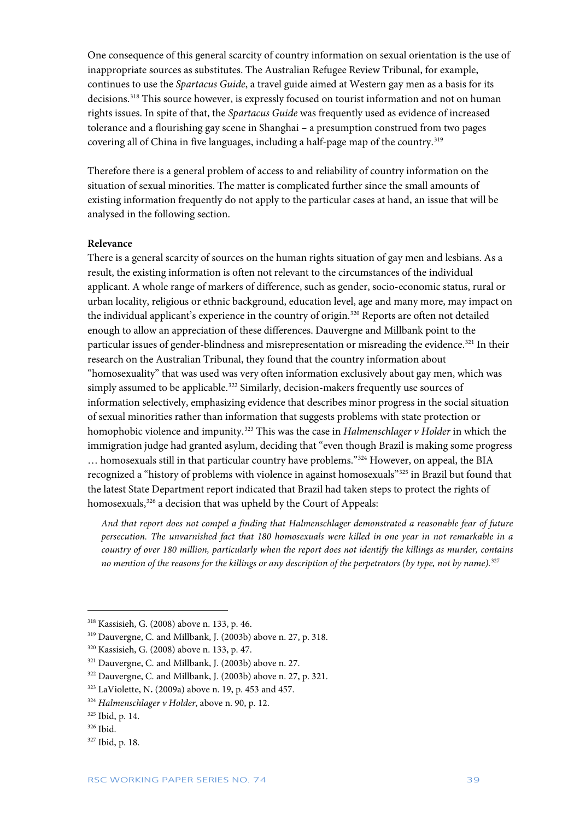One consequence of this general scarcity of country information on sexual orientation is the use of inappropriate sources as substitutes. The Australian Refugee Review Tribunal, for example, continues to use the *Spartacus Guide*, a travel guide aimed at Western gay men as a basis for its decisions.[318](#page-39-0) This source however, is expressly focused on tourist information and not on human rights issues. In spite of that, the *Spartacus Guide* was frequently used as evidence of increased tolerance and a flourishing gay scene in Shanghai – a presumption construed from two pages covering all of China in five languages, including a half-page map of the country.<sup>[319](#page-39-1)</sup>

Therefore there is a general problem of access to and reliability of country information on the situation of sexual minorities. The matter is complicated further since the small amounts of existing information frequently do not apply to the particular cases at hand, an issue that will be analysed in the following section.

#### **Relevance**

There is a general scarcity of sources on the human rights situation of gay men and lesbians. As a result, the existing information is often not relevant to the circumstances of the individual applicant. A whole range of markers of difference, such as gender, socio-economic status, rural or urban locality, religious or ethnic background, education level, age and many more, may impact on the individual applicant's experience in the country of origin.<sup>[320](#page-39-2)</sup> Reports are often not detailed enough to allow an appreciation of these differences. Dauvergne and Millbank point to the particular issues of gender-blindness and misrepresentation or misreading the evidence.<sup>[321](#page-39-3)</sup> In their research on the Australian Tribunal, they found that the country information about "homosexuality" that was used was very often information exclusively about gay men, which was simply assumed to be applicable.<sup>[322](#page-39-4)</sup> Similarly, decision-makers frequently use sources of information selectively, emphasizing evidence that describes minor progress in the social situation of sexual minorities rather than information that suggests problems with state protection or homophobic violence and impunity. [323](#page-39-5) This was the case in *Halmenschlager v Holder* in which the immigration judge had granted asylum, deciding that "even though Brazil is making some progress … homosexuals still in that particular country have problems."[324](#page-39-6) However, on appeal, the BIA recognized a "history of problems with violence in against homosexuals"[325](#page-39-7) in Brazil but found that the latest State Department report indicated that Brazil had taken steps to protect the rights of homosexuals,<sup>[326](#page-39-8)</sup> a decision that was upheld by the Court of Appeals:

*And that report does not compel a finding that Halmenschlager demonstrated a reasonable fear of future persecution. The unvarnished fact that 180 homosexuals were killed in one year in not remarkable in a country of over 180 million, particularly when the report does not identify the killings as murder, contains no mention of the reasons for the killings or any description of the perpetrators (by type, not by name).*[327](#page-39-9)

<span id="page-39-0"></span><sup>318</sup> Kassisieh, G. (2008) above n. 133, p. 46.

<span id="page-39-1"></span><sup>319</sup> Dauvergne, C. and Millbank, J. (2003b) above n. 27, p. 318.

<span id="page-39-2"></span><sup>320</sup> Kassisieh, G. (2008) above n. 133, p. 47.

<span id="page-39-3"></span><sup>321</sup> Dauvergne, C. and Millbank, J. (2003b) above n. 27.

<span id="page-39-4"></span><sup>322</sup> Dauvergne, C. and Millbank, J. (2003b) above n. 27, p. 321.

<span id="page-39-5"></span><sup>323</sup> LaViolette, N**.** (2009a) above n. 19, p. 453 and 457.

<span id="page-39-6"></span><sup>324</sup> *Halmenschlager v Holder*, above n. 90, p. 12.

<span id="page-39-7"></span><sup>325</sup> Ibid, p. 14.

<span id="page-39-8"></span><sup>326</sup> Ibid.

<span id="page-39-9"></span><sup>327</sup> Ibid, p. 18.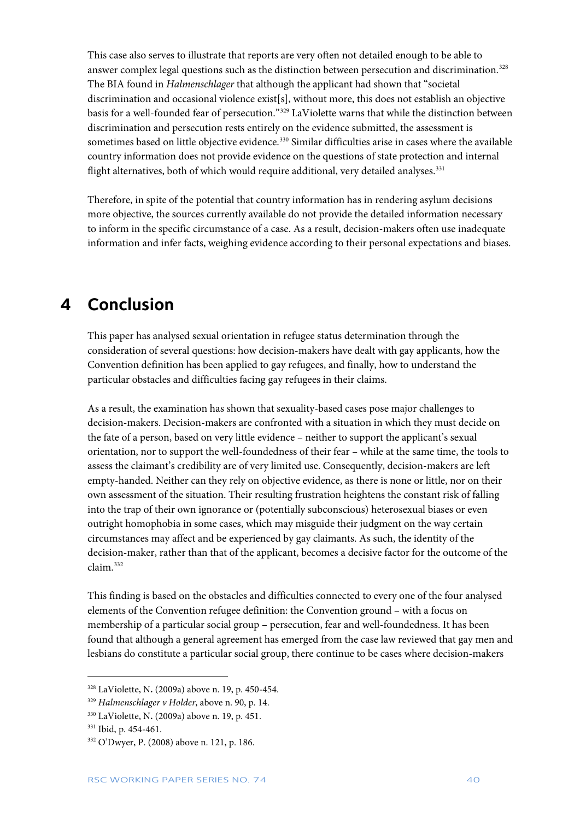This case also serves to illustrate that reports are very often not detailed enough to be able to answer complex legal questions such as the distinction between persecution and discrimination.<sup>[328](#page-40-1)</sup> The BIA found in *Halmenschlager* that although the applicant had shown that "societal discrimination and occasional violence exist[s], without more, this does not establish an objective basis for a well-founded fear of persecution."[329](#page-40-2) LaViolette warns that while the distinction between discrimination and persecution rests entirely on the evidence submitted, the assessment is sometimes based on little objective evidence.<sup>[330](#page-40-3)</sup> Similar difficulties arise in cases where the available country information does not provide evidence on the questions of state protection and internal flight alternatives, both of which would require additional, very detailed analyses.<sup>331</sup>

Therefore, in spite of the potential that country information has in rendering asylum decisions more objective, the sources currently available do not provide the detailed information necessary to inform in the specific circumstance of a case. As a result, decision-makers often use inadequate information and infer facts, weighing evidence according to their personal expectations and biases.

### <span id="page-40-0"></span>**4 Conclusion**

This paper has analysed sexual orientation in refugee status determination through the consideration of several questions: how decision-makers have dealt with gay applicants, how the Convention definition has been applied to gay refugees, and finally, how to understand the particular obstacles and difficulties facing gay refugees in their claims.

As a result, the examination has shown that sexuality-based cases pose major challenges to decision-makers. Decision-makers are confronted with a situation in which they must decide on the fate of a person, based on very little evidence – neither to support the applicant's sexual orientation, nor to support the well-foundedness of their fear – while at the same time, the tools to assess the claimant's credibility are of very limited use. Consequently, decision-makers are left empty-handed. Neither can they rely on objective evidence, as there is none or little, nor on their own assessment of the situation. Their resulting frustration heightens the constant risk of falling into the trap of their own ignorance or (potentially subconscious) heterosexual biases or even outright homophobia in some cases, which may misguide their judgment on the way certain circumstances may affect and be experienced by gay claimants. As such, the identity of the decision-maker, rather than that of the applicant, becomes a decisive factor for the outcome of the claim.[332](#page-40-5)

This finding is based on the obstacles and difficulties connected to every one of the four analysed elements of the Convention refugee definition: the Convention ground – with a focus on membership of a particular social group – persecution, fear and well-foundedness. It has been found that although a general agreement has emerged from the case law reviewed that gay men and lesbians do constitute a particular social group, there continue to be cases where decision-makers

<span id="page-40-1"></span><sup>328</sup> LaViolette, N**.** (2009a) above n. 19, p. 450-454.

<span id="page-40-2"></span><sup>329</sup> *Halmenschlager v Holder*, above n. 90, p. 14.

<span id="page-40-3"></span><sup>330</sup> LaViolette, N**.** (2009a) above n. 19, p. 451.

<span id="page-40-4"></span><sup>331</sup> Ibid, p. 454-461.

<span id="page-40-5"></span><sup>332</sup> O'Dwyer, P. (2008) above n. 121, p. 186.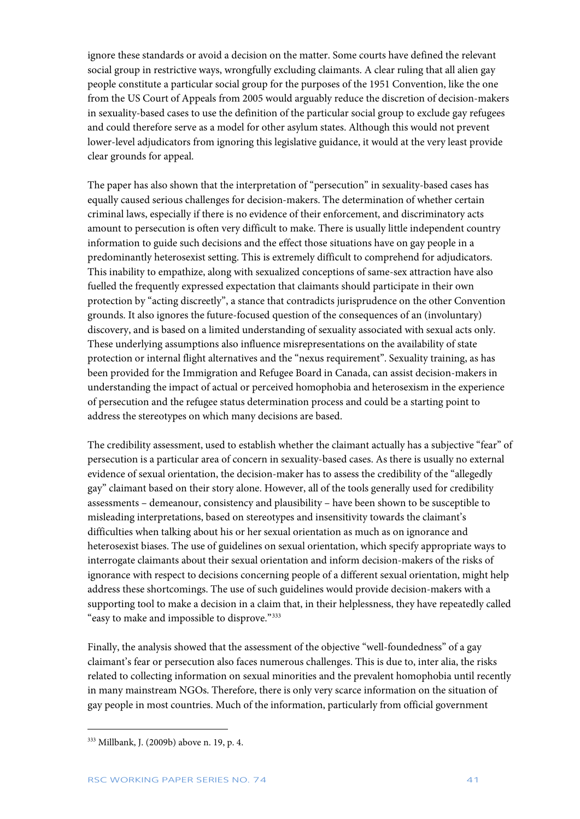ignore these standards or avoid a decision on the matter. Some courts have defined the relevant social group in restrictive ways, wrongfully excluding claimants. A clear ruling that all alien gay people constitute a particular social group for the purposes of the 1951 Convention, like the one from the US Court of Appeals from 2005 would arguably reduce the discretion of decision-makers in sexuality-based cases to use the definition of the particular social group to exclude gay refugees and could therefore serve as a model for other asylum states. Although this would not prevent lower-level adjudicators from ignoring this legislative guidance, it would at the very least provide clear grounds for appeal.

The paper has also shown that the interpretation of "persecution" in sexuality-based cases has equally caused serious challenges for decision-makers. The determination of whether certain criminal laws, especially if there is no evidence of their enforcement, and discriminatory acts amount to persecution is often very difficult to make. There is usually little independent country information to guide such decisions and the effect those situations have on gay people in a predominantly heterosexist setting. This is extremely difficult to comprehend for adjudicators. This inability to empathize, along with sexualized conceptions of same-sex attraction have also fuelled the frequently expressed expectation that claimants should participate in their own protection by "acting discreetly", a stance that contradicts jurisprudence on the other Convention grounds. It also ignores the future-focused question of the consequences of an (involuntary) discovery, and is based on a limited understanding of sexuality associated with sexual acts only. These underlying assumptions also influence misrepresentations on the availability of state protection or internal flight alternatives and the "nexus requirement". Sexuality training, as has been provided for the Immigration and Refugee Board in Canada, can assist decision-makers in understanding the impact of actual or perceived homophobia and heterosexism in the experience of persecution and the refugee status determination process and could be a starting point to address the stereotypes on which many decisions are based.

The credibility assessment, used to establish whether the claimant actually has a subjective "fear" of persecution is a particular area of concern in sexuality-based cases. As there is usually no external evidence of sexual orientation, the decision-maker has to assess the credibility of the "allegedly gay" claimant based on their story alone. However, all of the tools generally used for credibility assessments – demeanour, consistency and plausibility – have been shown to be susceptible to misleading interpretations, based on stereotypes and insensitivity towards the claimant's difficulties when talking about his or her sexual orientation as much as on ignorance and heterosexist biases. The use of guidelines on sexual orientation, which specify appropriate ways to interrogate claimants about their sexual orientation and inform decision-makers of the risks of ignorance with respect to decisions concerning people of a different sexual orientation, might help address these shortcomings. The use of such guidelines would provide decision-makers with a supporting tool to make a decision in a claim that, in their helplessness, they have repeatedly called "easy to make and impossible to disprove."[333](#page-41-0)

Finally, the analysis showed that the assessment of the objective "well-foundedness" of a gay claimant's fear or persecution also faces numerous challenges. This is due to, inter alia, the risks related to collecting information on sexual minorities and the prevalent homophobia until recently in many mainstream NGOs. Therefore, there is only very scarce information on the situation of gay people in most countries. Much of the information, particularly from official government

<span id="page-41-0"></span><sup>333</sup> Millbank, J. (2009b) above n. 19, p. 4.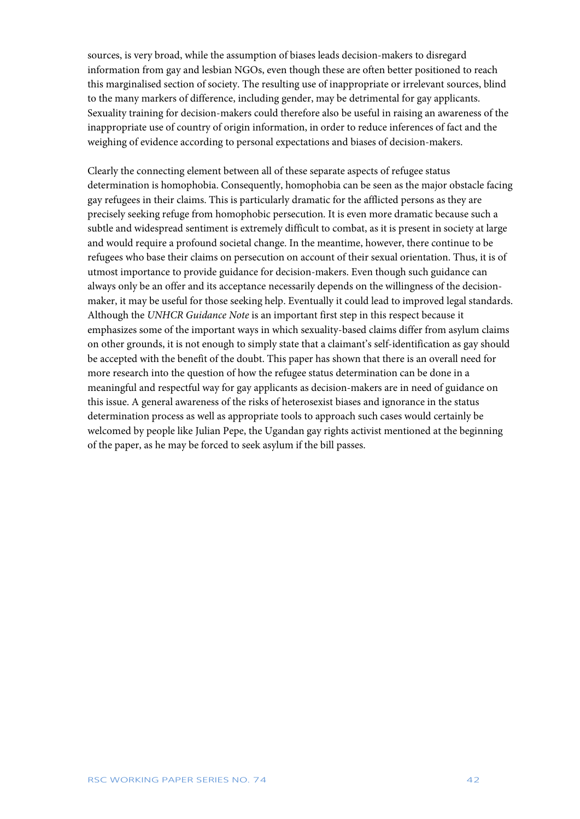sources, is very broad, while the assumption of biases leads decision-makers to disregard information from gay and lesbian NGOs, even though these are often better positioned to reach this marginalised section of society. The resulting use of inappropriate or irrelevant sources, blind to the many markers of difference, including gender, may be detrimental for gay applicants. Sexuality training for decision-makers could therefore also be useful in raising an awareness of the inappropriate use of country of origin information, in order to reduce inferences of fact and the weighing of evidence according to personal expectations and biases of decision-makers.

Clearly the connecting element between all of these separate aspects of refugee status determination is homophobia. Consequently, homophobia can be seen as the major obstacle facing gay refugees in their claims. This is particularly dramatic for the afflicted persons as they are precisely seeking refuge from homophobic persecution. It is even more dramatic because such a subtle and widespread sentiment is extremely difficult to combat, as it is present in society at large and would require a profound societal change. In the meantime, however, there continue to be refugees who base their claims on persecution on account of their sexual orientation. Thus, it is of utmost importance to provide guidance for decision-makers. Even though such guidance can always only be an offer and its acceptance necessarily depends on the willingness of the decisionmaker, it may be useful for those seeking help. Eventually it could lead to improved legal standards. Although the *UNHCR Guidance Note* is an important first step in this respect because it emphasizes some of the important ways in which sexuality-based claims differ from asylum claims on other grounds, it is not enough to simply state that a claimant's self-identification as gay should be accepted with the benefit of the doubt. This paper has shown that there is an overall need for more research into the question of how the refugee status determination can be done in a meaningful and respectful way for gay applicants as decision-makers are in need of guidance on this issue. A general awareness of the risks of heterosexist biases and ignorance in the status determination process as well as appropriate tools to approach such cases would certainly be welcomed by people like Julian Pepe, the Ugandan gay rights activist mentioned at the beginning of the paper, as he may be forced to seek asylum if the bill passes.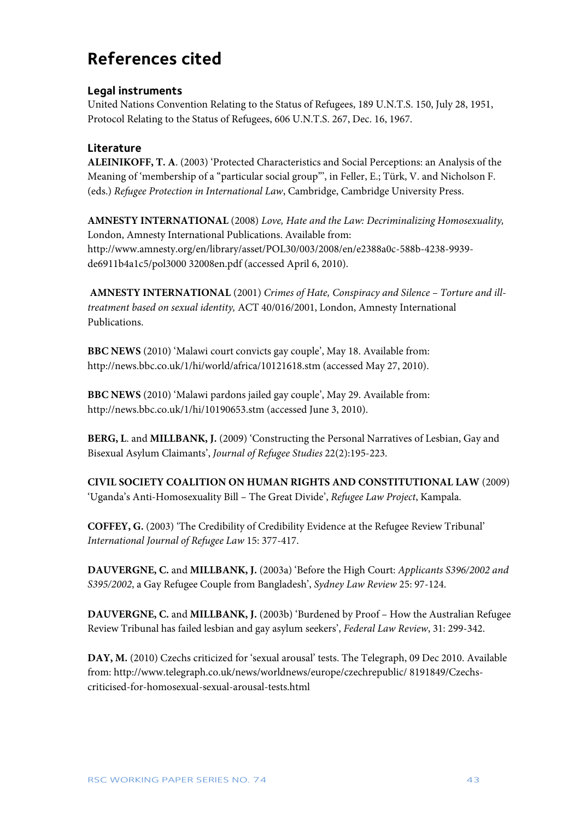# <span id="page-43-0"></span>**References cited**

### **Legal instruments**

United Nations Convention Relating to the Status of Refugees, 189 U.N.T.S. 150, July 28, 1951, Protocol Relating to the Status of Refugees, 606 U.N.T.S. 267, Dec. 16, 1967.

### **Literature**

**ALEINIKOFF, T. A**. (2003) 'Protected Characteristics and Social Perceptions: an Analysis of the Meaning of 'membership of a "particular social group"', in Feller, E.; Türk, V. and Nicholson F. (eds.) *Refugee Protection in International Law*, Cambridge, Cambridge University Press.

**AMNESTY INTERNATIONAL** (2008) *Love, Hate and the Law: Decriminalizing Homosexuality,* London, Amnesty International Publications. Available from: [http://www.amnesty.org/en/l](http://www.amnesty.org/en/)ibrary/asset/POL30/003/2008/en/e2388a0c-588b-4238-9939 de6911b4a1c5/pol3000 32008en.pdf (accessed April 6, 2010).

**AMNESTY INTERNATIONAL** (2001) *Crimes of Hate, Conspiracy and Silence – Torture and illtreatment based on sexual identity,* ACT 40/016/2001, London, Amnesty International Publications.

**BBC NEWS** (2010) 'Malawi court convicts gay couple', May 18. Available from: <http://news.bbc.co.uk/1/hi/world/africa/10121618.stm> (accessed May 27, 2010).

**BBC NEWS** (2010) 'Malawi pardons jailed gay couple', May 29. Available from: <http://news.bbc.co.uk/1/hi/10190653.stm> (accessed June 3, 2010).

**BERG, L**. and **MILLBANK, J.** (2009) 'Constructing the Personal Narratives of Lesbian, Gay and Bisexual Asylum Claimants', *Journal of Refugee Studies* 22(2):195-223.

**CIVIL SOCIETY COALITION ON HUMAN RIGHTS AND CONSTITUTIONAL LAW** (2009) 'Uganda's Anti-Homosexuality Bill – The Great Divide', *Refugee Law Project*, Kampala.

**COFFEY, G.** (2003) 'The Credibility of Credibility Evidence at the Refugee Review Tribunal' *International Journal of Refugee Law* 15: 377-417.

**DAUVERGNE, C.** and **MILLBANK, J.** (2003a) 'Before the High Court: *Applicants S396/2002 and S395/2002*, a Gay Refugee Couple from Bangladesh', *Sydney Law Review* 25: 97-124.

**DAUVERGNE, C.** and **MILLBANK, J.** (2003b) 'Burdened by Proof – How the Australian Refugee Review Tribunal has failed lesbian and gay asylum seekers', *Federal Law Review*, 31: 299-342.

**DAY, M.** (2010) Czechs criticized for 'sexual arousal' tests. The Telegraph, 09 Dec 2010. Available from: http://www.telegraph.co.uk/news/worldnews/europe/czechrepublic/ 8191849/Czechscriticised-for-homosexual-sexual-arousal-tests.html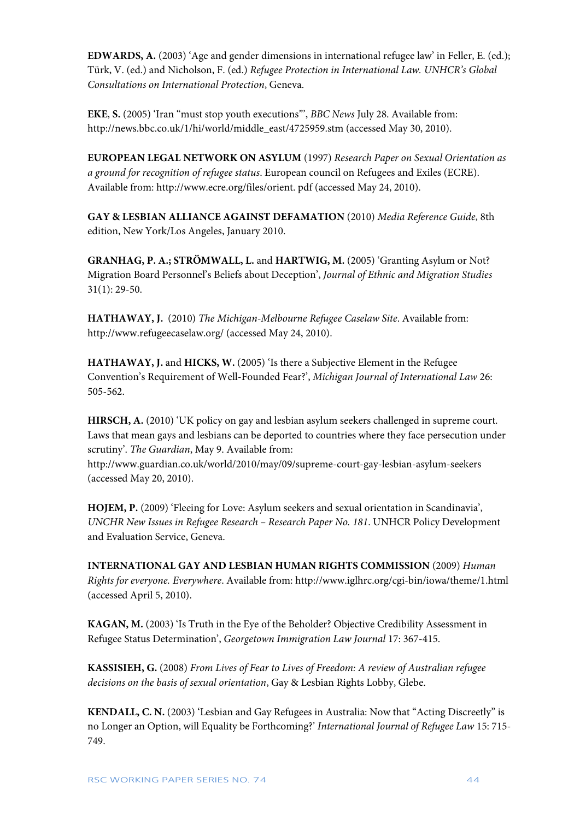**EDWARDS, A.** (2003) 'Age and gender dimensions in international refugee law' in Feller, E. (ed.); Türk, V. (ed.) and Nicholson, F. (ed.) *Refugee Protection in International Law. UNHCR's Global Consultations on International Protection*, Geneva.

**EKE**, **S.** (2005) 'Iran "must stop youth executions"', *BBC News* July 28. Available from: [http://news.bbc.co.uk/1/hi/world/middle\\_east/4725959.stm](http://news.bbc.co.uk/1/hi/world/middle_east/4725959.stm) (accessed May 30, 2010).

**EUROPEAN LEGAL NETWORK ON ASYLUM** (1997) *Research Paper on Sexual Orientation as a ground for recognition of refugee status*. European council on Refugees and Exiles (ECRE). Available from[: http://www.ecre.org/files/orient. pdf](http://www.ecre.org/files/orient.%20pdf) (accessed May 24, 2010).

**GAY & LESBIAN ALLIANCE AGAINST DEFAMATION** (2010) *Media Reference Guide*, 8th edition, New York/Los Angeles, January 2010.

**GRANHAG, P. A.; STRÖMWALL, L.** and **HARTWIG, M.** (2005) 'Granting Asylum or Not? Migration Board Personnel's Beliefs about Deception', *Journal of Ethnic and Migration Studies* 31(1): 29-50.

**HATHAWAY, J.** (2010) *The Michigan-Melbourne Refugee Caselaw Site*. Available from: <http://www.refugeecaselaw.org/> (accessed May 24, 2010).

**HATHAWAY, J.** and **HICKS, W.** (2005) 'Is there a Subjective Element in the Refugee Convention's Requirement of Well-Founded Fear?', *Michigan Journal of International Law* 26: 505-562.

**HIRSCH, A.** (2010) 'UK policy on gay and lesbian asylum seekers challenged in supreme court. Laws that mean gays and lesbians can be deported to countries where they face persecution under scrutiny'. *The Guardian*, May 9. Available from:

<http://www.guardian.co.uk/world/2010/may/09/supreme-court-gay-lesbian-asylum-seekers> (accessed May 20, 2010).

**HOJEM, P.** (2009) 'Fleeing for Love: Asylum seekers and sexual orientation in Scandinavia', *UNCHR New Issues in Refugee Research – Research Paper No. 181*. UNHCR Policy Development and Evaluation Service, Geneva.

**INTERNATIONAL GAY AND LESBIAN HUMAN RIGHTS COMMISSION** (2009) *Human Rights for everyone. Everywhere*. Available from:<http://www.iglhrc.org/cgi-bin/iowa/theme/1.html> (accessed April 5, 2010).

**KAGAN, M.** (2003) 'Is Truth in the Eye of the Beholder? Objective Credibility Assessment in Refugee Status Determination', *Georgetown Immigration Law Journal* 17: 367-415.

**KASSISIEH, G.** (2008) *From Lives of Fear to Lives of Freedom: A review of Australian refugee decisions on the basis of sexual orientation*, Gay & Lesbian Rights Lobby, Glebe.

**KENDALL, C. N.** (2003) 'Lesbian and Gay Refugees in Australia: Now that "Acting Discreetly" is no Longer an Option, will Equality be Forthcoming?' *International Journal of Refugee Law* 15: 715- 749.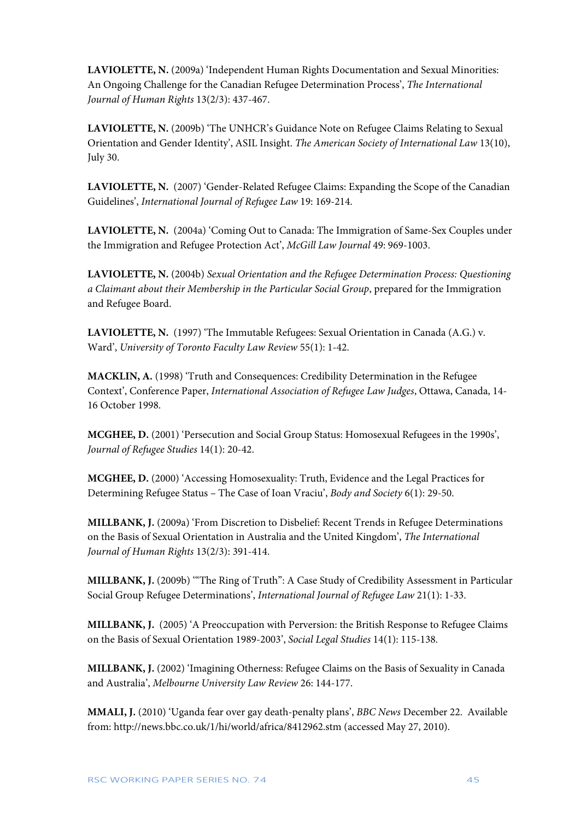**LAVIOLETTE, N.** (2009a) 'Independent Human Rights Documentation and Sexual Minorities: An Ongoing Challenge for the Canadian Refugee Determination Process', *The International Journal of Human Rights* 13(2/3): 437-467.

**LAVIOLETTE, N.** (2009b) 'The UNHCR's Guidance Note on Refugee Claims Relating to Sexual Orientation and Gender Identity', ASIL Insight. *The American Society of International Law* 13(10), July 30.

**LAVIOLETTE, N.** (2007) 'Gender-Related Refugee Claims: Expanding the Scope of the Canadian Guidelines', *International Journal of Refugee Law* 19: 169-214.

**LAVIOLETTE, N.** (2004a) 'Coming Out to Canada: The Immigration of Same-Sex Couples under the Immigration and Refugee Protection Act', *McGill Law Journal* 49: 969-1003.

**LAVIOLETTE, N.** (2004b) *Sexual Orientation and the Refugee Determination Process: Questioning a Claimant about their Membership in the Particular Social Group*, prepared for the Immigration and Refugee Board.

**LAVIOLETTE, N.** (1997) 'The Immutable Refugees: Sexual Orientation in Canada (A.G.) v. Ward', *University of Toronto Faculty Law Review* 55(1): 1-42.

**MACKLIN, A.** (1998) 'Truth and Consequences: Credibility Determination in the Refugee Context', Conference Paper, *International Association of Refugee Law Judges*, Ottawa, Canada, 14- 16 October 1998.

**MCGHEE, D.** (2001) 'Persecution and Social Group Status: Homosexual Refugees in the 1990s', *Journal of Refugee Studies* 14(1): 20-42.

**MCGHEE, D.** (2000) 'Accessing Homosexuality: Truth, Evidence and the Legal Practices for Determining Refugee Status – The Case of Ioan Vraciu', *Body and Society* 6(1): 29-50.

**MILLBANK, J.** (2009a) 'From Discretion to Disbelief: Recent Trends in Refugee Determinations on the Basis of Sexual Orientation in Australia and the United Kingdom', *The International Journal of Human Rights* 13(2/3): 391-414.

**MILLBANK, J.** (2009b) '"The Ring of Truth": A Case Study of Credibility Assessment in Particular Social Group Refugee Determinations', *International Journal of Refugee Law* 21(1): 1-33.

**MILLBANK, J.** (2005) 'A Preoccupation with Perversion: the British Response to Refugee Claims on the Basis of Sexual Orientation 1989-2003', *Social Legal Studies* 14(1): 115-138.

**MILLBANK, J.** (2002) 'Imagining Otherness: Refugee Claims on the Basis of Sexuality in Canada and Australia', *Melbourne University Law Review* 26: 144-177.

**MMALI, J.** (2010) 'Uganda fear over gay death-penalty plans', *BBC News* December 22. Available from:<http://news.bbc.co.uk/1/hi/world/africa/8412962.stm> (accessed May 27, 2010).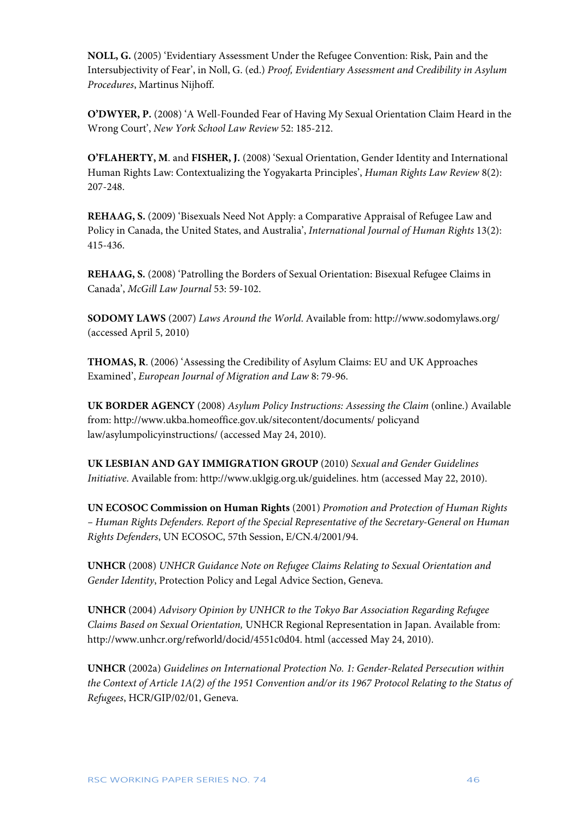**NOLL, G.** (2005) 'Evidentiary Assessment Under the Refugee Convention: Risk, Pain and the Intersubjectivity of Fear', in Noll, G. (ed.) *Proof, Evidentiary Assessment and Credibility in Asylum Procedures*, Martinus Nijhoff.

**O'DWYER, P.** (2008) 'A Well-Founded Fear of Having My Sexual Orientation Claim Heard in the Wrong Court', *New York School Law Review* 52: 185-212.

**O'FLAHERTY, M**. and **FISHER, J.** (2008) 'Sexual Orientation, Gender Identity and International Human Rights Law: Contextualizing the Yogyakarta Principles', *Human Rights Law Review* 8(2): 207-248.

**REHAAG, S.** (2009) 'Bisexuals Need Not Apply: a Comparative Appraisal of Refugee Law and Policy in Canada, the United States, and Australia', *International Journal of Human Rights* 13(2): 415-436.

**REHAAG, S.** (2008) 'Patrolling the Borders of Sexual Orientation: Bisexual Refugee Claims in Canada', *McGill Law Journal* 53: 59-102.

**SODOMY LAWS** (2007) *Laws Around the World*. Available from[: http://www.sodomylaws.org/](http://www.sodomylaws.org/) (accessed April 5, 2010)

**THOMAS, R**. (2006) 'Assessing the Credibility of Asylum Claims: EU and UK Approaches Examined', *European Journal of Migration and Law* 8: 79-96.

**UK BORDER AGENCY** (2008) *Asylum Policy Instructions: Assessing the Claim* (online.) Available from: http://www.ukba.homeoffice.gov.uk/sitecontent/documents/ policyand law/asylumpolicyinstructions/ (accessed May 24, 2010).

**UK LESBIAN AND GAY IMMIGRATION GROUP** (2010) *Sexual and Gender Guidelines Initiative*. Available from[: http://www.uklgig.org.uk/guidelines. htm](http://www.uklgig.org.uk/guidelines.%20htm) (accessed May 22, 2010).

**UN ECOSOC Commission on Human Rights** (2001) *Promotion and Protection of Human Rights – Human Rights Defenders. Report of the Special Representative of the Secretary-General on Human Rights Defenders*, UN ECOSOC, 57th Session, E/CN.4/2001/94.

**UNHCR** (2008) *UNHCR Guidance Note on Refugee Claims Relating to Sexual Orientation and Gender Identity*, Protection Policy and Legal Advice Section, Geneva.

**UNHCR** (2004) *Advisory Opinion by UNHCR to the Tokyo Bar Association Regarding Refugee Claims Based on Sexual Orientation,* UNHCR Regional Representation in Japan. Available from: [http://www.unhcr.org/refworld/docid/4551c0d04.](http://www.unhcr.org/refworld/docid/4551c0d04) html (accessed May 24, 2010).

**UNHCR** (2002a) *Guidelines on International Protection No. 1: Gender-Related Persecution within the Context of Article 1A(2) of the 1951 Convention and/or its 1967 Protocol Relating to the Status of Refugees*, HCR/GIP/02/01, Geneva.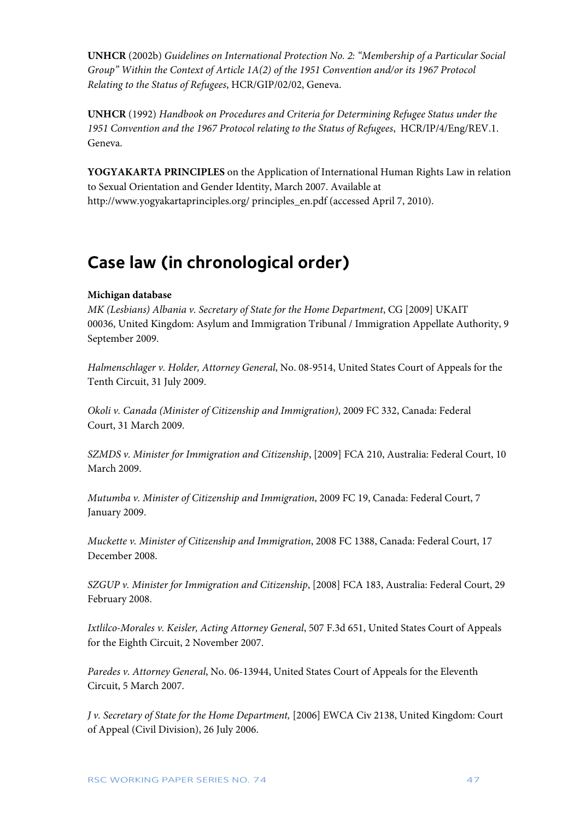**UNHCR** (2002b) *Guidelines on International Protection No. 2: "Membership of a Particular Social Group" Within the Context of Article 1A(2) of the 1951 Convention and/or its 1967 Protocol Relating to the Status of Refugees*, HCR/GIP/02/02, Geneva.

**UNHCR** (1992) *Handbook on Procedures and Criteria for Determining Refugee Status under the 1951 Convention and the 1967 Protocol relating to the Status of Refugees*, HCR/IP/4/Eng/REV.1. Geneva.

**YOGYAKARTA PRINCIPLES** on the Application of International Human Rights Law in relation to Sexual Orientation and Gender Identity, March 2007. Available at http://www.yogyakartaprinciples.org/ principles\_en.pdf (accessed April 7, 2010).

## <span id="page-47-0"></span>**Case law (in chronological order)**

### **Michigan database**

*MK (Lesbians) Albania v. Secretary of State for the Home Department*, CG [2009] UKAIT 00036, United Kingdom: Asylum and Immigration Tribunal / Immigration Appellate Authority, 9 September 2009.

*Halmenschlager v. Holder, Attorney General*, No. 08-9514, United States Court of Appeals for the Tenth Circuit, 31 July 2009.

*Okoli v. Canada (Minister of Citizenship and Immigration)*, 2009 FC 332, Canada: Federal Court, 31 March 2009.

*SZMDS v. Minister for Immigration and Citizenship*, [2009] FCA 210, Australia: Federal Court, 10 March 2009.

*Mutumba v. Minister of Citizenship and Immigration*, 2009 FC 19, Canada: Federal Court, 7 January 2009.

*Muckette v. Minister of Citizenship and Immigration*, 2008 FC 1388, Canada: Federal Court, 17 December 2008.

*SZGUP v. Minister for Immigration and Citizenship*, [2008] FCA 183, Australia: Federal Court, 29 February 2008.

*Ixtlilco-Morales v. Keisler, Acting Attorney General*, 507 F.3d 651, United States Court of Appeals for the Eighth Circuit, 2 November 2007.

*Paredes v. Attorney General*, No. 06-13944, United States Court of Appeals for the Eleventh Circuit, 5 March 2007.

*J v. Secretary of State for the Home Department,* [2006] EWCA Civ 2138, United Kingdom: Court of Appeal (Civil Division), 26 July 2006.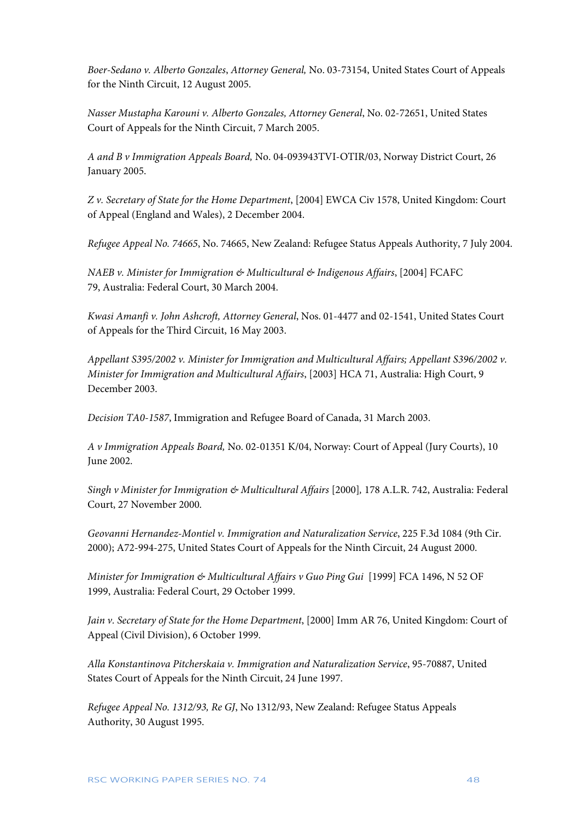*Boer-Sedano v. Alberto Gonzales*, *Attorney General,* No. 03-73154, United States Court of Appeals for the Ninth Circuit, 12 August 2005.

*Nasser Mustapha Karouni v. Alberto Gonzales, Attorney General*, No. 02-72651, United States Court of Appeals for the Ninth Circuit, 7 March 2005.

*A and B v Immigration Appeals Board,* No. 04-093943TVI-OTIR/03, Norway District Court, 26 January 2005.

*Z v. Secretary of State for the Home Department*, [2004] EWCA Civ 1578, United Kingdom: Court of Appeal (England and Wales), 2 December 2004.

*Refugee Appeal No. 74665*, No. 74665, New Zealand: Refugee Status Appeals Authority, 7 July 2004.

*NAEB v. Minister for Immigration & Multicultural & Indigenous Affairs*, [2004] FCAFC 79, Australia: Federal Court, 30 March 2004.

*Kwasi Amanfi v. John Ashcroft, Attorney General*, Nos. 01-4477 and 02-1541, United States Court of Appeals for the Third Circuit, 16 May 2003.

*Appellant S395/2002 v. Minister for Immigration and Multicultural Affairs; Appellant S396/2002 v. Minister for Immigration and Multicultural Affairs*, [2003] HCA 71, Australia: High Court, 9 December 2003.

*Decision TA0-1587*, Immigration and Refugee Board of Canada, 31 March 2003.

*A v Immigration Appeals Board,* No. 02-01351 K/04, Norway: Court of Appeal (Jury Courts), 10 June 2002.

*Singh v Minister for Immigration & Multicultural Affairs* [2000]*,* 178 A.L.R. 742, Australia: Federal Court, 27 November 2000.

*Geovanni Hernandez-Montiel v. Immigration and Naturalization Service*, 225 F.3d 1084 (9th Cir. 2000); A72-994-275, United States Court of Appeals for the Ninth Circuit, 24 August 2000.

*Minister for Immigration & Multicultural Affairs v Guo Ping Gui* [1999] FCA 1496, N 52 OF 1999, Australia: Federal Court, 29 October 1999.

*Jain v. Secretary of State for the Home Department*, [2000] Imm AR 76, United Kingdom: Court of Appeal (Civil Division), 6 October 1999.

*Alla Konstantinova Pitcherskaia v. Immigration and Naturalization Service*, 95-70887, United States Court of Appeals for the Ninth Circuit, 24 June 1997.

*Refugee Appeal No. 1312/93, Re GJ*, No 1312/93, New Zealand: Refugee Status Appeals Authority, 30 August 1995.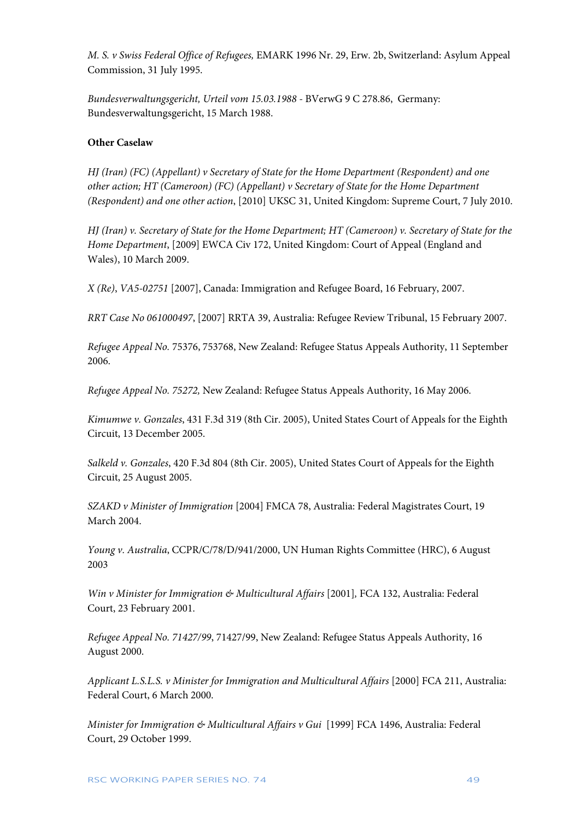*M. S. v Swiss Federal Office of Refugees,* EMARK 1996 Nr. 29, Erw. 2b, Switzerland: Asylum Appeal Commission, 31 July 1995.

*Bundesverwaltungsgericht, Urteil vom 15.03.1988 -* BVerwG 9 C 278.86, Germany: Bundesverwaltungsgericht, 15 March 1988.

### **Other Caselaw**

*HJ (Iran) (FC) (Appellant) v Secretary of State for the Home Department (Respondent) and one other action; HT (Cameroon) (FC) (Appellant) v Secretary of State for the Home Department (Respondent) and one other action*, [2010] UKSC 31, United Kingdom: Supreme Court, 7 July 2010.

*HJ (Iran) v. Secretary of State for the Home Department; HT (Cameroon) v. Secretary of State for the Home Department*, [2009] EWCA Civ 172, United Kingdom: Court of Appeal (England and Wales), 10 March 2009.

*X (Re)*, *VA5-02751* [2007], Canada: Immigration and Refugee Board, 16 February, 2007.

*RRT Case No 061000497*, [2007] RRTA 39, Australia: Refugee Review Tribunal, 15 February 2007.

*Refugee Appeal No.* 75376, 753768, New Zealand: Refugee Status Appeals Authority, 11 September 2006.

*Refugee Appeal No. 75272,* New Zealand: Refugee Status Appeals Authority, 16 May 2006.

*Kimumwe v. Gonzales*, 431 F.3d 319 (8th Cir. 2005), United States Court of Appeals for the Eighth Circuit, 13 December 2005.

*Salkeld v. Gonzales*, 420 F.3d 804 (8th Cir. 2005), United States Court of Appeals for the Eighth Circuit, 25 August 2005.

*SZAKD v Minister of Immigration* [2004] FMCA 78, Australia: Federal Magistrates Court, 19 March 2004.

*Young v. Australia*, CCPR/C/78/D/941/2000, UN Human Rights Committee (HRC), 6 August 2003

*Win v Minister for Immigration & Multicultural Affairs* [2001]*,* FCA 132, Australia: Federal Court, 23 February 2001.

*Refugee Appeal No. 71427/99*, 71427/99, New Zealand: Refugee Status Appeals Authority, 16 August 2000.

*Applicant L.S.L.S. v Minister for Immigration and Multicultural Affairs* [2000] FCA 211, Australia: Federal Court, 6 March 2000.

*Minister for Immigration & Multicultural Affairs v Gui* [1999] FCA 1496, Australia: Federal Court, 29 October 1999.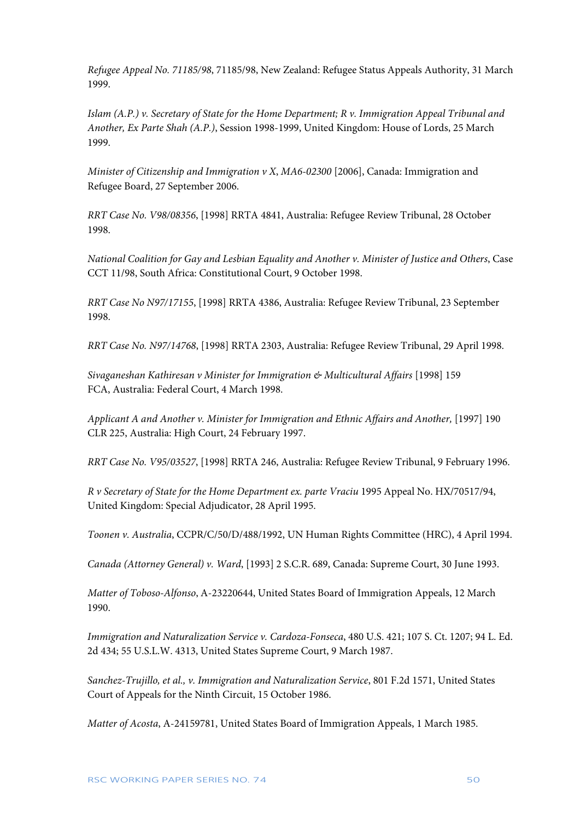*Refugee Appeal No. 71185/98*, 71185/98, New Zealand: Refugee Status Appeals Authority, 31 March 1999.

*Islam (A.P.) v. Secretary of State for the Home Department; R v. Immigration Appeal Tribunal and Another, Ex Parte Shah (A.P.)*, Session 1998-1999, United Kingdom: House of Lords, 25 March 1999.

*Minister of Citizenship and Immigration v X*, *MA6-02300* [2006], Canada: Immigration and Refugee Board, 27 September 2006.

*RRT Case No. V98/08356*, [1998] RRTA 4841, Australia: Refugee Review Tribunal, 28 October 1998.

*National Coalition for Gay and Lesbian Equality and Another v. Minister of Justice and Others*, Case CCT 11/98, South Africa: Constitutional Court, 9 October 1998.

*RRT Case No N97/17155*, [1998] RRTA 4386, Australia: Refugee Review Tribunal, 23 September 1998.

*RRT Case No. N97/14768*, [1998] RRTA 2303, Australia: Refugee Review Tribunal, 29 April 1998.

*Sivaganeshan Kathiresan v Minister for Immigration & Multicultural Affairs* [1998] 159 FCA, Australia: Federal Court, 4 March 1998.

Applicant A and Another v. Minister for Immigration and Ethnic Affairs and Another, [1997] 190 CLR 225, Australia: High Court, 24 February 1997.

*RRT Case No. V95/03527*, [1998] RRTA 246, Australia: Refugee Review Tribunal, 9 February 1996.

*R v Secretary of State for the Home Department ex. parte Vraciu* 1995 Appeal No. HX/70517/94, United Kingdom: Special Adjudicator, 28 April 1995.

*Toonen v. Australia*, CCPR/C/50/D/488/1992, UN Human Rights Committee (HRC), 4 April 1994.

*Canada (Attorney General) v. Ward*, [1993] 2 S.C.R. 689, Canada: Supreme Court, 30 June 1993.

*Matter of Toboso-Alfonso*, A-23220644, United States Board of Immigration Appeals, 12 March 1990.

*Immigration and Naturalization Service v. Cardoza-Fonseca*, 480 U.S. 421; 107 S. Ct. 1207; 94 L. Ed. 2d 434; 55 U.S.L.W. 4313, United States Supreme Court, 9 March 1987.

*Sanchez-Trujillo, et al., v. Immigration and Naturalization Service*, 801 F.2d 1571, United States Court of Appeals for the Ninth Circuit, 15 October 1986.

*Matter of Acosta*, A-24159781, United States Board of Immigration Appeals, 1 March 1985.